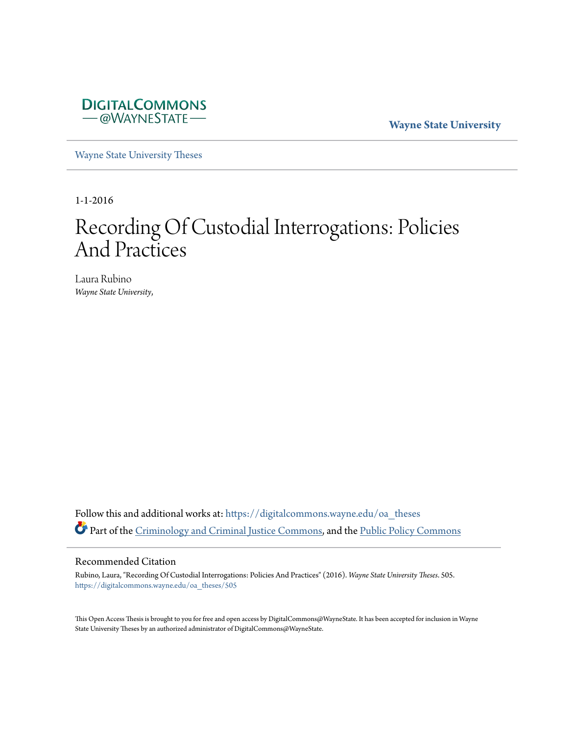

**Wayne State University**

[Wayne State University Theses](https://digitalcommons.wayne.edu/oa_theses?utm_source=digitalcommons.wayne.edu%2Foa_theses%2F505&utm_medium=PDF&utm_campaign=PDFCoverPages)

1-1-2016

# Recording Of Custodial Interrogations: Policies And Practices

Laura Rubino *Wayne State University*,

Follow this and additional works at: [https://digitalcommons.wayne.edu/oa\\_theses](https://digitalcommons.wayne.edu/oa_theses?utm_source=digitalcommons.wayne.edu%2Foa_theses%2F505&utm_medium=PDF&utm_campaign=PDFCoverPages) Part of the [Criminology and Criminal Justice Commons](http://network.bepress.com/hgg/discipline/367?utm_source=digitalcommons.wayne.edu%2Foa_theses%2F505&utm_medium=PDF&utm_campaign=PDFCoverPages), and the [Public Policy Commons](http://network.bepress.com/hgg/discipline/400?utm_source=digitalcommons.wayne.edu%2Foa_theses%2F505&utm_medium=PDF&utm_campaign=PDFCoverPages)

#### Recommended Citation

Rubino, Laura, "Recording Of Custodial Interrogations: Policies And Practices" (2016). *Wayne State University Theses*. 505. [https://digitalcommons.wayne.edu/oa\\_theses/505](https://digitalcommons.wayne.edu/oa_theses/505?utm_source=digitalcommons.wayne.edu%2Foa_theses%2F505&utm_medium=PDF&utm_campaign=PDFCoverPages)

This Open Access Thesis is brought to you for free and open access by DigitalCommons@WayneState. It has been accepted for inclusion in Wayne State University Theses by an authorized administrator of DigitalCommons@WayneState.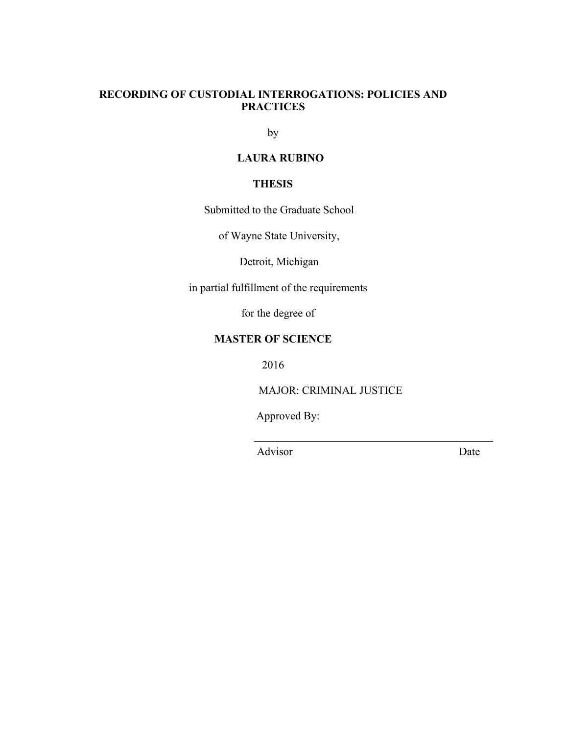# **RECORDING OF CUSTODIAL INTERROGATIONS: POLICIES AND PRACTICES**

by

# **LAURA RUBINO**

# **THESIS**

Submitted to the Graduate School

of Wayne State University,

Detroit, Michigan

in partial fulfillment of the requirements

for the degree of

# **MASTER OF SCIENCE**

2016

MAJOR: CRIMINAL JUSTICE

Approved By:

Advisor Date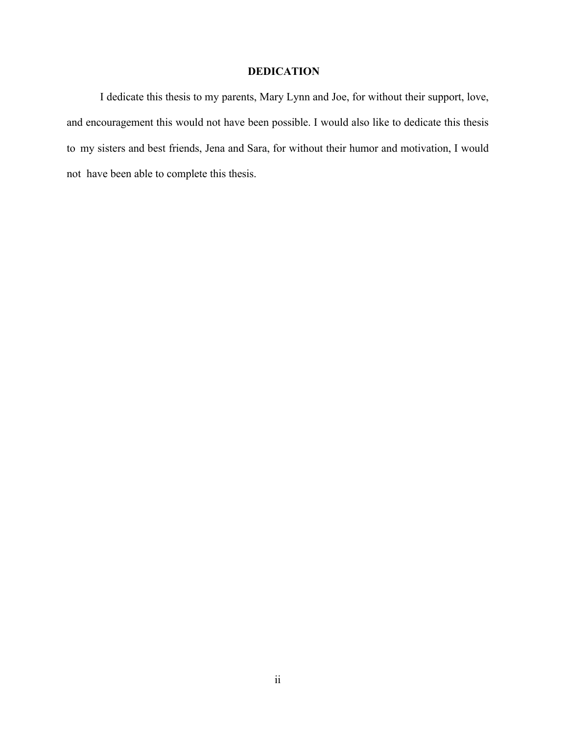# **DEDICATION**

I dedicate this thesis to my parents, Mary Lynn and Joe, for without their support, love, and encouragement this would not have been possible. I would also like to dedicate this thesis to my sisters and best friends, Jena and Sara, for without their humor and motivation, I would not have been able to complete this thesis.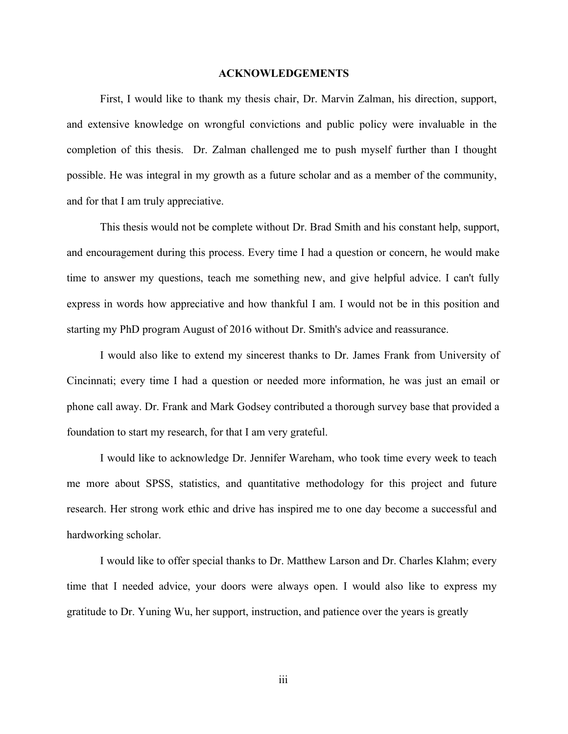#### **ACKNOWLEDGEMENTS**

First, I would like to thank my thesis chair, Dr. Marvin Zalman, his direction, support, and extensive knowledge on wrongful convictions and public policy were invaluable in the completion of this thesis. Dr. Zalman challenged me to push myself further than I thought possible. He was integral in my growth as a future scholar and as a member of the community, and for that I am truly appreciative.

This thesis would not be complete without Dr. Brad Smith and his constant help, support, and encouragement during this process. Every time I had a question or concern, he would make time to answer my questions, teach me something new, and give helpful advice. I can't fully express in words how appreciative and how thankful I am. I would not be in this position and starting my PhD program August of 2016 without Dr. Smith's advice and reassurance.

I would also like to extend my sincerest thanks to Dr. James Frank from University of Cincinnati; every time I had a question or needed more information, he was just an email or phone call away. Dr. Frank and Mark Godsey contributed a thorough survey base that provided a foundation to start my research, for that I am very grateful.

I would like to acknowledge Dr. Jennifer Wareham, who took time every week to teach me more about SPSS, statistics, and quantitative methodology for this project and future research. Her strong work ethic and drive has inspired me to one day become a successful and hardworking scholar.

I would like to offer special thanks to Dr. Matthew Larson and Dr. Charles Klahm; every time that I needed advice, your doors were always open. I would also like to express my gratitude to Dr. Yuning Wu, her support, instruction, and patience over the years is greatly

iii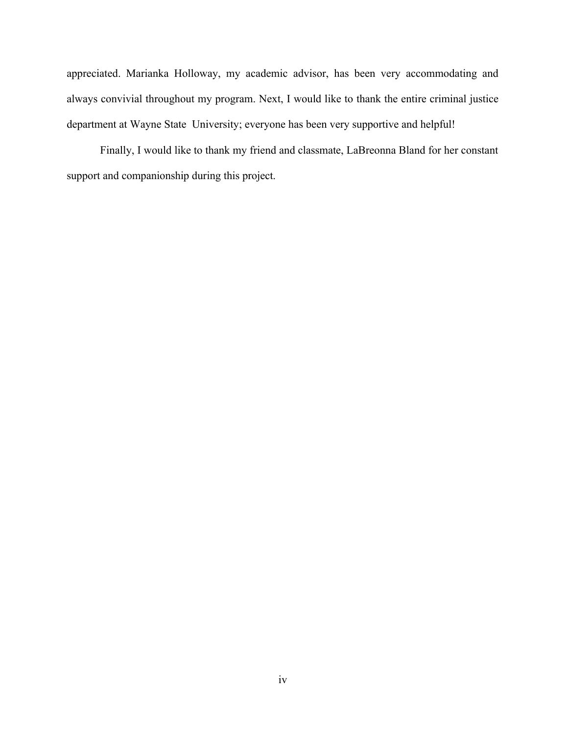appreciated. Marianka Holloway, my academic advisor, has been very accommodating and always convivial throughout my program. Next, I would like to thank the entire criminal justice department at Wayne State University; everyone has been very supportive and helpful!

Finally, I would like to thank my friend and classmate, LaBreonna Bland for her constant support and companionship during this project.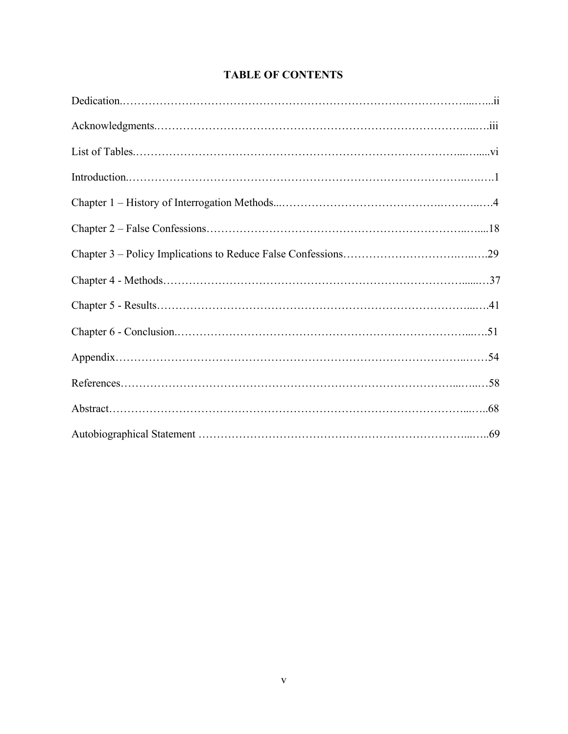# **TABLE OF CONTENTS**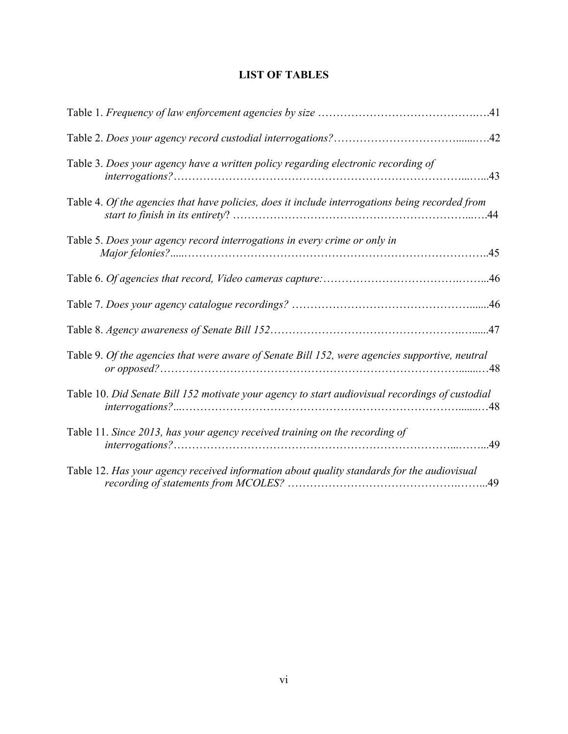| <b>LIST OF TABLES</b> |
|-----------------------|
|-----------------------|

| Table 3. Does your agency have a written policy regarding electronic recording of               |     |
|-------------------------------------------------------------------------------------------------|-----|
| Table 4. Of the agencies that have policies, does it include interrogations being recorded from |     |
| Table 5. Does your agency record interrogations in every crime or only in                       | .45 |
|                                                                                                 |     |
|                                                                                                 |     |
|                                                                                                 |     |
| Table 9. Of the agencies that were aware of Senate Bill 152, were agencies supportive, neutral  |     |
| Table 10. Did Senate Bill 152 motivate your agency to start audiovisual recordings of custodial | .48 |
| Table 11. Since 2013, has your agency received training on the recording of                     | .49 |
| Table 12. Has your agency received information about quality standards for the audiovisual      |     |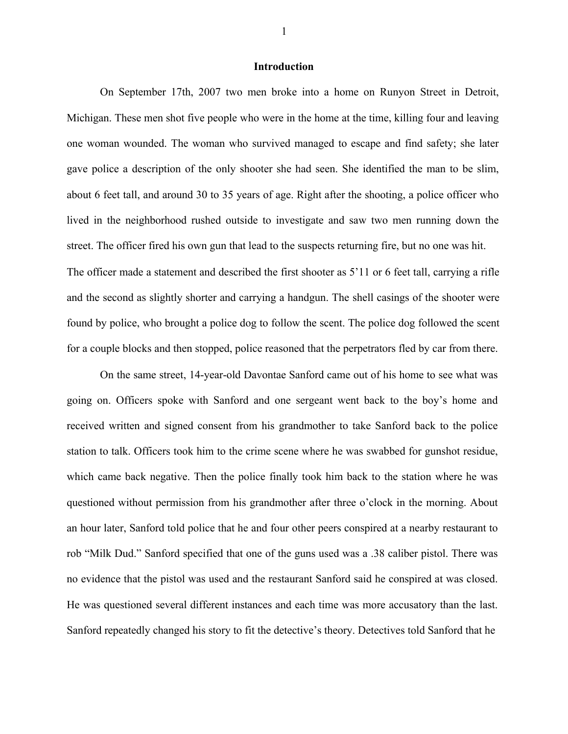# **Introduction**

On September 17th, 2007 two men broke into a home on Runyon Street in Detroit, Michigan. These men shot five people who were in the home at the time, killing four and leaving one woman wounded. The woman who survived managed to escape and find safety; she later gave police a description of the only shooter she had seen. She identified the man to be slim, about 6 feet tall, and around 30 to 35 years of age. Right after the shooting, a police officer who lived in the neighborhood rushed outside to investigate and saw two men running down the street. The officer fired his own gun that lead to the suspects returning fire, but no one was hit. The officer made a statement and described the first shooter as 5'11 or 6 feet tall, carrying a rifle and the second as slightly shorter and carrying a handgun. The shell casings of the shooter were found by police, who brought a police dog to follow the scent. The police dog followed the scent for a couple blocks and then stopped, police reasoned that the perpetrators fled by car from there.

On the same street, 14-year-old Davontae Sanford came out of his home to see what was going on. Officers spoke with Sanford and one sergeant went back to the boy's home and received written and signed consent from his grandmother to take Sanford back to the police station to talk. Officers took him to the crime scene where he was swabbed for gunshot residue, which came back negative. Then the police finally took him back to the station where he was questioned without permission from his grandmother after three o'clock in the morning. About an hour later, Sanford told police that he and four other peers conspired at a nearby restaurant to rob "Milk Dud." Sanford specified that one of the guns used was a .38 caliber pistol. There was no evidence that the pistol was used and the restaurant Sanford said he conspired at was closed. He was questioned several different instances and each time was more accusatory than the last. Sanford repeatedly changed his story to fit the detective's theory. Detectives told Sanford that he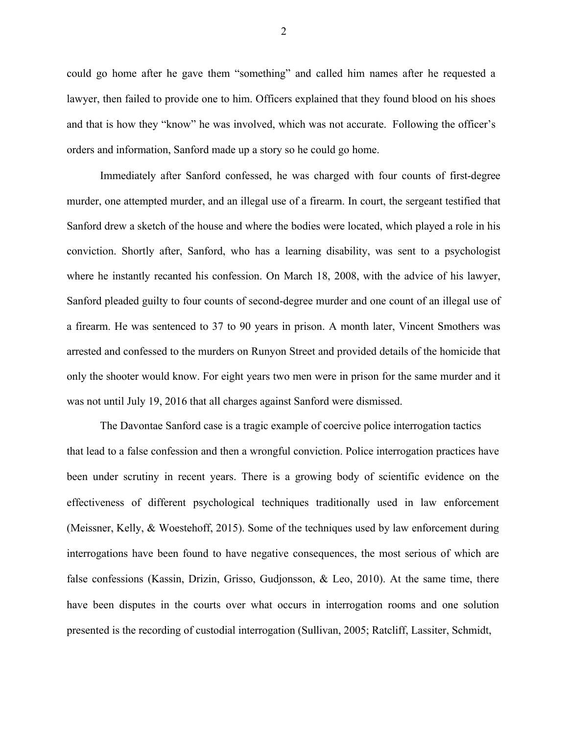could go home after he gave them "something" and called him names after he requested a lawyer, then failed to provide one to him. Officers explained that they found blood on his shoes and that is how they "know" he was involved, which was not accurate. Following the officer's orders and information, Sanford made up a story so he could go home.

Immediately after Sanford confessed, he was charged with four counts of first-degree murder, one attempted murder, and an illegal use of a firearm. In court, the sergeant testified that Sanford drew a sketch of the house and where the bodies were located, which played a role in his conviction. Shortly after, Sanford, who has a learning disability, was sent to a psychologist where he instantly recanted his confession. On March 18, 2008, with the advice of his lawyer, Sanford pleaded guilty to four counts of second-degree murder and one count of an illegal use of a firearm. He was sentenced to 37 to 90 years in prison. A month later, Vincent Smothers was arrested and confessed to the murders on Runyon Street and provided details of the homicide that only the shooter would know. For eight years two men were in prison for the same murder and it was not until July 19, 2016 that all charges against Sanford were dismissed.

The Davontae Sanford case is a tragic example of coercive police interrogation tactics that lead to a false confession and then a wrongful conviction. Police interrogation practices have been under scrutiny in recent years. There is a growing body of scientific evidence on the effectiveness of different psychological techniques traditionally used in law enforcement (Meissner, Kelly, & Woestehoff, 2015). Some of the techniques used by law enforcement during interrogations have been found to have negative consequences, the most serious of which are false confessions (Kassin, Drizin, Grisso, Gudjonsson, & Leo, 2010). At the same time, there have been disputes in the courts over what occurs in interrogation rooms and one solution presented is the recording of custodial interrogation (Sullivan, 2005; Ratcliff, Lassiter, Schmidt,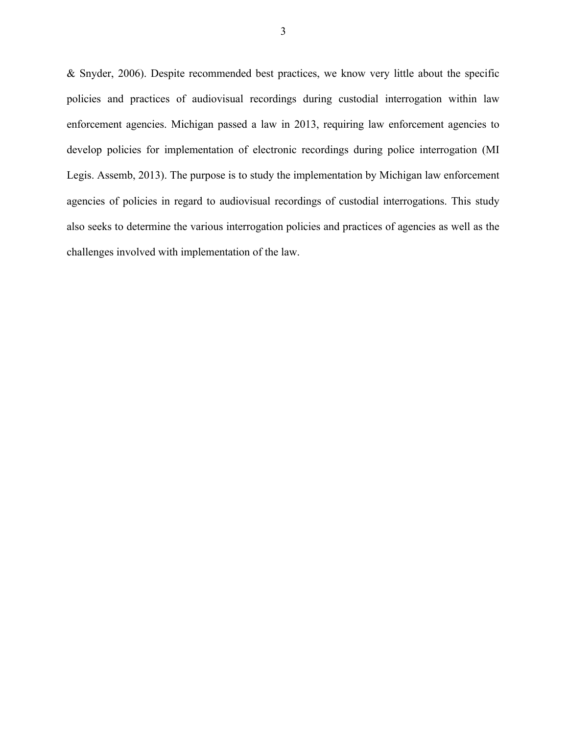& Snyder, 2006). Despite recommended best practices, we know very little about the specific policies and practices of audiovisual recordings during custodial interrogation within law enforcement agencies. Michigan passed a law in 2013, requiring law enforcement agencies to develop policies for implementation of electronic recordings during police interrogation (MI Legis. Assemb, 2013). The purpose is to study the implementation by Michigan law enforcement agencies of policies in regard to audiovisual recordings of custodial interrogations. This study also seeks to determine the various interrogation policies and practices of agencies as well as the challenges involved with implementation of the law.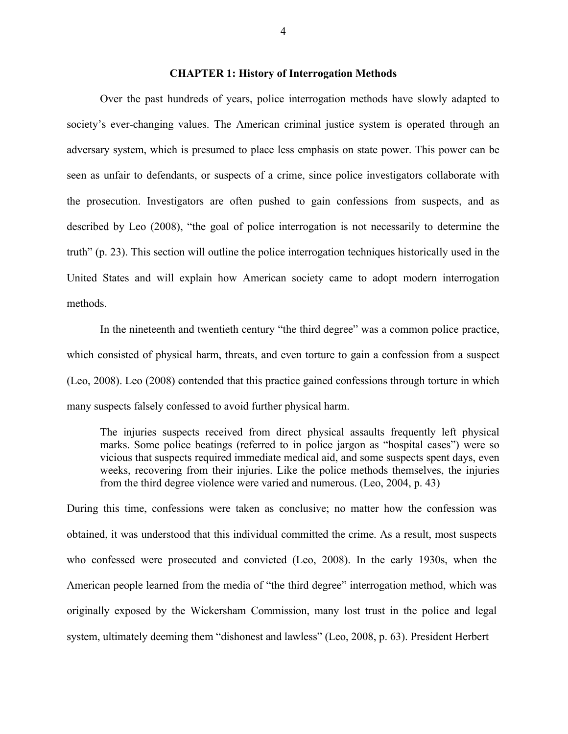## **CHAPTER 1: History of Interrogation Methods**

Over the past hundreds of years, police interrogation methods have slowly adapted to society's ever-changing values. The American criminal justice system is operated through an adversary system, which is presumed to place less emphasis on state power. This power can be seen as unfair to defendants, or suspects of a crime, since police investigators collaborate with the prosecution. Investigators are often pushed to gain confessions from suspects, and as described by Leo (2008), "the goal of police interrogation is not necessarily to determine the truth" (p. 23). This section will outline the police interrogation techniques historically used in the United States and will explain how American society came to adopt modern interrogation methods.

In the nineteenth and twentieth century "the third degree" was a common police practice, which consisted of physical harm, threats, and even torture to gain a confession from a suspect (Leo, 2008). Leo (2008) contended that this practice gained confessions through torture in which many suspects falsely confessed to avoid further physical harm.

The injuries suspects received from direct physical assaults frequently left physical marks. Some police beatings (referred to in police jargon as "hospital cases") were so vicious that suspects required immediate medical aid, and some suspects spent days, even weeks, recovering from their injuries. Like the police methods themselves, the injuries from the third degree violence were varied and numerous. (Leo, 2004, p. 43)

During this time, confessions were taken as conclusive; no matter how the confession was obtained, it was understood that this individual committed the crime. As a result, most suspects who confessed were prosecuted and convicted (Leo, 2008). In the early 1930s, when the American people learned from the media of "the third degree" interrogation method, which was originally exposed by the Wickersham Commission, many lost trust in the police and legal system, ultimately deeming them "dishonest and lawless" (Leo, 2008, p. 63). President Herbert

4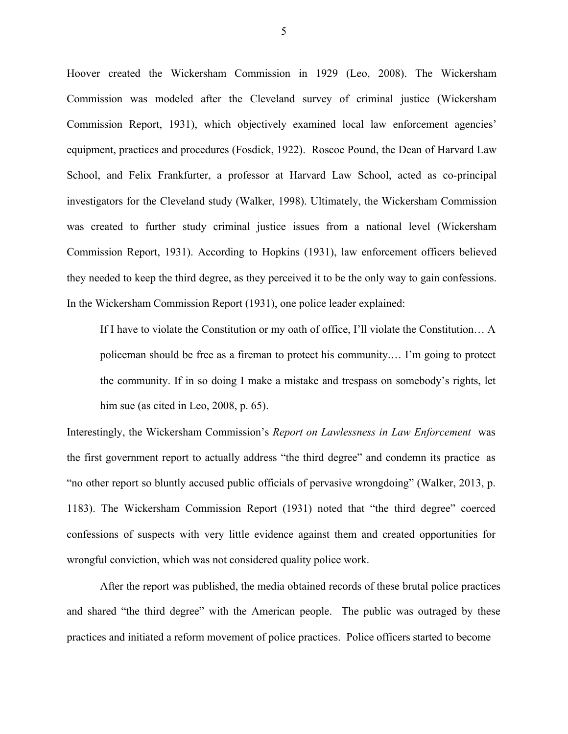Hoover created the Wickersham Commission in 1929 (Leo, 2008). The Wickersham Commission was modeled after the Cleveland survey of criminal justice (Wickersham Commission Report, 1931), which objectively examined local law enforcement agencies' equipment, practices and procedures (Fosdick, 1922). Roscoe Pound, the Dean of Harvard Law School, and Felix Frankfurter, a professor at Harvard Law School, acted as co-principal investigators for the Cleveland study (Walker, 1998). Ultimately, the Wickersham Commission was created to further study criminal justice issues from a national level (Wickersham Commission Report, 1931). According to Hopkins (1931), law enforcement officers believed they needed to keep the third degree, as they perceived it to be the only way to gain confessions. In the Wickersham Commission Report (1931), one police leader explained:

If I have to violate the Constitution or my oath of office, I'll violate the Constitution… A policeman should be free as a fireman to protect his community.… I'm going to protect the community. If in so doing I make a mistake and trespass on somebody's rights, let him sue (as cited in Leo, 2008, p. 65).

Interestingly, the Wickersham Commission's *Report on Lawlessness in Law Enforcement* was the first government report to actually address "the third degree" and condemn its practice as "no other report so bluntly accused public officials of pervasive wrongdoing" (Walker, 2013, p. 1183). The Wickersham Commission Report (1931) noted that "the third degree" coerced confessions of suspects with very little evidence against them and created opportunities for wrongful conviction, which was not considered quality police work.

After the report was published, the media obtained records of these brutal police practices and shared "the third degree" with the American people. The public was outraged by these practices and initiated a reform movement of police practices. Police officers started to become

5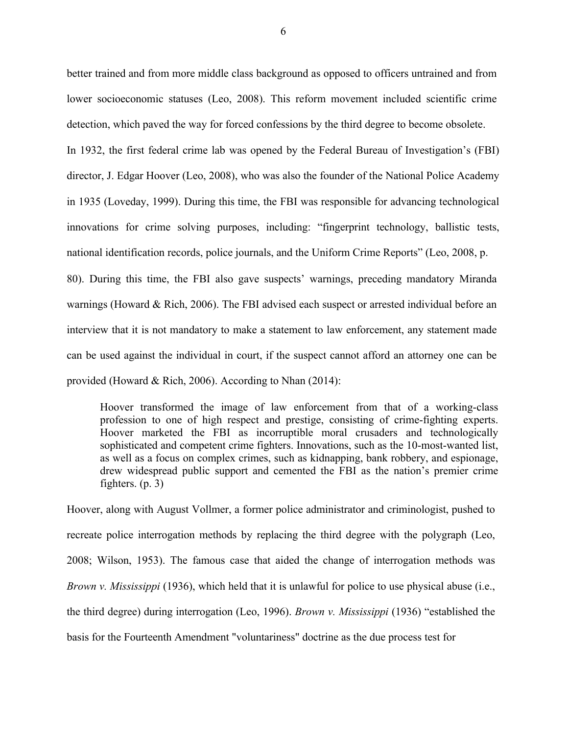better trained and from more middle class background as opposed to officers untrained and from lower socioeconomic statuses (Leo, 2008). This reform movement included scientific crime detection, which paved the way for forced confessions by the third degree to become obsolete.

In 1932, the first federal crime lab was opened by the Federal Bureau of Investigation's (FBI) director, J. Edgar Hoover (Leo, 2008), who was also the founder of the National Police Academy in 1935 (Loveday, 1999). During this time, the FBI was responsible for advancing technological innovations for crime solving purposes, including: "fingerprint technology, ballistic tests, national identification records, police journals, and the Uniform Crime Reports" (Leo, 2008, p.

80). During this time, the FBI also gave suspects' warnings, preceding mandatory Miranda warnings (Howard & Rich, 2006). The FBI advised each suspect or arrested individual before an interview that it is not mandatory to make a statement to law enforcement, any statement made can be used against the individual in court, if the suspect cannot afford an attorney one can be provided (Howard & Rich, 2006). According to Nhan (2014):

Hoover transformed the image of law enforcement from that of a working-class profession to one of high respect and prestige, consisting of crime-fighting experts. Hoover marketed the FBI as incorruptible moral crusaders and technologically sophisticated and competent crime fighters. Innovations, such as the 10-most-wanted list, as well as a focus on complex crimes, such as kidnapping, bank robbery, and espionage, drew widespread public support and cemented the FBI as the nation's premier crime fighters. (p. 3)

Hoover, along with August Vollmer, a former police administrator and criminologist, pushed to recreate police interrogation methods by replacing the third degree with the polygraph (Leo, 2008; Wilson, 1953). The famous case that aided the change of interrogation methods was *Brown v. Mississippi* (1936), which held that it is unlawful for police to use physical abuse (i.e., the third degree) during interrogation (Leo, 1996). *Brown v. Mississippi* (1936) "established the basis for the Fourteenth Amendment "voluntariness" doctrine as the due process test for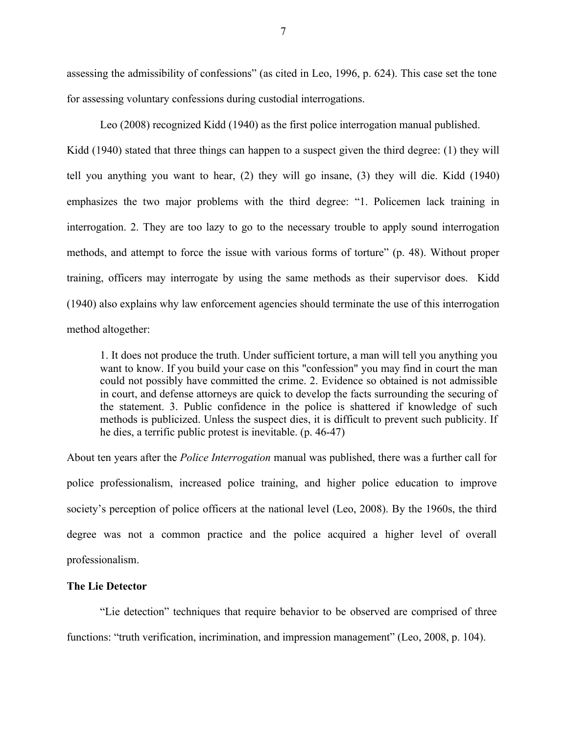assessing the admissibility of confessions" (as cited in Leo, 1996, p. 624). This case set the tone for assessing voluntary confessions during custodial interrogations.

Leo (2008) recognized Kidd (1940) as the first police interrogation manual published.

Kidd (1940) stated that three things can happen to a suspect given the third degree: (1) they will tell you anything you want to hear, (2) they will go insane, (3) they will die. Kidd (1940) emphasizes the two major problems with the third degree: "1. Policemen lack training in interrogation. 2. They are too lazy to go to the necessary trouble to apply sound interrogation methods, and attempt to force the issue with various forms of torture" (p. 48). Without proper training, officers may interrogate by using the same methods as their supervisor does. Kidd (1940) also explains why law enforcement agencies should terminate the use of this interrogation method altogether:

1. It does not produce the truth. Under sufficient torture, a man will tell you anything you want to know. If you build your case on this "confession" you may find in court the man could not possibly have committed the crime. 2. Evidence so obtained is not admissible in court, and defense attorneys are quick to develop the facts surrounding the securing of the statement. 3. Public confidence in the police is shattered if knowledge of such methods is publicized. Unless the suspect dies, it is difficult to prevent such publicity. If he dies, a terrific public protest is inevitable. (p. 46-47)

About ten years after the *Police Interrogation* manual was published, there was a further call for police professionalism, increased police training, and higher police education to improve society's perception of police officers at the national level (Leo, 2008). By the 1960s, the third degree was not a common practice and the police acquired a higher level of overall professionalism.

# **The Lie Detector**

"Lie detection" techniques that require behavior to be observed are comprised of three functions: "truth verification, incrimination, and impression management" (Leo, 2008, p. 104).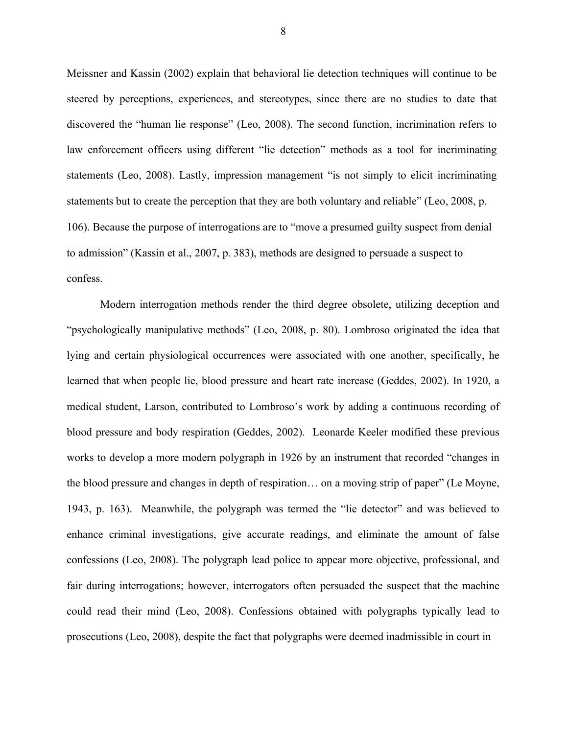Meissner and Kassin (2002) explain that behavioral lie detection techniques will continue to be steered by perceptions, experiences, and stereotypes, since there are no studies to date that discovered the "human lie response" (Leo, 2008). The second function, incrimination refers to law enforcement officers using different "lie detection" methods as a tool for incriminating statements (Leo, 2008). Lastly, impression management "is not simply to elicit incriminating statements but to create the perception that they are both voluntary and reliable" (Leo, 2008, p. 106). Because the purpose of interrogations are to "move a presumed guilty suspect from denial to admission" (Kassin et al., 2007, p. 383), methods are designed to persuade a suspect to confess.

Modern interrogation methods render the third degree obsolete, utilizing deception and "psychologically manipulative methods" (Leo, 2008, p. 80). Lombroso originated the idea that lying and certain physiological occurrences were associated with one another, specifically, he learned that when people lie, blood pressure and heart rate increase (Geddes, 2002). In 1920, a medical student, Larson, contributed to Lombroso's work by adding a continuous recording of blood pressure and body respiration (Geddes, 2002). Leonarde Keeler modified these previous works to develop a more modern polygraph in 1926 by an instrument that recorded "changes in the blood pressure and changes in depth of respiration… on a moving strip of paper" (Le Moyne, 1943, p. 163). Meanwhile, the polygraph was termed the "lie detector" and was believed to enhance criminal investigations, give accurate readings, and eliminate the amount of false confessions (Leo, 2008). The polygraph lead police to appear more objective, professional, and fair during interrogations; however, interrogators often persuaded the suspect that the machine could read their mind (Leo, 2008). Confessions obtained with polygraphs typically lead to prosecutions (Leo, 2008), despite the fact that polygraphs were deemed inadmissible in court in

8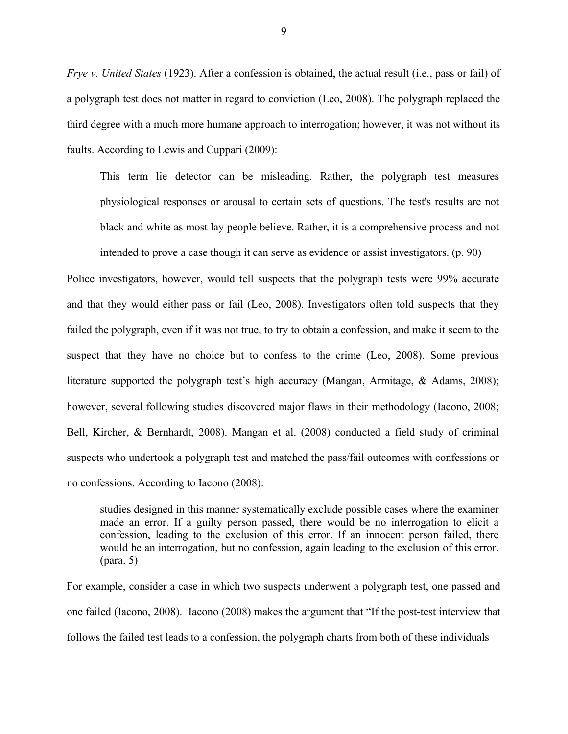*Frye v. United States* (1923). After a confession is obtained, the actual result (i.e., pass or fail) of a polygraph test does not matter in regard to conviction (Leo, 2008). The polygraph replaced the third degree with a much more humane approach to interrogation; however, it was not without its faults. According to Lewis and Cuppari (2009):

This term lie detector can be misleading. Rather, the polygraph test measures physiological responses or arousal to certain sets of questions. The test's results are not black and white as most lay people believe. Rather, it is a comprehensive process and not intended to prove a case though it can serve as evidence or assist investigators. (p. 90)

Police investigators, however, would tell suspects that the polygraph tests were 99% accurate and that they would either pass or fail (Leo, 2008). Investigators often told suspects that they failed the polygraph, even if it was not true, to try to obtain a confession, and make it seem to the suspect that they have no choice but to confess to the crime (Leo, 2008). Some previous literature supported the polygraph test's high accuracy (Mangan, Armitage, & Adams, 2008); however, several following studies discovered major flaws in their methodology (Iacono, 2008; Bell, Kircher, & Bernhardt, 2008). Mangan et al. (2008) conducted a field study of criminal suspects who undertook a polygraph test and matched the pass/fail outcomes with confessions or no confessions. According to Iacono (2008):

studies designed in this manner systematically exclude possible cases where the examiner made an error. If a guilty person passed, there would be no interrogation to elicit a confession, leading to the exclusion of this error. If an innocent person failed, there would be an interrogation, but no confession, again leading to the exclusion of this error. (para. 5)

For example, consider a case in which two suspects underwent a polygraph test, one passed and one failed (Iacono, 2008). Iacono (2008) makes the argument that "If the post-test interview that follows the failed test leads to a confession, the polygraph charts from both of these individuals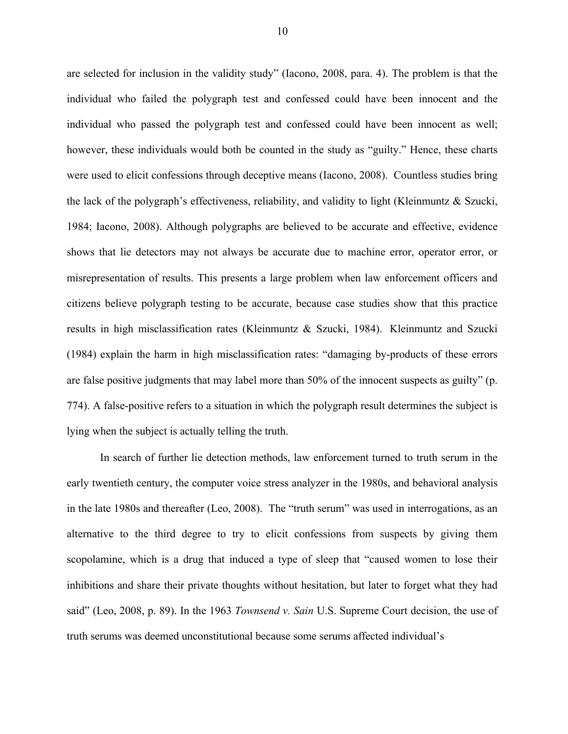are selected for inclusion in the validity study" (Iacono, 2008, para. 4). The problem is that the individual who failed the polygraph test and confessed could have been innocent and the individual who passed the polygraph test and confessed could have been innocent as well; however, these individuals would both be counted in the study as "guilty." Hence, these charts were used to elicit confessions through deceptive means (Iacono, 2008). Countless studies bring the lack of the polygraph's effectiveness, reliability, and validity to light (Kleinmuntz & Szucki, 1984; Iacono, 2008). Although polygraphs are believed to be accurate and effective, evidence shows that lie detectors may not always be accurate due to machine error, operator error, or misrepresentation of results. This presents a large problem when law enforcement officers and citizens believe polygraph testing to be accurate, because case studies show that this practice results in high misclassification rates (Kleinmuntz & Szucki, 1984). Kleinmuntz and Szucki (1984) explain the harm in high misclassification rates: "damaging by-products of these errors are false positive judgments that may label more than 50% of the innocent suspects as guilty" (p. 774). A false-positive refers to a situation in which the polygraph result determines the subject is lying when the subject is actually telling the truth.

In search of further lie detection methods, law enforcement turned to truth serum in the early twentieth century, the computer voice stress analyzer in the 1980s, and behavioral analysis in the late 1980s and thereafter (Leo, 2008). The "truth serum" was used in interrogations, as an alternative to the third degree to try to elicit confessions from suspects by giving them scopolamine, which is a drug that induced a type of sleep that "caused women to lose their inhibitions and share their private thoughts without hesitation, but later to forget what they had said" (Leo, 2008, p. 89). In the 1963 *Townsend v. Sain* U.S. Supreme Court decision, the use of truth serums was deemed unconstitutional because some serums affected individual's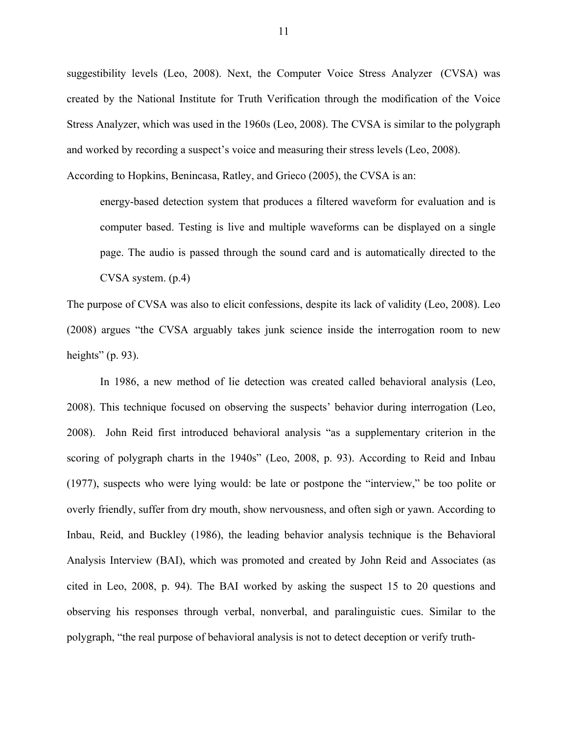suggestibility levels (Leo, 2008). Next, the Computer Voice Stress Analyzer (CVSA) was created by the National Institute for Truth Verification through the modification of the Voice Stress Analyzer, which was used in the 1960s (Leo, 2008). The CVSA is similar to the polygraph and worked by recording a suspect's voice and measuring their stress levels (Leo, 2008).

According to Hopkins, Benincasa, Ratley, and Grieco (2005), the CVSA is an:

energy-based detection system that produces a filtered waveform for evaluation and is computer based. Testing is live and multiple waveforms can be displayed on a single page. The audio is passed through the sound card and is automatically directed to the CVSA system. (p.4)

The purpose of CVSA was also to elicit confessions, despite its lack of validity (Leo, 2008). Leo (2008) argues "the CVSA arguably takes junk science inside the interrogation room to new heights"  $(p. 93)$ .

In 1986, a new method of lie detection was created called behavioral analysis (Leo, 2008). This technique focused on observing the suspects' behavior during interrogation (Leo, 2008). John Reid first introduced behavioral analysis "as a supplementary criterion in the scoring of polygraph charts in the 1940s" (Leo, 2008, p. 93). According to Reid and Inbau (1977), suspects who were lying would: be late or postpone the "interview," be too polite or overly friendly, suffer from dry mouth, show nervousness, and often sigh or yawn. According to Inbau, Reid, and Buckley (1986), the leading behavior analysis technique is the Behavioral Analysis Interview (BAI), which was promoted and created by John Reid and Associates (as cited in Leo, 2008, p. 94). The BAI worked by asking the suspect 15 to 20 questions and observing his responses through verbal, nonverbal, and paralinguistic cues. Similar to the polygraph, "the real purpose of behavioral analysis is not to detect deception or verify truth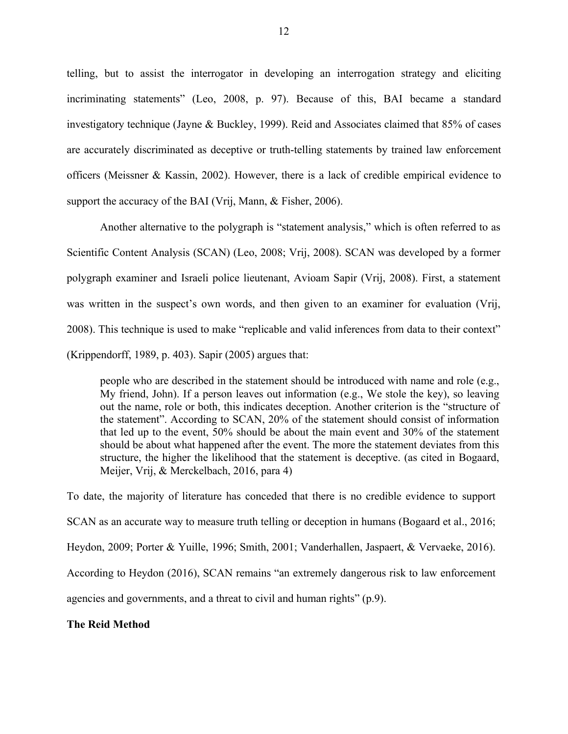telling, but to assist the interrogator in developing an interrogation strategy and eliciting incriminating statements" (Leo, 2008, p. 97). Because of this, BAI became a standard investigatory technique (Jayne & Buckley, 1999). Reid and Associates claimed that 85% of cases are accurately discriminated as deceptive or truth-telling statements by trained law enforcement officers (Meissner & Kassin, 2002). However, there is a lack of credible empirical evidence to support the accuracy of the BAI (Vrij, Mann, & Fisher, 2006).

Another alternative to the polygraph is "statement analysis," which is often referred to as Scientific Content Analysis (SCAN) (Leo, 2008; Vrij, 2008). SCAN was developed by a former polygraph examiner and Israeli police lieutenant, Avioam Sapir (Vrij, 2008). First, a statement was written in the suspect's own words, and then given to an examiner for evaluation (Vrij, 2008). This technique is used to make "replicable and valid inferences from data to their context" (Krippendorff, 1989, p. 403). Sapir (2005) argues that:

people who are described in the statement should be introduced with name and role (e.g., My friend, John). If a person leaves out information (e.g., We stole the key), so leaving out the name, role or both, this indicates deception. Another criterion is the "structure of the statement". According to SCAN, 20% of the statement should consist of information that led up to the event, 50% should be about the main event and 30% of the statement should be about what happened after the event. The more the statement deviates from this structure, the higher the likelihood that the statement is deceptive. (as cited in Bogaard, Meijer, Vrij, & Merckelbach, 2016, para 4)

To date, the majority of literature has conceded that there is no credible evidence to support SCAN as an accurate way to measure truth telling or deception in humans (Bogaard et al., 2016; Heydon, 2009; Porter & Yuille, 1996; Smith, 2001; Vanderhallen, Jaspaert, & Vervaeke, 2016). According to Heydon (2016), SCAN remains "an extremely dangerous risk to law enforcement agencies and governments, and a threat to civil and human rights" (p.9).

## **The Reid Method**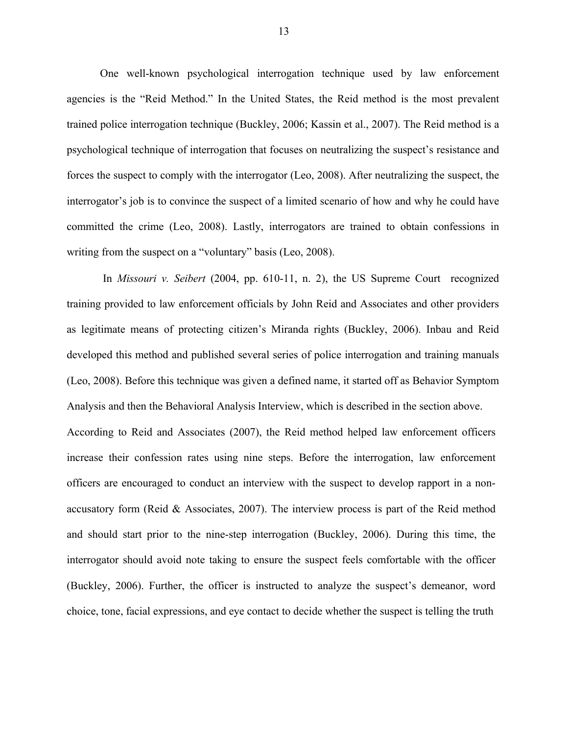One well-known psychological interrogation technique used by law enforcement agencies is the "Reid Method." In the United States, the Reid method is the most prevalent trained police interrogation technique (Buckley, 2006; Kassin et al., 2007). The Reid method is a psychological technique of interrogation that focuses on neutralizing the suspect's resistance and forces the suspect to comply with the interrogator (Leo, 2008). After neutralizing the suspect, the interrogator's job is to convince the suspect of a limited scenario of how and why he could have committed the crime (Leo, 2008). Lastly, interrogators are trained to obtain confessions in writing from the suspect on a "voluntary" basis (Leo, 2008).

In *Missouri v. Seibert* (2004, pp. 610-11, n. 2), the US Supreme Court recognized training provided to law enforcement officials by John Reid and Associates and other providers as legitimate means of protecting citizen's Miranda rights (Buckley, 2006). Inbau and Reid developed this method and published several series of police interrogation and training manuals (Leo, 2008). Before this technique was given a defined name, it started off as Behavior Symptom Analysis and then the Behavioral Analysis Interview, which is described in the section above. According to Reid and Associates (2007), the Reid method helped law enforcement officers increase their confession rates using nine steps. Before the interrogation, law enforcement officers are encouraged to conduct an interview with the suspect to develop rapport in a nonaccusatory form (Reid & Associates, 2007). The interview process is part of the Reid method and should start prior to the nine-step interrogation (Buckley, 2006). During this time, the interrogator should avoid note taking to ensure the suspect feels comfortable with the officer (Buckley, 2006). Further, the officer is instructed to analyze the suspect's demeanor, word choice, tone, facial expressions, and eye contact to decide whether the suspect is telling the truth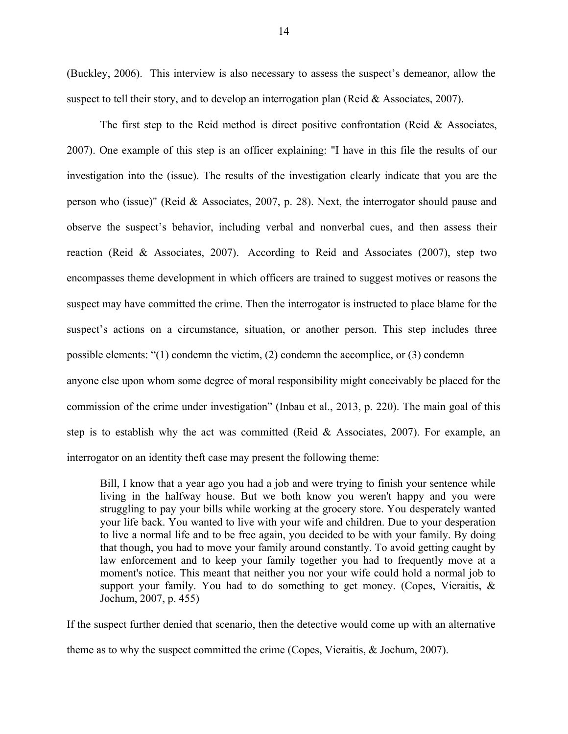(Buckley, 2006). This interview is also necessary to assess the suspect's demeanor, allow the suspect to tell their story, and to develop an interrogation plan (Reid & Associates, 2007).

The first step to the Reid method is direct positive confrontation (Reid  $\&$  Associates, 2007). One example of this step is an officer explaining: "I have in this file the results of our investigation into the (issue). The results of the investigation clearly indicate that you are the person who (issue)" (Reid & Associates, 2007, p. 28). Next, the interrogator should pause and observe the suspect's behavior, including verbal and nonverbal cues, and then assess their reaction (Reid & Associates, 2007). According to Reid and Associates (2007), step two encompasses theme development in which officers are trained to suggest motives or reasons the suspect may have committed the crime. Then the interrogator is instructed to place blame for the suspect's actions on a circumstance, situation, or another person. This step includes three possible elements: "(1) condemn the victim, (2) condemn the accomplice, or (3) condemn anyone else upon whom some degree of moral responsibility might conceivably be placed for the commission of the crime under investigation" (Inbau et al., 2013, p. 220). The main goal of this step is to establish why the act was committed (Reid & Associates, 2007). For example, an interrogator on an identity theft case may present the following theme:

Bill, I know that a year ago you had a job and were trying to finish your sentence while living in the halfway house. But we both know you weren't happy and you were struggling to pay your bills while working at the grocery store. You desperately wanted your life back. You wanted to live with your wife and children. Due to your desperation to live a normal life and to be free again, you decided to be with your family. By doing that though, you had to move your family around constantly. To avoid getting caught by law enforcement and to keep your family together you had to frequently move at a moment's notice. This meant that neither you nor your wife could hold a normal job to support your family. You had to do something to get money. (Copes, Vieraitis, & Jochum, 2007, p. 455)

If the suspect further denied that scenario, then the detective would come up with an alternative theme as to why the suspect committed the crime (Copes, Vieraitis, & Jochum, 2007).

14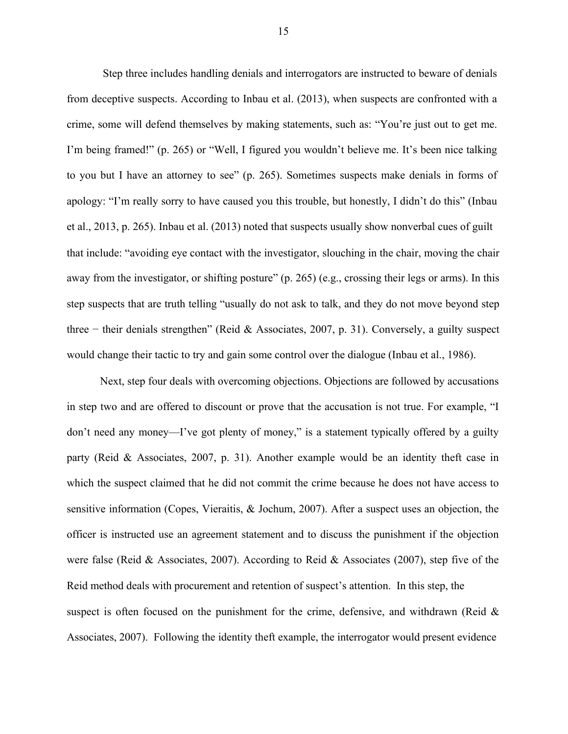Step three includes handling denials and interrogators are instructed to beware of denials from deceptive suspects. According to Inbau et al. (2013), when suspects are confronted with a crime, some will defend themselves by making statements, such as: "You're just out to get me. I'm being framed!" (p. 265) or "Well, I figured you wouldn't believe me. It's been nice talking to you but I have an attorney to see" (p. 265). Sometimes suspects make denials in forms of apology: "I'm really sorry to have caused you this trouble, but honestly, I didn't do this" (Inbau et al., 2013, p. 265). Inbau et al. (2013) noted that suspects usually show nonverbal cues of guilt that include: "avoiding eye contact with the investigator, slouching in the chair, moving the chair away from the investigator, or shifting posture" (p. 265) (e.g., crossing their legs or arms). In this step suspects that are truth telling "usually do not ask to talk, and they do not move beyond step three − their denials strengthen" (Reid & Associates, 2007, p. 31). Conversely, a guilty suspect would change their tactic to try and gain some control over the dialogue (Inbau et al., 1986).

Next, step four deals with overcoming objections. Objections are followed by accusations in step two and are offered to discount or prove that the accusation is not true. For example, "I don't need any money—I've got plenty of money," is a statement typically offered by a guilty party (Reid & Associates, 2007, p. 31). Another example would be an identity theft case in which the suspect claimed that he did not commit the crime because he does not have access to sensitive information (Copes, Vieraitis, & Jochum, 2007). After a suspect uses an objection, the officer is instructed use an agreement statement and to discuss the punishment if the objection were false (Reid & Associates, 2007). According to Reid & Associates (2007), step five of the Reid method deals with procurement and retention of suspect's attention. In this step, the suspect is often focused on the punishment for the crime, defensive, and withdrawn (Reid  $\&$ Associates, 2007). Following the identity theft example, the interrogator would present evidence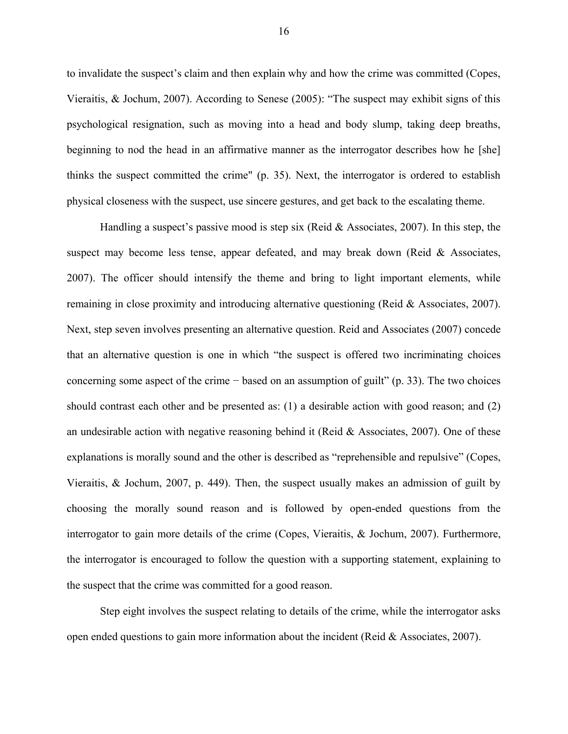to invalidate the suspect's claim and then explain why and how the crime was committed (Copes, Vieraitis, & Jochum, 2007). According to Senese (2005): "The suspect may exhibit signs of this psychological resignation, such as moving into a head and body slump, taking deep breaths, beginning to nod the head in an affirmative manner as the interrogator describes how he [she] thinks the suspect committed the crime" (p. 35). Next, the interrogator is ordered to establish physical closeness with the suspect, use sincere gestures, and get back to the escalating theme.

Handling a suspect's passive mood is step six (Reid  $&$  Associates, 2007). In this step, the suspect may become less tense, appear defeated, and may break down (Reid  $\&$  Associates, 2007). The officer should intensify the theme and bring to light important elements, while remaining in close proximity and introducing alternative questioning (Reid & Associates, 2007). Next, step seven involves presenting an alternative question. Reid and Associates (2007) concede that an alternative question is one in which "the suspect is offered two incriminating choices concerning some aspect of the crime − based on an assumption of guilt" (p. 33). The two choices should contrast each other and be presented as: (1) a desirable action with good reason; and (2) an undesirable action with negative reasoning behind it (Reid & Associates, 2007). One of these explanations is morally sound and the other is described as "reprehensible and repulsive" (Copes, Vieraitis,  $\&$  Jochum, 2007, p. 449). Then, the suspect usually makes an admission of guilt by choosing the morally sound reason and is followed by open-ended questions from the interrogator to gain more details of the crime (Copes, Vieraitis, & Jochum, 2007). Furthermore, the interrogator is encouraged to follow the question with a supporting statement, explaining to the suspect that the crime was committed for a good reason.

Step eight involves the suspect relating to details of the crime, while the interrogator asks open ended questions to gain more information about the incident (Reid & Associates, 2007).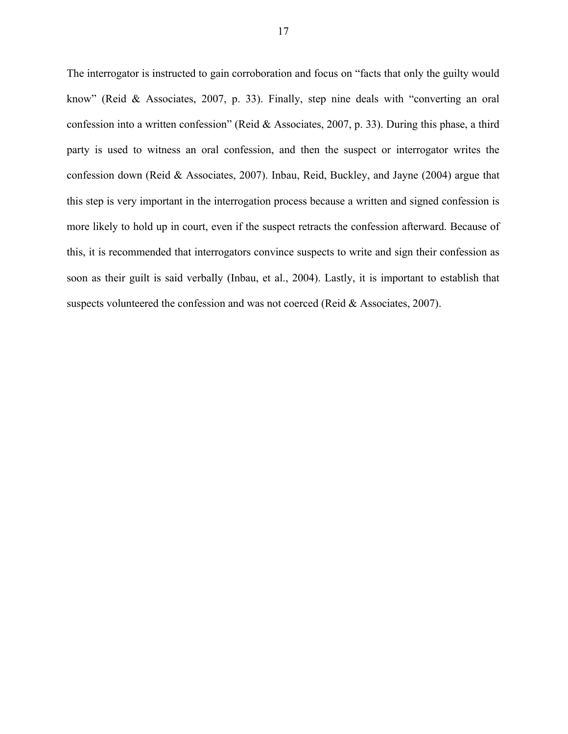The interrogator is instructed to gain corroboration and focus on "facts that only the guilty would know" (Reid & Associates, 2007, p. 33). Finally, step nine deals with "converting an oral confession into a written confession" (Reid & Associates, 2007, p. 33). During this phase, a third party is used to witness an oral confession, and then the suspect or interrogator writes the confession down (Reid & Associates, 2007). Inbau, Reid, Buckley, and Jayne (2004) argue that this step is very important in the interrogation process because a written and signed confession is more likely to hold up in court, even if the suspect retracts the confession afterward. Because of this, it is recommended that interrogators convince suspects to write and sign their confession as soon as their guilt is said verbally (Inbau, et al., 2004). Lastly, it is important to establish that suspects volunteered the confession and was not coerced (Reid & Associates, 2007).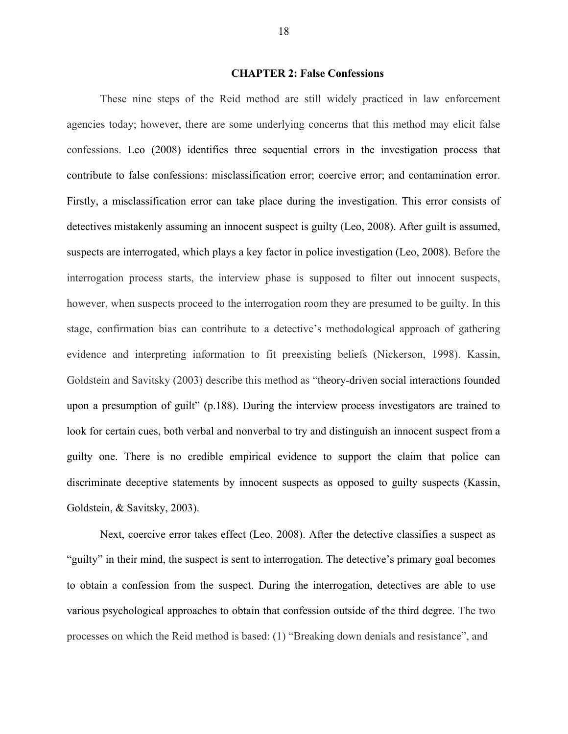## **CHAPTER 2: False Confessions**

These nine steps of the Reid method are still widely practiced in law enforcement agencies today; however, there are some underlying concerns that this method may elicit false confessions. Leo (2008) identifies three sequential errors in the investigation process that contribute to false confessions: misclassification error; coercive error; and contamination error. Firstly, a misclassification error can take place during the investigation. This error consists of detectives mistakenly assuming an innocent suspect is guilty (Leo, 2008). After guilt is assumed, suspects are interrogated, which plays a key factor in police investigation (Leo, 2008). Before the interrogation process starts, the interview phase is supposed to filter out innocent suspects, however, when suspects proceed to the interrogation room they are presumed to be guilty. In this stage, confirmation bias can contribute to a detective's methodological approach of gathering evidence and interpreting information to fit preexisting beliefs (Nickerson, 1998). Kassin, Goldstein and Savitsky (2003) describe this method as "theory-driven social interactions founded upon a presumption of guilt" (p.188). During the interview process investigators are trained to look for certain cues, both verbal and nonverbal to try and distinguish an innocent suspect from a guilty one. There is no credible empirical evidence to support the claim that police can discriminate deceptive statements by innocent suspects as opposed to guilty suspects (Kassin, Goldstein, & Savitsky, 2003).

Next, coercive error takes effect (Leo, 2008). After the detective classifies a suspect as "guilty" in their mind, the suspect is sent to interrogation. The detective's primary goal becomes to obtain a confession from the suspect. During the interrogation, detectives are able to use various psychological approaches to obtain that confession outside of the third degree. The two processes on which the Reid method is based: (1) "Breaking down denials and resistance", and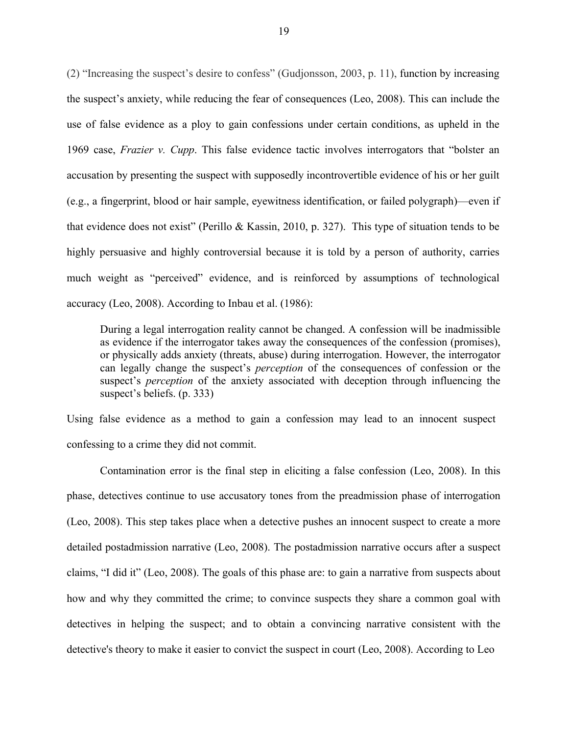(2) "Increasing the suspect's desire to confess" (Gudjonsson, 2003, p. 11), function by increasing the suspect's anxiety, while reducing the fear of consequences (Leo, 2008). This can include the use of false evidence as a ploy to gain confessions under certain conditions, as upheld in the 1969 case, *Frazier v. Cupp*. This false evidence tactic involves interrogators that "bolster an accusation by presenting the suspect with supposedly incontrovertible evidence of his or her guilt (e.g., a fingerprint, blood or hair sample, eyewitness identification, or failed polygraph)—even if that evidence does not exist" (Perillo & Kassin, 2010, p. 327). This type of situation tends to be highly persuasive and highly controversial because it is told by a person of authority, carries much weight as "perceived" evidence, and is reinforced by assumptions of technological accuracy (Leo, 2008). According to Inbau et al. (1986):

During a legal interrogation reality cannot be changed. A confession will be inadmissible as evidence if the interrogator takes away the consequences of the confession (promises), or physically adds anxiety (threats, abuse) during interrogation. However, the interrogator can legally change the suspect's *perception* of the consequences of confession or the suspect's *perception* of the anxiety associated with deception through influencing the suspect's beliefs. (p. 333)

Using false evidence as a method to gain a confession may lead to an innocent suspect confessing to a crime they did not commit.

Contamination error is the final step in eliciting a false confession (Leo, 2008). In this phase, detectives continue to use accusatory tones from the preadmission phase of interrogation (Leo, 2008). This step takes place when a detective pushes an innocent suspect to create a more detailed postadmission narrative (Leo, 2008). The postadmission narrative occurs after a suspect claims, "I did it" (Leo, 2008). The goals of this phase are: to gain a narrative from suspects about how and why they committed the crime; to convince suspects they share a common goal with detectives in helping the suspect; and to obtain a convincing narrative consistent with the detective's theory to make it easier to convict the suspect in court (Leo, 2008). According to Leo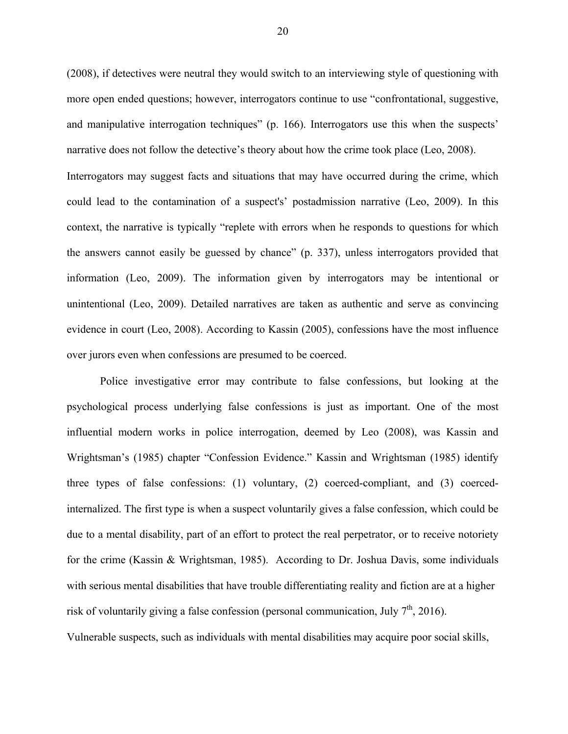(2008), if detectives were neutral they would switch to an interviewing style of questioning with more open ended questions; however, interrogators continue to use "confrontational, suggestive, and manipulative interrogation techniques" (p. 166). Interrogators use this when the suspects' narrative does not follow the detective's theory about how the crime took place (Leo, 2008). Interrogators may suggest facts and situations that may have occurred during the crime, which could lead to the contamination of a suspect's' postadmission narrative (Leo, 2009). In this context, the narrative is typically "replete with errors when he responds to questions for which the answers cannot easily be guessed by chance" (p. 337), unless interrogators provided that information (Leo, 2009). The information given by interrogators may be intentional or unintentional (Leo, 2009). Detailed narratives are taken as authentic and serve as convincing evidence in court (Leo, 2008). According to Kassin (2005), confessions have the most influence over jurors even when confessions are presumed to be coerced.

Police investigative error may contribute to false confessions, but looking at the psychological process underlying false confessions is just as important. One of the most influential modern works in police interrogation, deemed by Leo (2008), was Kassin and Wrightsman's (1985) chapter "Confession Evidence." Kassin and Wrightsman (1985) identify three types of false confessions: (1) voluntary, (2) coerced-compliant, and (3) coercedinternalized. The first type is when a suspect voluntarily gives a false confession, which could be due to a mental disability, part of an effort to protect the real perpetrator, or to receive notoriety for the crime (Kassin & Wrightsman, 1985). According to Dr. Joshua Davis, some individuals with serious mental disabilities that have trouble differentiating reality and fiction are at a higher risk of voluntarily giving a false confession (personal communication, July  $7<sup>th</sup>$ , 2016).

Vulnerable suspects, such as individuals with mental disabilities may acquire poor social skills,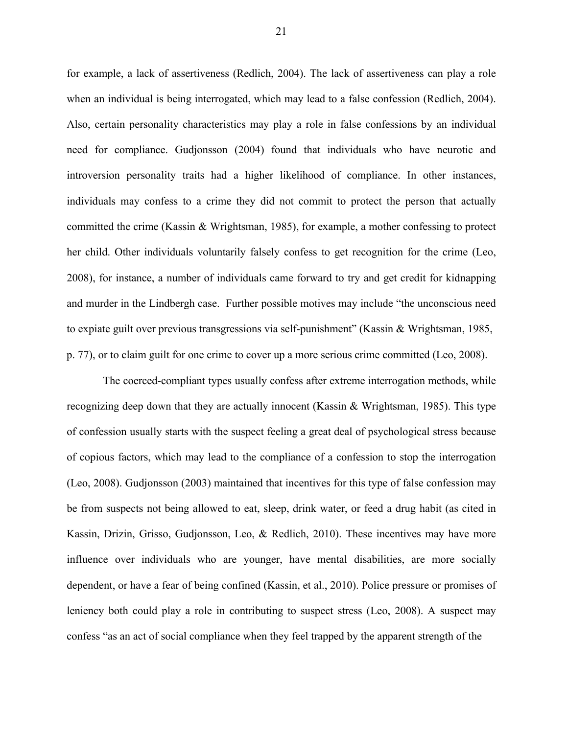for example, a lack of assertiveness (Redlich, 2004). The lack of assertiveness can play a role when an individual is being interrogated, which may lead to a false confession (Redlich, 2004). Also, certain personality characteristics may play a role in false confessions by an individual need for compliance. Gudjonsson (2004) found that individuals who have neurotic and introversion personality traits had a higher likelihood of compliance. In other instances, individuals may confess to a crime they did not commit to protect the person that actually committed the crime (Kassin & Wrightsman, 1985), for example, a mother confessing to protect her child. Other individuals voluntarily falsely confess to get recognition for the crime (Leo, 2008), for instance, a number of individuals came forward to try and get credit for kidnapping and murder in the Lindbergh case. Further possible motives may include "the unconscious need to expiate guilt over previous transgressions via self-punishment" (Kassin & Wrightsman, 1985, p. 77), or to claim guilt for one crime to cover up a more serious crime committed (Leo, 2008).

The coerced-compliant types usually confess after extreme interrogation methods, while recognizing deep down that they are actually innocent (Kassin & Wrightsman, 1985). This type of confession usually starts with the suspect feeling a great deal of psychological stress because of copious factors, which may lead to the compliance of a confession to stop the interrogation (Leo, 2008). Gudjonsson (2003) maintained that incentives for this type of false confession may be from suspects not being allowed to eat, sleep, drink water, or feed a drug habit (as cited in Kassin, Drizin, Grisso, Gudjonsson, Leo, & Redlich, 2010). These incentives may have more influence over individuals who are younger, have mental disabilities, are more socially dependent, or have a fear of being confined (Kassin, et al., 2010). Police pressure or promises of leniency both could play a role in contributing to suspect stress (Leo, 2008). A suspect may confess "as an act of social compliance when they feel trapped by the apparent strength of the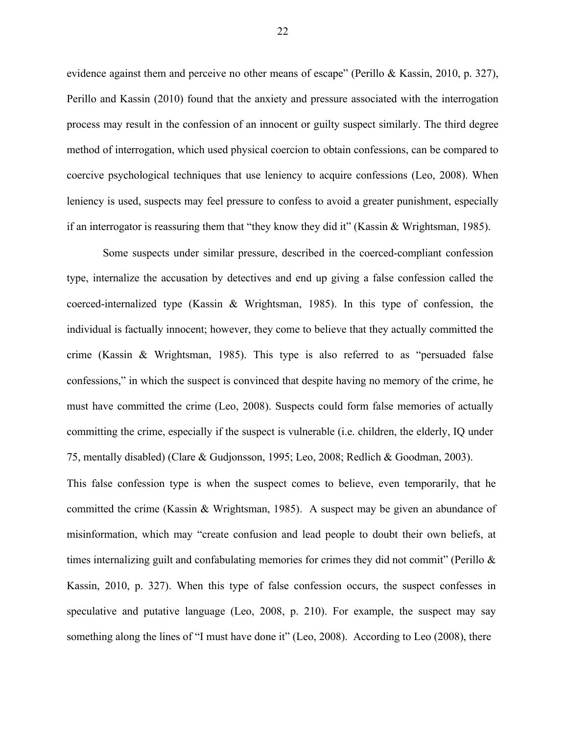evidence against them and perceive no other means of escape" (Perillo & Kassin, 2010, p. 327), Perillo and Kassin (2010) found that the anxiety and pressure associated with the interrogation process may result in the confession of an innocent or guilty suspect similarly. The third degree method of interrogation, which used physical coercion to obtain confessions, can be compared to coercive psychological techniques that use leniency to acquire confessions (Leo, 2008). When leniency is used, suspects may feel pressure to confess to avoid a greater punishment, especially if an interrogator is reassuring them that "they know they did it" (Kassin & Wrightsman, 1985).

Some suspects under similar pressure, described in the coerced-compliant confession type, internalize the accusation by detectives and end up giving a false confession called the coerced-internalized type (Kassin & Wrightsman, 1985). In this type of confession, the individual is factually innocent; however, they come to believe that they actually committed the crime (Kassin & Wrightsman, 1985). This type is also referred to as "persuaded false confessions," in which the suspect is convinced that despite having no memory of the crime, he must have committed the crime (Leo, 2008). Suspects could form false memories of actually committing the crime, especially if the suspect is vulnerable (i.e. children, the elderly, IQ under 75, mentally disabled) (Clare & Gudjonsson, 1995; Leo, 2008; Redlich & Goodman, 2003).

This false confession type is when the suspect comes to believe, even temporarily, that he committed the crime (Kassin & Wrightsman, 1985). A suspect may be given an abundance of misinformation, which may "create confusion and lead people to doubt their own beliefs, at times internalizing guilt and confabulating memories for crimes they did not commit" (Perillo & Kassin, 2010, p. 327). When this type of false confession occurs, the suspect confesses in speculative and putative language (Leo, 2008, p. 210). For example, the suspect may say something along the lines of "I must have done it" (Leo, 2008). According to Leo (2008), there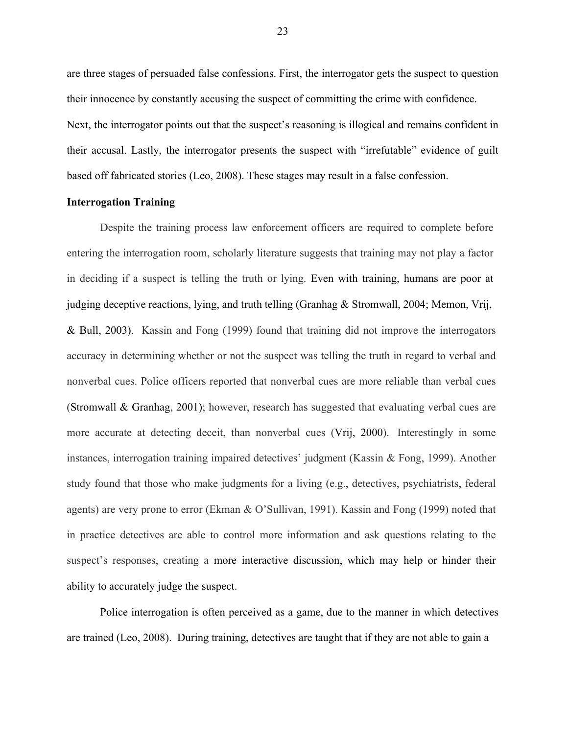are three stages of persuaded false confessions. First, the interrogator gets the suspect to question their innocence by constantly accusing the suspect of committing the crime with confidence. Next, the interrogator points out that the suspect's reasoning is illogical and remains confident in their accusal. Lastly, the interrogator presents the suspect with "irrefutable" evidence of guilt based off fabricated stories (Leo, 2008). These stages may result in a false confession.

## **Interrogation Training**

Despite the training process law enforcement officers are required to complete before entering the interrogation room, scholarly literature suggests that training may not play a factor in deciding if a suspect is telling the truth or lying. Even with training, humans are poor at judging deceptive reactions, lying, and truth telling (Granhag & Stromwall, 2004; Memon, Vrij, & Bull, 2003). Kassin and Fong (1999) found that training did not improve the interrogators accuracy in determining whether or not the suspect was telling the truth in regard to verbal and nonverbal cues. Police officers reported that nonverbal cues are more reliable than verbal cues (Stromwall & Granhag, 2001); however, research has suggested that evaluating verbal cues are more accurate at detecting deceit, than nonverbal cues (Vrij, 2000). Interestingly in some instances, interrogation training impaired detectives' judgment (Kassin & Fong, 1999). Another study found that those who make judgments for a living (e.g., detectives, psychiatrists, federal agents) are very prone to error (Ekman & O'Sullivan, 1991). Kassin and Fong (1999) noted that in practice detectives are able to control more information and ask questions relating to the suspect's responses, creating a more interactive discussion, which may help or hinder their ability to accurately judge the suspect.

Police interrogation is often perceived as a game, due to the manner in which detectives are trained (Leo, 2008). During training, detectives are taught that if they are not able to gain a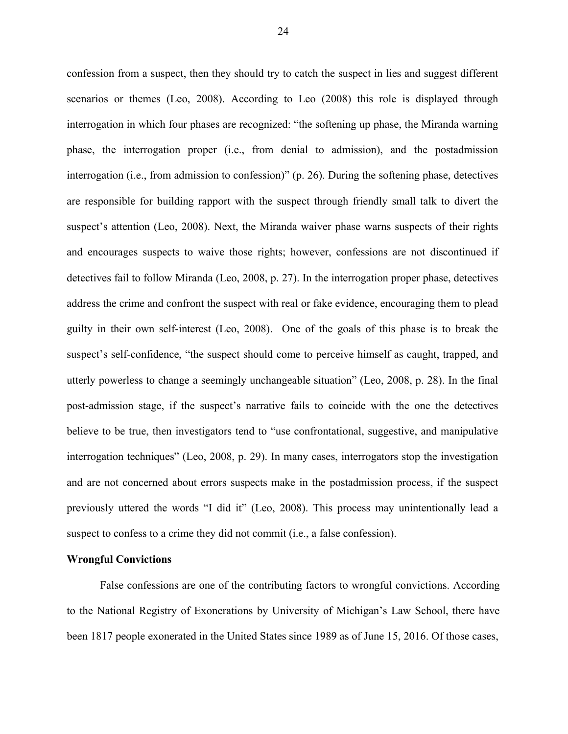confession from a suspect, then they should try to catch the suspect in lies and suggest different scenarios or themes (Leo, 2008). According to Leo (2008) this role is displayed through interrogation in which four phases are recognized: "the softening up phase, the Miranda warning phase, the interrogation proper (i.e., from denial to admission), and the postadmission interrogation (i.e., from admission to confession)" (p. 26). During the softening phase, detectives are responsible for building rapport with the suspect through friendly small talk to divert the suspect's attention (Leo, 2008). Next, the Miranda waiver phase warns suspects of their rights and encourages suspects to waive those rights; however, confessions are not discontinued if detectives fail to follow Miranda (Leo, 2008, p. 27). In the interrogation proper phase, detectives address the crime and confront the suspect with real or fake evidence, encouraging them to plead guilty in their own self-interest (Leo, 2008). One of the goals of this phase is to break the suspect's self-confidence, "the suspect should come to perceive himself as caught, trapped, and utterly powerless to change a seemingly unchangeable situation" (Leo, 2008, p. 28). In the final post-admission stage, if the suspect's narrative fails to coincide with the one the detectives believe to be true, then investigators tend to "use confrontational, suggestive, and manipulative interrogation techniques" (Leo, 2008, p. 29). In many cases, interrogators stop the investigation and are not concerned about errors suspects make in the postadmission process, if the suspect previously uttered the words "I did it" (Leo, 2008). This process may unintentionally lead a suspect to confess to a crime they did not commit (i.e., a false confession).

## **Wrongful Convictions**

False confessions are one of the contributing factors to wrongful convictions. According to the National Registry of Exonerations by University of Michigan's Law School, there have been 1817 people exonerated in the United States since 1989 as of June 15, 2016. Of those cases,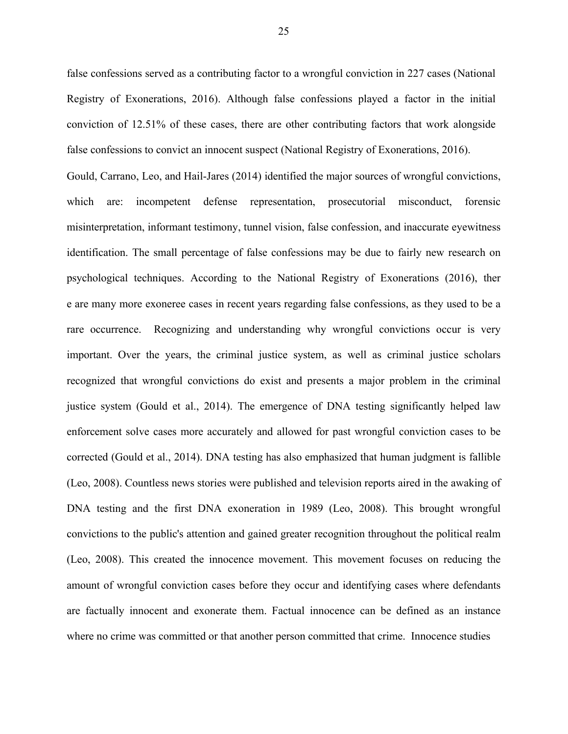false confessions served as a contributing factor to a wrongful conviction in 227 cases (National Registry of Exonerations, 2016). Although false confessions played a factor in the initial conviction of 12.51% of these cases, there are other contributing factors that work alongside false confessions to convict an innocent suspect (National Registry of Exonerations, 2016). Gould, Carrano, Leo, and Hail-Jares (2014) identified the major sources of wrongful convictions, which are: incompetent defense representation, prosecutorial misconduct, forensic misinterpretation, informant testimony, tunnel vision, false confession, and inaccurate eyewitness identification. The small percentage of false confessions may be due to fairly new research on psychological techniques. According to the National Registry of Exonerations (2016), ther e are many more exoneree cases in recent years regarding false confessions, as they used to be a rare occurrence. Recognizing and understanding why wrongful convictions occur is very important. Over the years, the criminal justice system, as well as criminal justice scholars recognized that wrongful convictions do exist and presents a major problem in the criminal justice system (Gould et al., 2014). The emergence of DNA testing significantly helped law enforcement solve cases more accurately and allowed for past wrongful conviction cases to be corrected (Gould et al., 2014). DNA testing has also emphasized that human judgment is fallible (Leo, 2008). Countless news stories were published and television reports aired in the awaking of DNA testing and the first DNA exoneration in 1989 (Leo, 2008). This brought wrongful convictions to the public's attention and gained greater recognition throughout the political realm (Leo, 2008). This created the innocence movement. This movement focuses on reducing the amount of wrongful conviction cases before they occur and identifying cases where defendants are factually innocent and exonerate them. Factual innocence can be defined as an instance where no crime was committed or that another person committed that crime. Innocence studies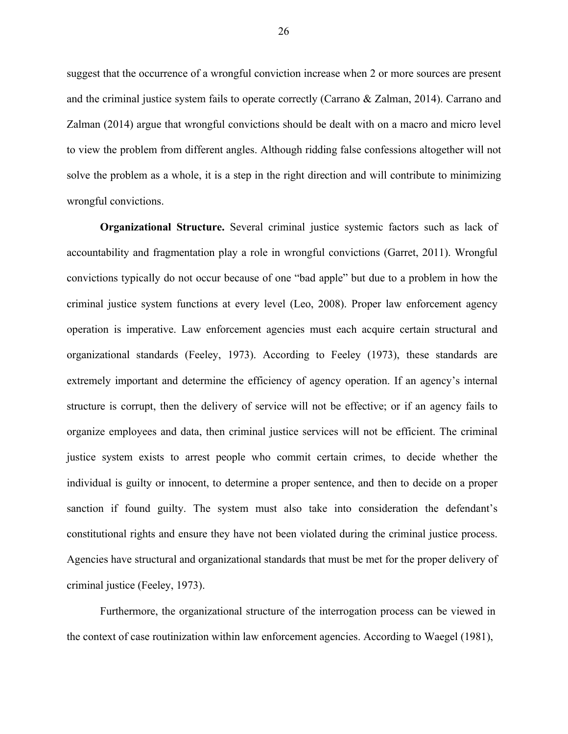suggest that the occurrence of a wrongful conviction increase when 2 or more sources are present and the criminal justice system fails to operate correctly (Carrano & Zalman, 2014). Carrano and Zalman (2014) argue that wrongful convictions should be dealt with on a macro and micro level to view the problem from different angles. Although ridding false confessions altogether will not solve the problem as a whole, it is a step in the right direction and will contribute to minimizing wrongful convictions.

**Organizational Structure.** Several criminal justice systemic factors such as lack of accountability and fragmentation play a role in wrongful convictions (Garret, 2011). Wrongful convictions typically do not occur because of one "bad apple" but due to a problem in how the criminal justice system functions at every level (Leo, 2008). Proper law enforcement agency operation is imperative. Law enforcement agencies must each acquire certain structural and organizational standards (Feeley, 1973). According to Feeley (1973), these standards are extremely important and determine the efficiency of agency operation. If an agency's internal structure is corrupt, then the delivery of service will not be effective; or if an agency fails to organize employees and data, then criminal justice services will not be efficient. The criminal justice system exists to arrest people who commit certain crimes, to decide whether the individual is guilty or innocent, to determine a proper sentence, and then to decide on a proper sanction if found guilty. The system must also take into consideration the defendant's constitutional rights and ensure they have not been violated during the criminal justice process. Agencies have structural and organizational standards that must be met for the proper delivery of criminal justice (Feeley, 1973).

Furthermore, the organizational structure of the interrogation process can be viewed in the context of case routinization within law enforcement agencies. According to Waegel (1981),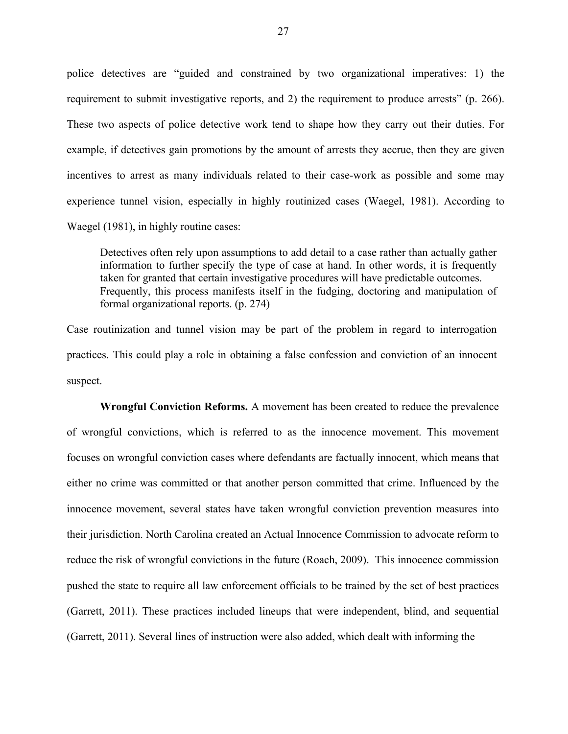police detectives are "guided and constrained by two organizational imperatives: 1) the requirement to submit investigative reports, and 2) the requirement to produce arrests" (p. 266). These two aspects of police detective work tend to shape how they carry out their duties. For example, if detectives gain promotions by the amount of arrests they accrue, then they are given incentives to arrest as many individuals related to their case-work as possible and some may experience tunnel vision, especially in highly routinized cases (Waegel, 1981). According to Waegel (1981), in highly routine cases:

Detectives often rely upon assumptions to add detail to a case rather than actually gather information to further specify the type of case at hand. In other words, it is frequently taken for granted that certain investigative procedures will have predictable outcomes. Frequently, this process manifests itself in the fudging, doctoring and manipulation of formal organizational reports. (p. 274)

Case routinization and tunnel vision may be part of the problem in regard to interrogation practices. This could play a role in obtaining a false confession and conviction of an innocent suspect.

**Wrongful Conviction Reforms.** A movement has been created to reduce the prevalence of wrongful convictions, which is referred to as the innocence movement. This movement focuses on wrongful conviction cases where defendants are factually innocent, which means that either no crime was committed or that another person committed that crime. Influenced by the innocence movement, several states have taken wrongful conviction prevention measures into their jurisdiction. North Carolina created an Actual Innocence Commission to advocate reform to reduce the risk of wrongful convictions in the future (Roach, 2009). This innocence commission pushed the state to require all law enforcement officials to be trained by the set of best practices (Garrett, 2011). These practices included lineups that were independent, blind, and sequential (Garrett, 2011). Several lines of instruction were also added, which dealt with informing the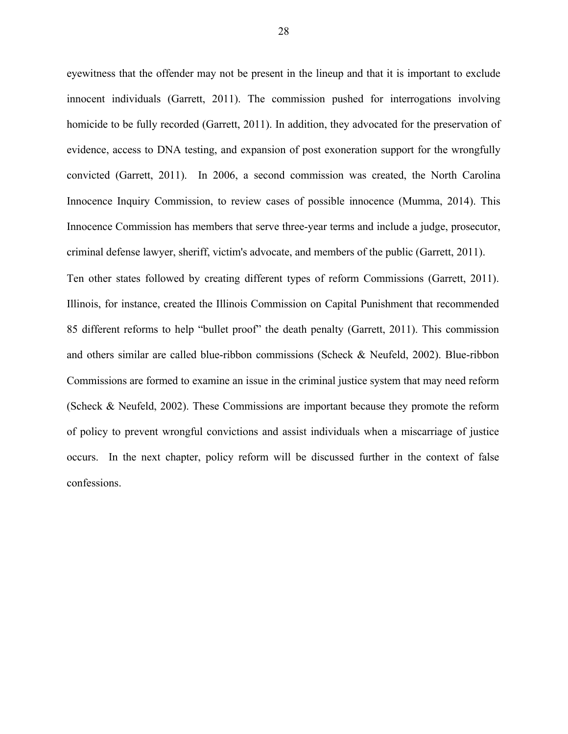eyewitness that the offender may not be present in the lineup and that it is important to exclude innocent individuals (Garrett, 2011). The commission pushed for interrogations involving homicide to be fully recorded (Garrett, 2011). In addition, they advocated for the preservation of evidence, access to DNA testing, and expansion of post exoneration support for the wrongfully convicted (Garrett, 2011). In 2006, a second commission was created, the North Carolina Innocence Inquiry Commission, to review cases of possible innocence (Mumma, 2014). This Innocence Commission has members that serve three-year terms and include a judge, prosecutor, criminal defense lawyer, sheriff, victim's advocate, and members of the public (Garrett, 2011). Ten other states followed by creating different types of reform Commissions (Garrett, 2011). Illinois, for instance, created the Illinois Commission on Capital Punishment that recommended

85 different reforms to help "bullet proof" the death penalty (Garrett, 2011). This commission and others similar are called blue-ribbon commissions (Scheck & Neufeld, 2002). Blue-ribbon Commissions are formed to examine an issue in the criminal justice system that may need reform (Scheck & Neufeld, 2002). These Commissions are important because they promote the reform of policy to prevent wrongful convictions and assist individuals when a miscarriage of justice occurs. In the next chapter, policy reform will be discussed further in the context of false confessions.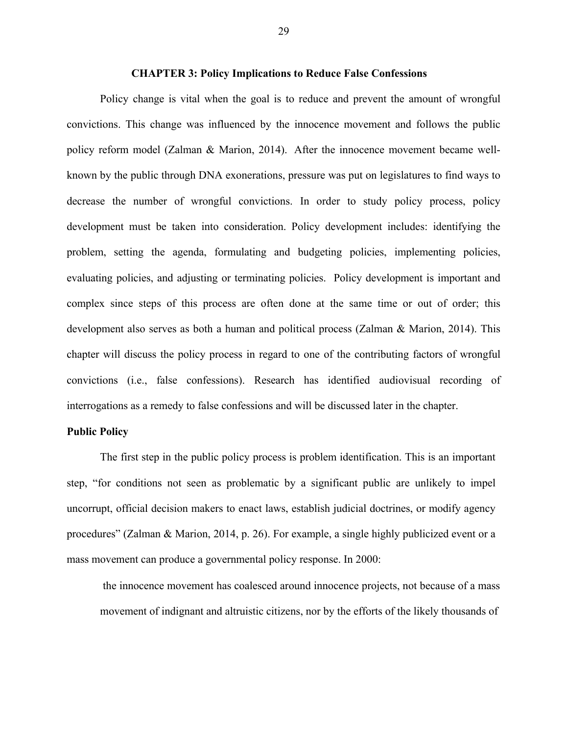## **CHAPTER 3: Policy Implications to Reduce False Confessions**

Policy change is vital when the goal is to reduce and prevent the amount of wrongful convictions. This change was influenced by the innocence movement and follows the public policy reform model (Zalman & Marion, 2014). After the innocence movement became wellknown by the public through DNA exonerations, pressure was put on legislatures to find ways to decrease the number of wrongful convictions. In order to study policy process, policy development must be taken into consideration. Policy development includes: identifying the problem, setting the agenda, formulating and budgeting policies, implementing policies, evaluating policies, and adjusting or terminating policies. Policy development is important and complex since steps of this process are often done at the same time or out of order; this development also serves as both a human and political process (Zalman & Marion, 2014). This chapter will discuss the policy process in regard to one of the contributing factors of wrongful convictions (i.e., false confessions). Research has identified audiovisual recording of interrogations as a remedy to false confessions and will be discussed later in the chapter.

## **Public Policy**

The first step in the public policy process is problem identification. This is an important step, "for conditions not seen as problematic by a significant public are unlikely to impel uncorrupt, official decision makers to enact laws, establish judicial doctrines, or modify agency procedures" (Zalman & Marion, 2014, p. 26). For example, a single highly publicized event or a mass movement can produce a governmental policy response. In 2000:

the innocence movement has coalesced around innocence projects, not because of a mass movement of indignant and altruistic citizens, nor by the efforts of the likely thousands of

29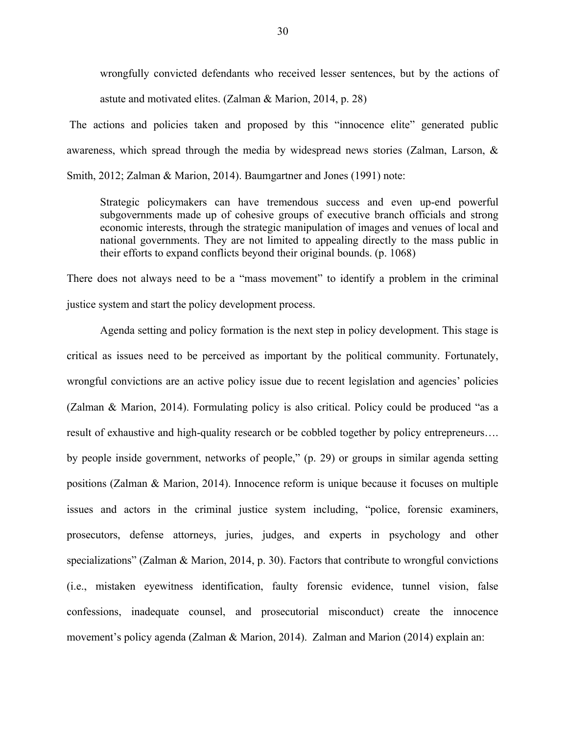wrongfully convicted defendants who received lesser sentences, but by the actions of astute and motivated elites. (Zalman & Marion, 2014, p. 28)

The actions and policies taken and proposed by this "innocence elite" generated public awareness, which spread through the media by widespread news stories (Zalman, Larson, & Smith, 2012; Zalman & Marion, 2014). Baumgartner and Jones (1991) note:

Strategic policymakers can have tremendous success and even up-end powerful subgovernments made up of cohesive groups of executive branch officials and strong economic interests, through the strategic manipulation of images and venues of local and national governments. They are not limited to appealing directly to the mass public in their efforts to expand conflicts beyond their original bounds. (p. 1068)

There does not always need to be a "mass movement" to identify a problem in the criminal justice system and start the policy development process.

Agenda setting and policy formation is the next step in policy development. This stage is critical as issues need to be perceived as important by the political community. Fortunately, wrongful convictions are an active policy issue due to recent legislation and agencies' policies (Zalman & Marion, 2014). Formulating policy is also critical. Policy could be produced "as a result of exhaustive and high-quality research or be cobbled together by policy entrepreneurs…. by people inside government, networks of people," (p. 29) or groups in similar agenda setting positions (Zalman & Marion, 2014). Innocence reform is unique because it focuses on multiple issues and actors in the criminal justice system including, "police, forensic examiners, prosecutors, defense attorneys, juries, judges, and experts in psychology and other specializations" (Zalman & Marion, 2014, p. 30). Factors that contribute to wrongful convictions (i.e., mistaken eyewitness identification, faulty forensic evidence, tunnel vision, false confessions, inadequate counsel, and prosecutorial misconduct) create the innocence movement's policy agenda (Zalman & Marion, 2014). Zalman and Marion (2014) explain an: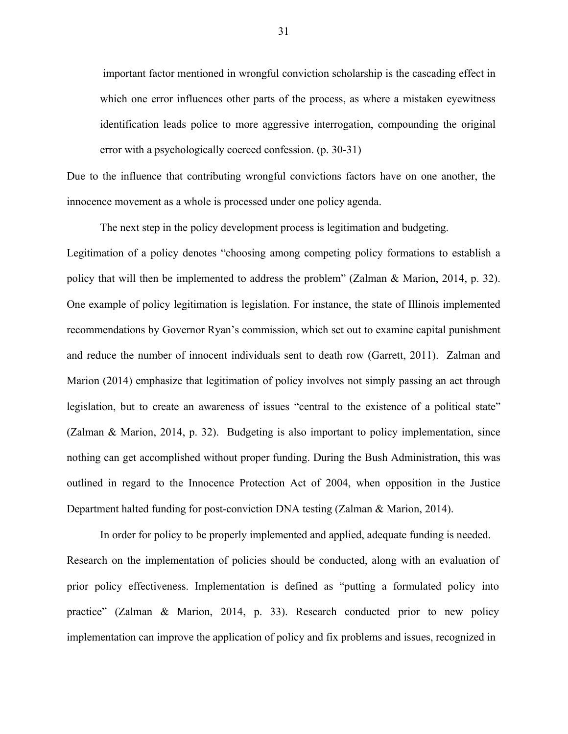important factor mentioned in wrongful conviction scholarship is the cascading effect in which one error influences other parts of the process, as where a mistaken eyewitness identification leads police to more aggressive interrogation, compounding the original error with a psychologically coerced confession. (p. 30-31)

Due to the influence that contributing wrongful convictions factors have on one another, the innocence movement as a whole is processed under one policy agenda.

The next step in the policy development process is legitimation and budgeting.

Legitimation of a policy denotes "choosing among competing policy formations to establish a policy that will then be implemented to address the problem" (Zalman & Marion, 2014, p. 32). One example of policy legitimation is legislation. For instance, the state of Illinois implemented recommendations by Governor Ryan's commission, which set out to examine capital punishment and reduce the number of innocent individuals sent to death row (Garrett, 2011). Zalman and Marion (2014) emphasize that legitimation of policy involves not simply passing an act through legislation, but to create an awareness of issues "central to the existence of a political state" (Zalman & Marion, 2014, p. 32). Budgeting is also important to policy implementation, since nothing can get accomplished without proper funding. During the Bush Administration, this was outlined in regard to the Innocence Protection Act of 2004, when opposition in the Justice Department halted funding for post-conviction DNA testing (Zalman & Marion, 2014).

In order for policy to be properly implemented and applied, adequate funding is needed. Research on the implementation of policies should be conducted, along with an evaluation of prior policy effectiveness. Implementation is defined as "putting a formulated policy into practice" (Zalman & Marion, 2014, p. 33). Research conducted prior to new policy implementation can improve the application of policy and fix problems and issues, recognized in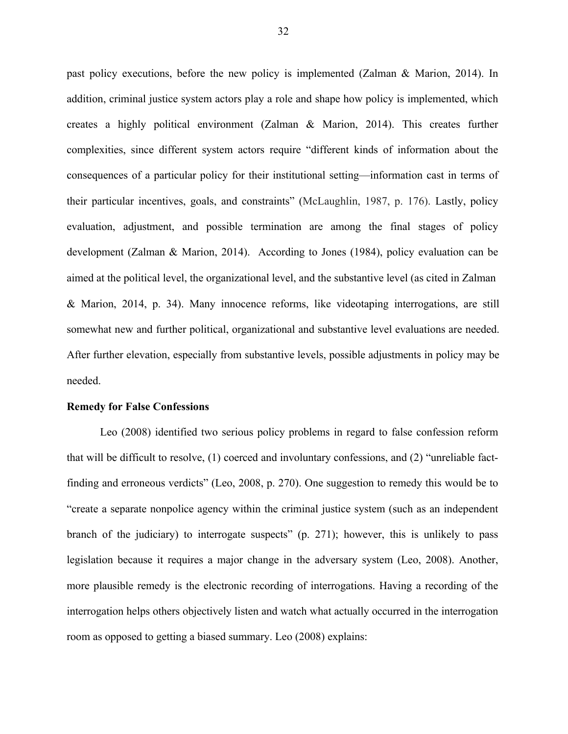past policy executions, before the new policy is implemented (Zalman & Marion, 2014). In addition, criminal justice system actors play a role and shape how policy is implemented, which creates a highly political environment (Zalman & Marion, 2014). This creates further complexities, since different system actors require "different kinds of information about the consequences of a particular policy for their institutional setting—information cast in terms of their particular incentives, goals, and constraints" (McLaughlin, 1987, p. 176). Lastly, policy evaluation, adjustment, and possible termination are among the final stages of policy development (Zalman & Marion, 2014). According to Jones (1984), policy evaluation can be aimed at the political level, the organizational level, and the substantive level (as cited in Zalman & Marion, 2014, p. 34). Many innocence reforms, like videotaping interrogations, are still somewhat new and further political, organizational and substantive level evaluations are needed. After further elevation, especially from substantive levels, possible adjustments in policy may be needed.

### **Remedy for False Confessions**

Leo (2008) identified two serious policy problems in regard to false confession reform that will be difficult to resolve, (1) coerced and involuntary confessions, and (2) "unreliable factfinding and erroneous verdicts" (Leo, 2008, p. 270). One suggestion to remedy this would be to "create a separate nonpolice agency within the criminal justice system (such as an independent branch of the judiciary) to interrogate suspects" (p. 271); however, this is unlikely to pass legislation because it requires a major change in the adversary system (Leo, 2008). Another, more plausible remedy is the electronic recording of interrogations. Having a recording of the interrogation helps others objectively listen and watch what actually occurred in the interrogation room as opposed to getting a biased summary. Leo (2008) explains: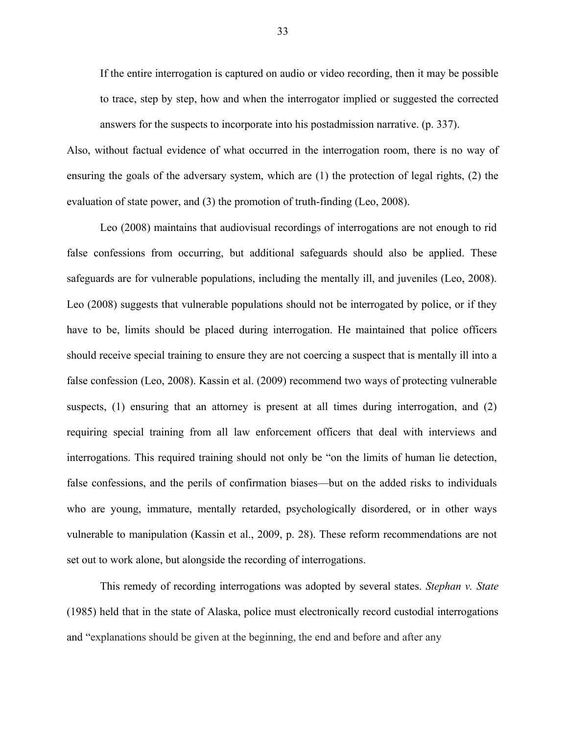If the entire interrogation is captured on audio or video recording, then it may be possible to trace, step by step, how and when the interrogator implied or suggested the corrected answers for the suspects to incorporate into his postadmission narrative. (p. 337).

Also, without factual evidence of what occurred in the interrogation room, there is no way of ensuring the goals of the adversary system, which are (1) the protection of legal rights, (2) the evaluation of state power, and (3) the promotion of truth-finding (Leo, 2008).

Leo (2008) maintains that audiovisual recordings of interrogations are not enough to rid false confessions from occurring, but additional safeguards should also be applied. These safeguards are for vulnerable populations, including the mentally ill, and juveniles (Leo, 2008). Leo (2008) suggests that vulnerable populations should not be interrogated by police, or if they have to be, limits should be placed during interrogation. He maintained that police officers should receive special training to ensure they are not coercing a suspect that is mentally ill into a false confession (Leo, 2008). Kassin et al. (2009) recommend two ways of protecting vulnerable suspects, (1) ensuring that an attorney is present at all times during interrogation, and (2) requiring special training from all law enforcement officers that deal with interviews and interrogations. This required training should not only be "on the limits of human lie detection, false confessions, and the perils of confirmation biases—but on the added risks to individuals who are young, immature, mentally retarded, psychologically disordered, or in other ways vulnerable to manipulation (Kassin et al., 2009, p. 28). These reform recommendations are not set out to work alone, but alongside the recording of interrogations.

This remedy of recording interrogations was adopted by several states. *Stephan v. State* (1985) held that in the state of Alaska, police must electronically record custodial interrogations and "explanations should be given at the beginning, the end and before and after any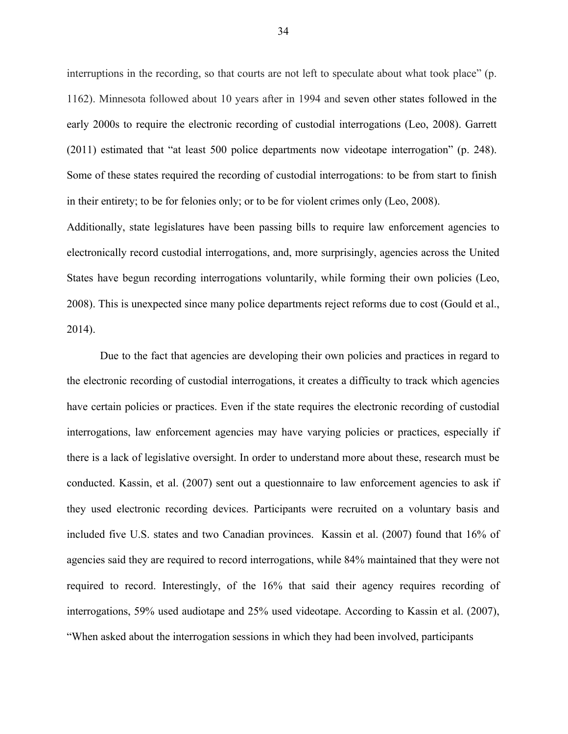interruptions in the recording, so that courts are not left to speculate about what took place" (p. 1162). Minnesota followed about 10 years after in 1994 and seven other states followed in the early 2000s to require the electronic recording of custodial interrogations (Leo, 2008). Garrett (2011) estimated that "at least 500 police departments now videotape interrogation" (p. 248). Some of these states required the recording of custodial interrogations: to be from start to finish in their entirety; to be for felonies only; or to be for violent crimes only (Leo, 2008).

Additionally, state legislatures have been passing bills to require law enforcement agencies to electronically record custodial interrogations, and, more surprisingly, agencies across the United States have begun recording interrogations voluntarily, while forming their own policies (Leo, 2008). This is unexpected since many police departments reject reforms due to cost (Gould et al., 2014).

Due to the fact that agencies are developing their own policies and practices in regard to the electronic recording of custodial interrogations, it creates a difficulty to track which agencies have certain policies or practices. Even if the state requires the electronic recording of custodial interrogations, law enforcement agencies may have varying policies or practices, especially if there is a lack of legislative oversight. In order to understand more about these, research must be conducted. Kassin, et al. (2007) sent out a questionnaire to law enforcement agencies to ask if they used electronic recording devices. Participants were recruited on a voluntary basis and included five U.S. states and two Canadian provinces. Kassin et al. (2007) found that 16% of agencies said they are required to record interrogations, while 84% maintained that they were not required to record. Interestingly, of the 16% that said their agency requires recording of interrogations, 59% used audiotape and 25% used videotape. According to Kassin et al. (2007), "When asked about the interrogation sessions in which they had been involved, participants

34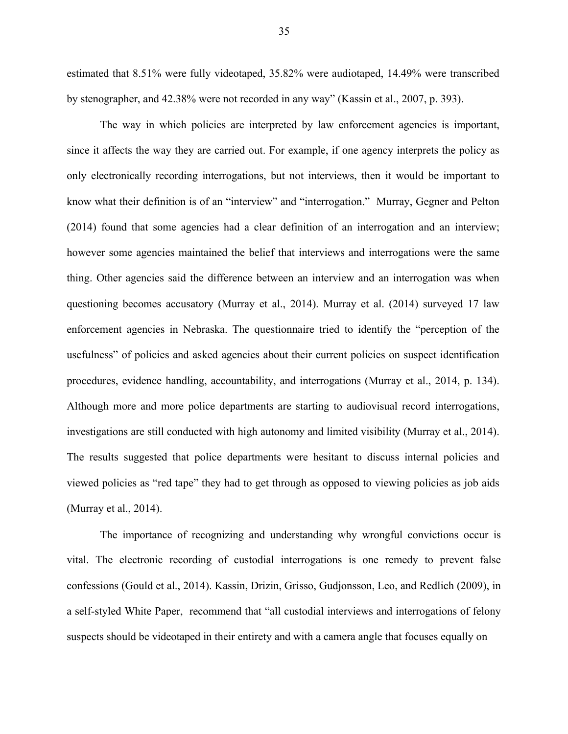estimated that 8.51% were fully videotaped, 35.82% were audiotaped, 14.49% were transcribed by stenographer, and 42.38% were not recorded in any way" (Kassin et al., 2007, p. 393).

The way in which policies are interpreted by law enforcement agencies is important, since it affects the way they are carried out. For example, if one agency interprets the policy as only electronically recording interrogations, but not interviews, then it would be important to know what their definition is of an "interview" and "interrogation." Murray, Gegner and Pelton (2014) found that some agencies had a clear definition of an interrogation and an interview; however some agencies maintained the belief that interviews and interrogations were the same thing. Other agencies said the difference between an interview and an interrogation was when questioning becomes accusatory (Murray et al., 2014). Murray et al. (2014) surveyed 17 law enforcement agencies in Nebraska. The questionnaire tried to identify the "perception of the usefulness" of policies and asked agencies about their current policies on suspect identification procedures, evidence handling, accountability, and interrogations (Murray et al., 2014, p. 134). Although more and more police departments are starting to audiovisual record interrogations, investigations are still conducted with high autonomy and limited visibility (Murray et al., 2014). The results suggested that police departments were hesitant to discuss internal policies and viewed policies as "red tape" they had to get through as opposed to viewing policies as job aids (Murray et al., 2014).

The importance of recognizing and understanding why wrongful convictions occur is vital. The electronic recording of custodial interrogations is one remedy to prevent false confessions (Gould et al., 2014). Kassin, Drizin, Grisso, Gudjonsson, Leo, and Redlich (2009), in a self-styled White Paper, recommend that "all custodial interviews and interrogations of felony suspects should be videotaped in their entirety and with a camera angle that focuses equally on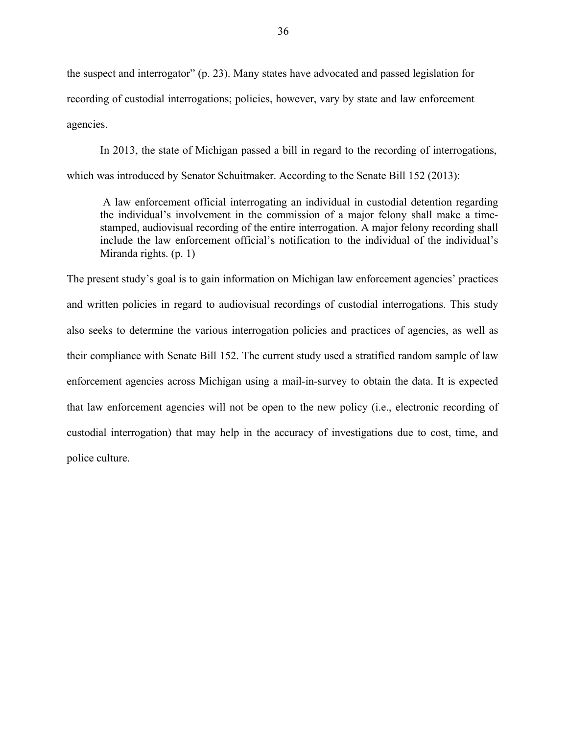the suspect and interrogator" (p. 23). Many states have advocated and passed legislation for recording of custodial interrogations; policies, however, vary by state and law enforcement agencies.

In 2013, the state of Michigan passed a bill in regard to the recording of interrogations, which was introduced by Senator Schuitmaker. According to the Senate Bill 152 (2013):

A law enforcement official interrogating an individual in custodial detention regarding the individual's involvement in the commission of a major felony shall make a timestamped, audiovisual recording of the entire interrogation. A major felony recording shall include the law enforcement official's notification to the individual of the individual's Miranda rights. (p. 1)

The present study's goal is to gain information on Michigan law enforcement agencies' practices and written policies in regard to audiovisual recordings of custodial interrogations. This study also seeks to determine the various interrogation policies and practices of agencies, as well as their compliance with Senate Bill 152. The current study used a stratified random sample of law enforcement agencies across Michigan using a mail-in-survey to obtain the data. It is expected that law enforcement agencies will not be open to the new policy (i.e., electronic recording of custodial interrogation) that may help in the accuracy of investigations due to cost, time, and police culture.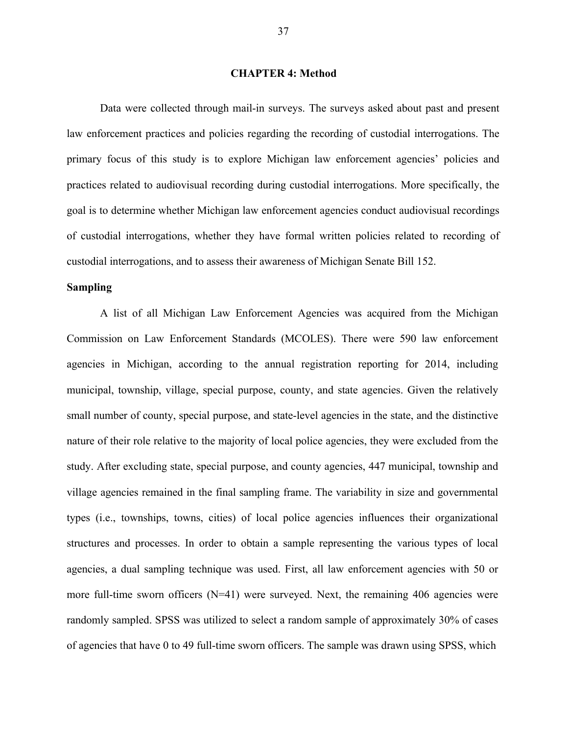# **CHAPTER 4: Method**

Data were collected through mail-in surveys. The surveys asked about past and present law enforcement practices and policies regarding the recording of custodial interrogations. The primary focus of this study is to explore Michigan law enforcement agencies' policies and practices related to audiovisual recording during custodial interrogations. More specifically, the goal is to determine whether Michigan law enforcement agencies conduct audiovisual recordings of custodial interrogations, whether they have formal written policies related to recording of custodial interrogations, and to assess their awareness of Michigan Senate Bill 152.

# **Sampling**

A list of all Michigan Law Enforcement Agencies was acquired from the Michigan Commission on Law Enforcement Standards (MCOLES). There were 590 law enforcement agencies in Michigan, according to the annual registration reporting for 2014, including municipal, township, village, special purpose, county, and state agencies. Given the relatively small number of county, special purpose, and state-level agencies in the state, and the distinctive nature of their role relative to the majority of local police agencies, they were excluded from the study. After excluding state, special purpose, and county agencies, 447 municipal, township and village agencies remained in the final sampling frame. The variability in size and governmental types (i.e., townships, towns, cities) of local police agencies influences their organizational structures and processes. In order to obtain a sample representing the various types of local agencies, a dual sampling technique was used. First, all law enforcement agencies with 50 or more full-time sworn officers  $(N=41)$  were surveyed. Next, the remaining 406 agencies were randomly sampled. SPSS was utilized to select a random sample of approximately 30% of cases of agencies that have 0 to 49 full-time sworn officers. The sample was drawn using SPSS, which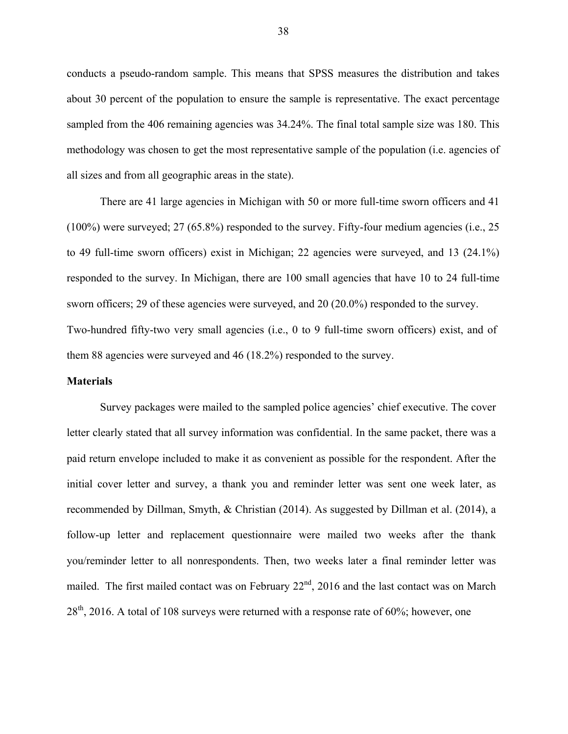conducts a pseudo-random sample. This means that SPSS measures the distribution and takes about 30 percent of the population to ensure the sample is representative. The exact percentage sampled from the 406 remaining agencies was 34.24%. The final total sample size was 180. This methodology was chosen to get the most representative sample of the population (i.e. agencies of all sizes and from all geographic areas in the state).

There are 41 large agencies in Michigan with 50 or more full-time sworn officers and 41 (100%) were surveyed; 27 (65.8%) responded to the survey. Fifty-four medium agencies (i.e., 25 to 49 full-time sworn officers) exist in Michigan; 22 agencies were surveyed, and 13 (24.1%) responded to the survey. In Michigan, there are 100 small agencies that have 10 to 24 full-time sworn officers; 29 of these agencies were surveyed, and 20 (20.0%) responded to the survey. Two-hundred fifty-two very small agencies (i.e., 0 to 9 full-time sworn officers) exist, and of them 88 agencies were surveyed and 46 (18.2%) responded to the survey.

#### **Materials**

Survey packages were mailed to the sampled police agencies' chief executive. The cover letter clearly stated that all survey information was confidential. In the same packet, there was a paid return envelope included to make it as convenient as possible for the respondent. After the initial cover letter and survey, a thank you and reminder letter was sent one week later, as recommended by Dillman, Smyth, & Christian (2014). As suggested by Dillman et al. (2014), a follow-up letter and replacement questionnaire were mailed two weeks after the thank you/reminder letter to all nonrespondents. Then, two weeks later a final reminder letter was mailed. The first mailed contact was on February  $22<sup>nd</sup>$ , 2016 and the last contact was on March  $28<sup>th</sup>$ , 2016. A total of 108 surveys were returned with a response rate of 60%; however, one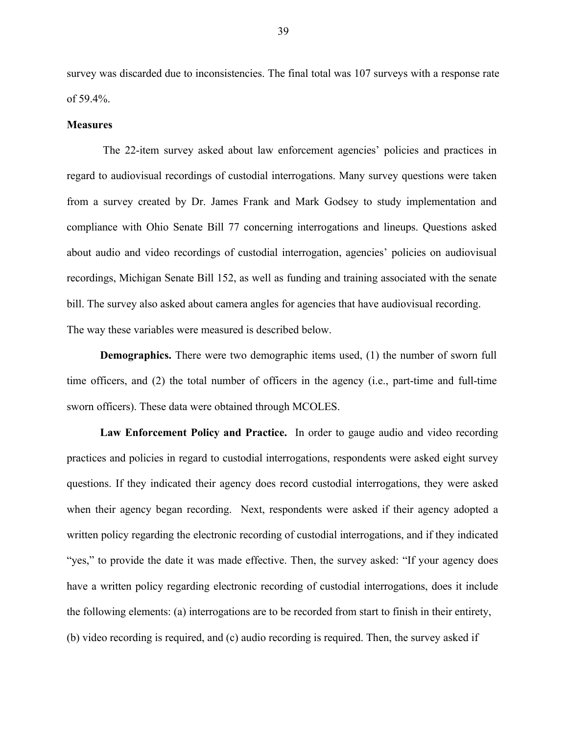survey was discarded due to inconsistencies. The final total was 107 surveys with a response rate of 59.4%.

#### **Measures**

The 22-item survey asked about law enforcement agencies' policies and practices in regard to audiovisual recordings of custodial interrogations. Many survey questions were taken from a survey created by Dr. James Frank and Mark Godsey to study implementation and compliance with Ohio Senate Bill 77 concerning interrogations and lineups. Questions asked about audio and video recordings of custodial interrogation, agencies' policies on audiovisual recordings, Michigan Senate Bill 152, as well as funding and training associated with the senate bill. The survey also asked about camera angles for agencies that have audiovisual recording. The way these variables were measured is described below.

**Demographics.** There were two demographic items used, (1) the number of sworn full time officers, and (2) the total number of officers in the agency (i.e., part-time and full-time sworn officers). These data were obtained through MCOLES.

**Law Enforcement Policy and Practice.** In order to gauge audio and video recording practices and policies in regard to custodial interrogations, respondents were asked eight survey questions. If they indicated their agency does record custodial interrogations, they were asked when their agency began recording. Next, respondents were asked if their agency adopted a written policy regarding the electronic recording of custodial interrogations, and if they indicated "yes," to provide the date it was made effective. Then, the survey asked: "If your agency does have a written policy regarding electronic recording of custodial interrogations, does it include the following elements: (a) interrogations are to be recorded from start to finish in their entirety, (b) video recording is required, and (c) audio recording is required. Then, the survey asked if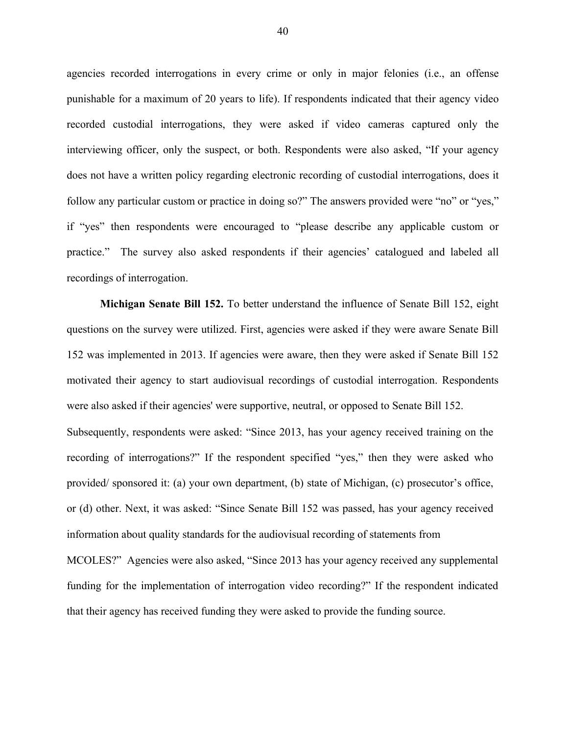agencies recorded interrogations in every crime or only in major felonies (i.e., an offense punishable for a maximum of 20 years to life). If respondents indicated that their agency video recorded custodial interrogations, they were asked if video cameras captured only the interviewing officer, only the suspect, or both. Respondents were also asked, "If your agency does not have a written policy regarding electronic recording of custodial interrogations, does it follow any particular custom or practice in doing so?" The answers provided were "no" or "yes," if "yes" then respondents were encouraged to "please describe any applicable custom or practice." The survey also asked respondents if their agencies' catalogued and labeled all recordings of interrogation.

**Michigan Senate Bill 152.** To better understand the influence of Senate Bill 152, eight questions on the survey were utilized. First, agencies were asked if they were aware Senate Bill 152 was implemented in 2013. If agencies were aware, then they were asked if Senate Bill 152 motivated their agency to start audiovisual recordings of custodial interrogation. Respondents were also asked if their agencies' were supportive, neutral, or opposed to Senate Bill 152. Subsequently, respondents were asked: "Since 2013, has your agency received training on the recording of interrogations?" If the respondent specified "yes," then they were asked who provided/ sponsored it: (a) your own department, (b) state of Michigan, (c) prosecutor's office, or (d) other. Next, it was asked: "Since Senate Bill 152 was passed, has your agency received information about quality standards for the audiovisual recording of statements from MCOLES?" Agencies were also asked, "Since 2013 has your agency received any supplemental funding for the implementation of interrogation video recording?" If the respondent indicated that their agency has received funding they were asked to provide the funding source.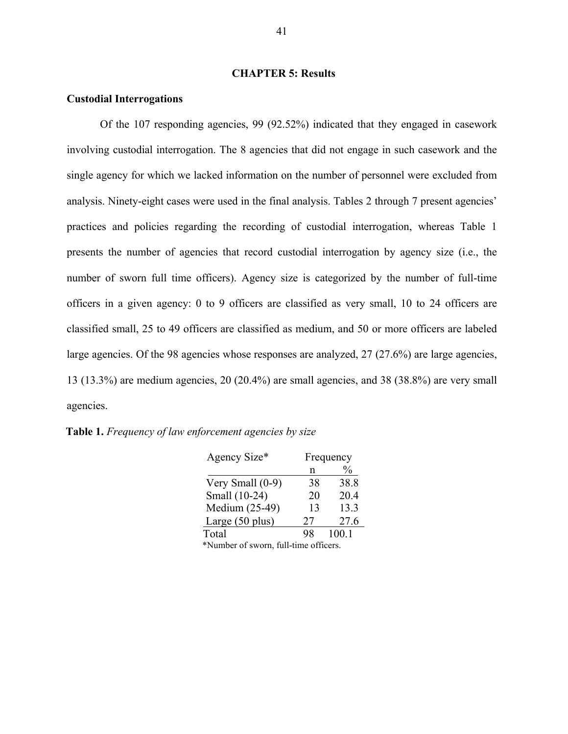# **CHAPTER 5: Results**

#### **Custodial Interrogations**

Of the 107 responding agencies, 99 (92.52%) indicated that they engaged in casework involving custodial interrogation. The 8 agencies that did not engage in such casework and the single agency for which we lacked information on the number of personnel were excluded from analysis. Ninety-eight cases were used in the final analysis. Tables 2 through 7 present agencies' practices and policies regarding the recording of custodial interrogation, whereas Table 1 presents the number of agencies that record custodial interrogation by agency size (i.e., the number of sworn full time officers). Agency size is categorized by the number of full-time officers in a given agency: 0 to 9 officers are classified as very small, 10 to 24 officers are classified small, 25 to 49 officers are classified as medium, and 50 or more officers are labeled large agencies. Of the 98 agencies whose responses are analyzed, 27 (27.6%) are large agencies, 13 (13.3%) are medium agencies, 20 (20.4%) are small agencies, and 38 (38.8%) are very small agencies.

**Table 1.** *Frequency of law enforcement agencies by size*

| Agency Size*                          |    | Frequency |
|---------------------------------------|----|-----------|
|                                       | n  |           |
| Very Small (0-9)                      | 38 | 38.8      |
| Small (10-24)                         | 20 | 20.4      |
| Medium (25-49)                        | 13 | 13.3      |
| Large $(50$ plus)                     | 27 | 27.6      |
| Total                                 | 98 | 100.1     |
| *Number of sworn, full-time officers. |    |           |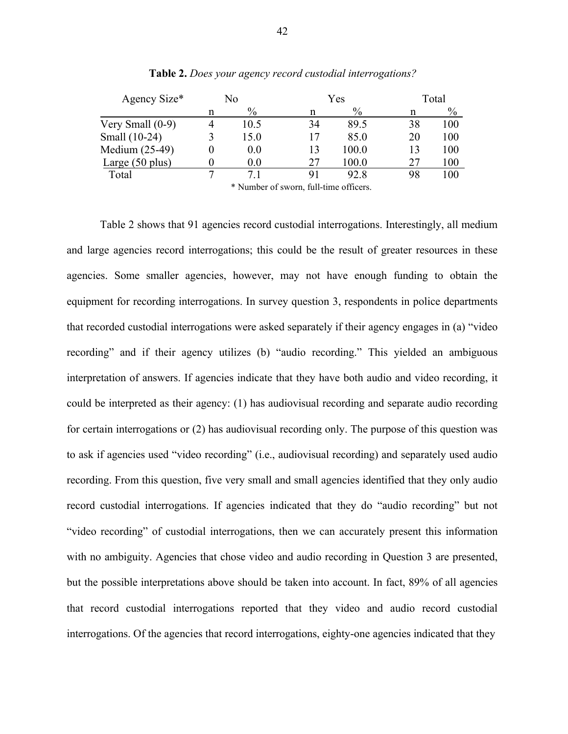| Agency Size*              | No |                                       |    | Yes   | Total |      |  |
|---------------------------|----|---------------------------------------|----|-------|-------|------|--|
|                           | n  | $\%$                                  | n  | $\%$  | n     | $\%$ |  |
| Very Small $(0-9)$        |    | 10.5                                  | 34 | 89.5  | 38    | 100  |  |
| Small (10-24)             |    | 15.0                                  | 17 | 85.0  | 20    | 100  |  |
| Medium (25-49)            |    | 0.0                                   | 13 | 100.0 | 13    | 100  |  |
| Large $(50 \text{ plus})$ |    | 0.0                                   | 27 | 100.0 | 27    | 100  |  |
| Total                     |    |                                       | 91 | 92.8  | 98    | 100  |  |
|                           |    | * Number of gwarn, full time officers |    |       |       |      |  |

**Table 2.** *Does your agency record custodial interrogations?*

Number of sworn, full-time officers.

Table 2 shows that 91 agencies record custodial interrogations. Interestingly, all medium and large agencies record interrogations; this could be the result of greater resources in these agencies. Some smaller agencies, however, may not have enough funding to obtain the equipment for recording interrogations. In survey question 3, respondents in police departments that recorded custodial interrogations were asked separately if their agency engages in (a) "video recording" and if their agency utilizes (b) "audio recording." This yielded an ambiguous interpretation of answers. If agencies indicate that they have both audio and video recording, it could be interpreted as their agency: (1) has audiovisual recording and separate audio recording for certain interrogations or (2) has audiovisual recording only. The purpose of this question was to ask if agencies used "video recording" (i.e., audiovisual recording) and separately used audio recording. From this question, five very small and small agencies identified that they only audio record custodial interrogations. If agencies indicated that they do "audio recording" but not "video recording" of custodial interrogations, then we can accurately present this information with no ambiguity. Agencies that chose video and audio recording in Question 3 are presented, but the possible interpretations above should be taken into account. In fact, 89% of all agencies that record custodial interrogations reported that they video and audio record custodial interrogations. Of the agencies that record interrogations, eighty-one agencies indicated that they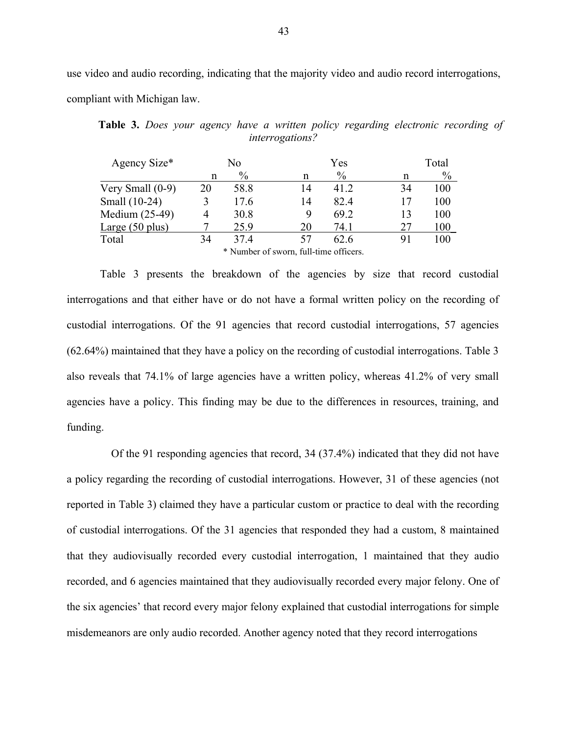use video and audio recording, indicating that the majority video and audio record interrogations, compliant with Michigan law.

| Agency Size*       |    | No            |                                        | Yes  |    | Total         |
|--------------------|----|---------------|----------------------------------------|------|----|---------------|
|                    | n  | $\frac{0}{0}$ | n                                      | $\%$ | n  | $\frac{0}{0}$ |
| Very Small $(0-9)$ | 20 | 58.8          | 14                                     | 41 2 | 34 | 100           |
| Small (10-24)      | 3  | 17.6          | 14                                     | 82.4 | 17 | 100           |
| Medium (25-49)     |    | 30.8          | 9                                      | 69.2 | 13 | 100           |
| Large $(50$ plus)  |    | 25.9          | 20                                     | 74 1 | 27 | 100           |
| Total              | 34 | 37.4          | 57                                     | 62.6 | 91 | 100           |
|                    |    |               | * Number of sworn, full-time officers. |      |    |               |

**Table 3.** *Does your agency have a written policy regarding electronic recording of interrogations?*

Table 3 presents the breakdown of the agencies by size that record custodial interrogations and that either have or do not have a formal written policy on the recording of custodial interrogations. Of the 91 agencies that record custodial interrogations, 57 agencies (62.64%) maintained that they have a policy on the recording of custodial interrogations. Table 3 also reveals that 74.1% of large agencies have a written policy, whereas 41.2% of very small agencies have a policy. This finding may be due to the differences in resources, training, and funding.

Of the 91 responding agencies that record, 34 (37.4%) indicated that they did not have a policy regarding the recording of custodial interrogations. However, 31 of these agencies (not reported in Table 3) claimed they have a particular custom or practice to deal with the recording of custodial interrogations. Of the 31 agencies that responded they had a custom, 8 maintained that they audiovisually recorded every custodial interrogation, 1 maintained that they audio recorded, and 6 agencies maintained that they audiovisually recorded every major felony. One of the six agencies' that record every major felony explained that custodial interrogations for simple misdemeanors are only audio recorded. Another agency noted that they record interrogations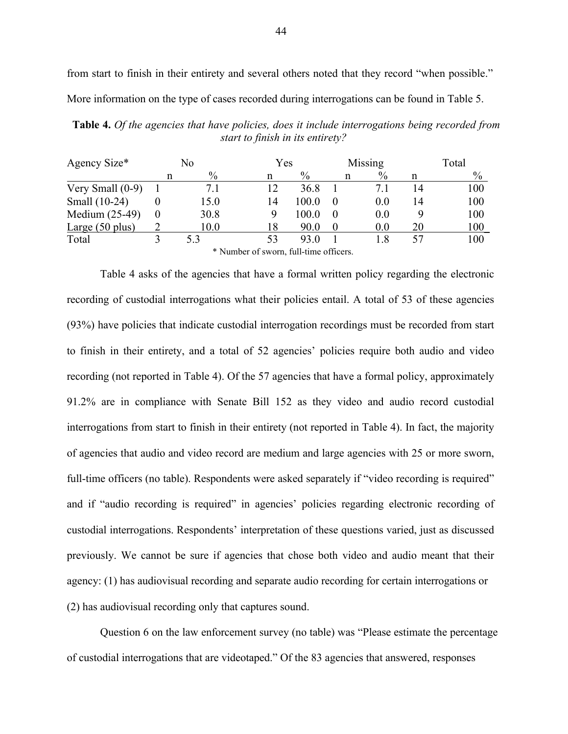from start to finish in their entirety and several others noted that they record "when possible." More information on the type of cases recorded during interrogations can be found in Table 5.

**Table 4.** *Of the agencies that have policies, does it include interrogations being recorded from start to finish in its entirety?*

| Agency Size*       | No |                                                                                                                                                                                                                                                                                                                                           | Yes    |       |          | Missing | Total |               |  |
|--------------------|----|-------------------------------------------------------------------------------------------------------------------------------------------------------------------------------------------------------------------------------------------------------------------------------------------------------------------------------------------|--------|-------|----------|---------|-------|---------------|--|
|                    | n  | $\%$                                                                                                                                                                                                                                                                                                                                      | n      | $\%$  | n        | $\%$    |       | $\frac{0}{0}$ |  |
| Very Small $(0-9)$ |    | 7.1                                                                                                                                                                                                                                                                                                                                       | 12     | 36.8  |          | 7.1     | 14    | 100           |  |
| Small (10-24)      |    | 15.0                                                                                                                                                                                                                                                                                                                                      | 14     | 100.0 |          | 0.0     | 14    | 100           |  |
| Medium (25-49)     | 0  | 30.8                                                                                                                                                                                                                                                                                                                                      |        | 100.0 |          | 0.0     |       | 100           |  |
| Large $(50$ plus)  |    | 10.0                                                                                                                                                                                                                                                                                                                                      | 18     | 90.0  |          | 0.0     | 20    | 100           |  |
| Total              |    | 5.3                                                                                                                                                                                                                                                                                                                                       | 53     | 93.0  |          | 1.8     | 57    | 100           |  |
|                    |    | $\mathbf{u}$ , $\mathbf{v}$ , $\mathbf{v}$ , $\mathbf{v}$ , $\mathbf{v}$ , $\mathbf{v}$ , $\mathbf{v}$ , $\mathbf{v}$ , $\mathbf{v}$ , $\mathbf{v}$ , $\mathbf{v}$ , $\mathbf{v}$ , $\mathbf{v}$ , $\mathbf{v}$ , $\mathbf{v}$ , $\mathbf{v}$ , $\mathbf{v}$ , $\mathbf{v}$ , $\mathbf{v}$ , $\mathbf{v}$ , $\mathbf{v}$ , $\mathbf{v}$ , | $\sim$ | 0.11  | $\alpha$ |         |       |               |  |

\* Number of sworn, full-time officers.

Table 4 asks of the agencies that have a formal written policy regarding the electronic recording of custodial interrogations what their policies entail. A total of 53 of these agencies (93%) have policies that indicate custodial interrogation recordings must be recorded from start to finish in their entirety, and a total of 52 agencies' policies require both audio and video recording (not reported in Table 4). Of the 57 agencies that have a formal policy, approximately 91.2% are in compliance with Senate Bill 152 as they video and audio record custodial interrogations from start to finish in their entirety (not reported in Table 4). In fact, the majority of agencies that audio and video record are medium and large agencies with 25 or more sworn, full-time officers (no table). Respondents were asked separately if "video recording is required" and if "audio recording is required" in agencies' policies regarding electronic recording of custodial interrogations. Respondents' interpretation of these questions varied, just as discussed previously. We cannot be sure if agencies that chose both video and audio meant that their agency: (1) has audiovisual recording and separate audio recording for certain interrogations or (2) has audiovisual recording only that captures sound.

Question 6 on the law enforcement survey (no table) was "Please estimate the percentage of custodial interrogations that are videotaped." Of the 83 agencies that answered, responses

44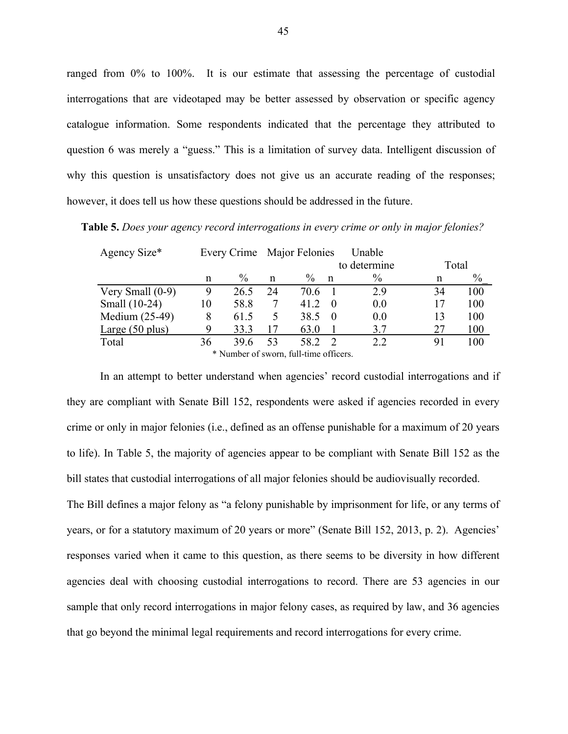ranged from 0% to 100%. It is our estimate that assessing the percentage of custodial interrogations that are videotaped may be better assessed by observation or specific agency catalogue information. Some respondents indicated that the percentage they attributed to question 6 was merely a "guess." This is a limitation of survey data. Intelligent discussion of why this question is unsatisfactory does not give us an accurate reading of the responses; however, it does tell us how these questions should be addressed in the future.

**Table 5.** *Does your agency record interrogations in every crime or only in major felonies?*

| Agency Size*       |    |               |    | Every Crime Major Felonies             |              | Unable       |       |      |  |
|--------------------|----|---------------|----|----------------------------------------|--------------|--------------|-------|------|--|
|                    |    |               |    |                                        |              | to determine | Total |      |  |
|                    | n  | $\frac{0}{0}$ | n  | $\frac{0}{0}$                          | $\mathsf{n}$ | $\%$         | n     | $\%$ |  |
| Very Small $(0-9)$ | 9  | 26.5          | 24 | 70.6                                   |              | 2.9          | 34    | 100  |  |
| Small (10-24)      | 10 | 58.8          |    | 41.2                                   | $\theta$     | 0.0          | 17    | 100  |  |
| Medium (25-49)     | 8  | 61.5          | 5  | 38.5                                   |              | 0.0          | 13    | 100  |  |
| Large(50 plus)     | 9  | 33.3          |    | 63.0                                   |              | 3.7          | 27    | 100  |  |
| Total              | 36 | 39.6          | 53 | 58.2                                   |              | 2.2          | 91    | 100  |  |
|                    |    |               |    | * Number of sworn, full-time officers. |              |              |       |      |  |

In an attempt to better understand when agencies' record custodial interrogations and if they are compliant with Senate Bill 152, respondents were asked if agencies recorded in every crime or only in major felonies (i.e., defined as an offense punishable for a maximum of 20 years to life). In Table 5, the majority of agencies appear to be compliant with Senate Bill 152 as the bill states that custodial interrogations of all major felonies should be audiovisually recorded.

The Bill defines a major felony as "a felony punishable by imprisonment for life, or any terms of years, or for a statutory maximum of 20 years or more" (Senate Bill 152, 2013, p. 2). Agencies' responses varied when it came to this question, as there seems to be diversity in how different agencies deal with choosing custodial interrogations to record. There are 53 agencies in our sample that only record interrogations in major felony cases, as required by law, and 36 agencies that go beyond the minimal legal requirements and record interrogations for every crime.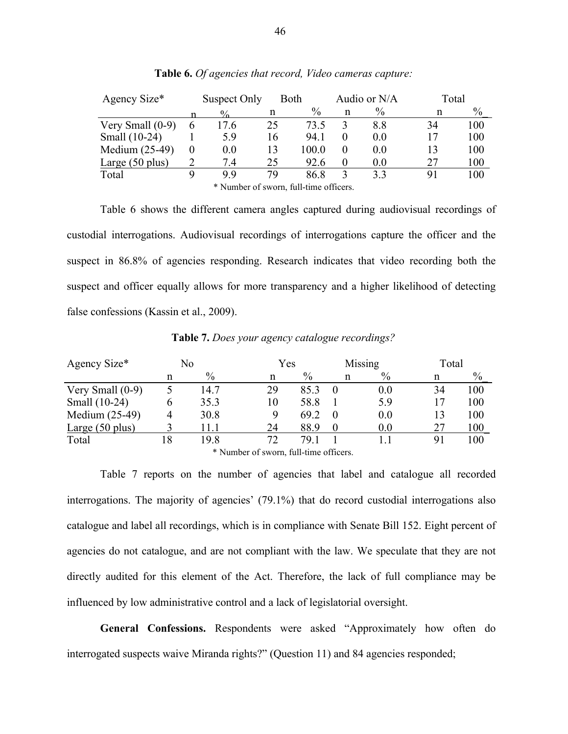| Agency Size*              |          | Suspect Only |    | Both                                   |   | Audio or N/A | Total |               |
|---------------------------|----------|--------------|----|----------------------------------------|---|--------------|-------|---------------|
|                           |          | 0/2          | n  | $\%$                                   | n | $\%$         | n     | $\frac{0}{0}$ |
| Very Small $(0-9)$        | 6        | 17.6         | 25 | 73 5                                   |   | 8.8          | 34    | 100           |
| Small (10-24)             |          | 5.9          | 16 | 941                                    |   | 0.0          | 17    | 100           |
| Medium (25-49)            | $\theta$ | 0.0          | 13 | 100.0                                  |   | 0.0          | 13    | 100           |
| Large $(50 \text{ plus})$ |          | 7.4          | 25 | 92.6                                   |   | 0.0          | 27    | 100           |
| Total                     |          | 99           | 79 | 86.8                                   |   | 3.3          | 91    | 100           |
|                           |          |              |    | * Number of sworn, full-time officers. |   |              |       |               |

**Table 6.** *Of agencies that record, Video cameras capture:*

Table 6 shows the different camera angles captured during audiovisual recordings of custodial interrogations. Audiovisual recordings of interrogations capture the officer and the suspect in 86.8% of agencies responding. Research indicates that video recording both the suspect and officer equally allows for more transparency and a higher likelihood of detecting false confessions (Kassin et al., 2009).

| Agency Size*              |    | No   |    | Yes  |   | Missing | Total |      |
|---------------------------|----|------|----|------|---|---------|-------|------|
|                           | n  | $\%$ | n  | $\%$ | n | $\%$    | n     | $\%$ |
| Very Small $(0-9)$        |    | 14.7 | 29 | 85.  |   | 0.0     | 34    | 100  |
| Small (10-24)             | b  | 35.3 | 10 | 58.8 |   | 5.9     | 17    | 100  |
| Medium (25-49)            | 4  | 30.8 |    | 69.2 |   | 0.0     | 13    | 100  |
| Large $(50 \text{ plus})$ |    |      | 24 | 88.9 |   | 0.0     | 27    | 100  |
| Total                     | 18 | 19.8 | 72 | 79 1 |   |         | 91    | 100  |

**Table 7.** *Does your agency catalogue recordings?*

\* Number of sworn, full-time officers.

Table 7 reports on the number of agencies that label and catalogue all recorded interrogations. The majority of agencies' (79.1%) that do record custodial interrogations also catalogue and label all recordings, which is in compliance with Senate Bill 152. Eight percent of agencies do not catalogue, and are not compliant with the law. We speculate that they are not directly audited for this element of the Act. Therefore, the lack of full compliance may be influenced by low administrative control and a lack of legislatorial oversight.

**General Confessions.** Respondents were asked "Approximately how often do interrogated suspects waive Miranda rights?" (Question 11) and 84 agencies responded;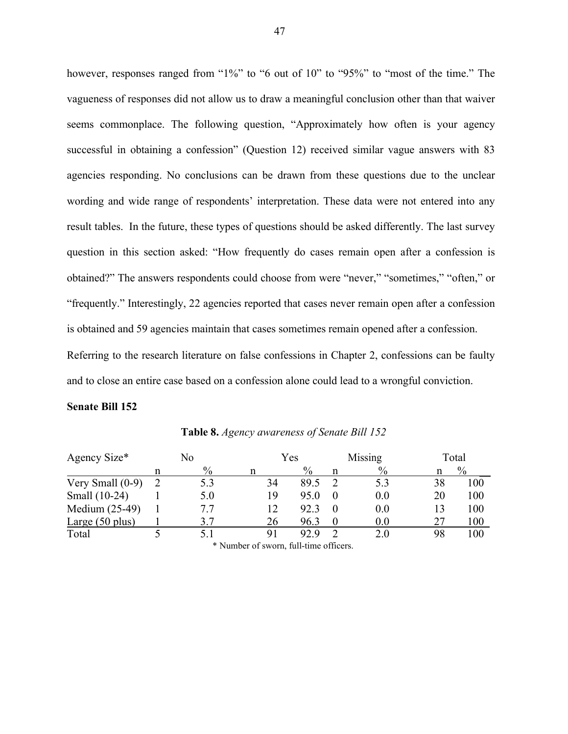however, responses ranged from "1%" to "6 out of 10" to "95%" to "most of the time." The vagueness of responses did not allow us to draw a meaningful conclusion other than that waiver seems commonplace. The following question, "Approximately how often is your agency successful in obtaining a confession" (Question 12) received similar vague answers with 83 agencies responding. No conclusions can be drawn from these questions due to the unclear wording and wide range of respondents' interpretation. These data were not entered into any result tables. In the future, these types of questions should be asked differently. The last survey question in this section asked: "How frequently do cases remain open after a confession is obtained?" The answers respondents could choose from were "never," "sometimes," "often," or "frequently." Interestingly, 22 agencies reported that cases never remain open after a confession is obtained and 59 agencies maintain that cases sometimes remain opened after a confession. Referring to the research literature on false confessions in Chapter 2, confessions can be faulty and to close an entire case based on a confession alone could lead to a wrongful conviction.

#### **Senate Bill 152**

| Agency Size*              | No |               |    |               |               | Yes | Missing       |  | Total |
|---------------------------|----|---------------|----|---------------|---------------|-----|---------------|--|-------|
|                           |    | $\frac{0}{0}$ |    | $\frac{0}{0}$ | $\frac{0}{0}$ |     | $\frac{0}{0}$ |  |       |
| Very Small $(0-9)$        |    | 5.3           | 34 | 89.5          | 5.3           | 38  | 100           |  |       |
| Small (10-24)             |    | 5.0           | 19 | 95.0          | 0.0           | 20  | 100           |  |       |
| Medium (25-49)            |    | 77            | 12 | 92.3          | $0.0\,$       | 13  | 100           |  |       |
| Large $(50 \text{ plus})$ |    | 3.7           | 26 | 96.3          | 0.0           | 27  | 100           |  |       |
| Total                     |    |               | 91 | 92.9          | 2.0           | 98  | 100           |  |       |

**Table 8.** *Agency awareness of Senate Bill 152*

\* Number of sworn, full-time officers.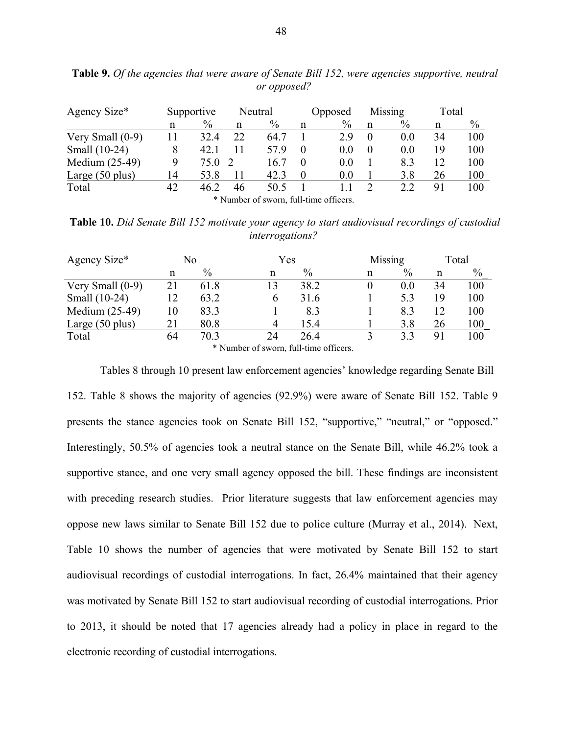| Agency Size*              |    | Supportive |                                                     | Neutral |                   | Opposed |   | Missing | Total |      |
|---------------------------|----|------------|-----------------------------------------------------|---------|-------------------|---------|---|---------|-------|------|
|                           | n  | $\%$       | n                                                   | $\%$    | n                 | $\%$    | n | $\%$    | n     | $\%$ |
| Very Small $(0-9)$        |    | 324        | 22                                                  | 64.7    |                   | 29      |   | 0.0     | 34    | 100  |
| Small (10-24)             |    | 42.1       |                                                     | 579     |                   | 0.0     |   | 0.0     | 19    | 100  |
| Medium (25-49)            |    | 75.0       |                                                     | 16.7    |                   | 0.0     |   | 8.3     | 12    | 100  |
| Large $(50 \text{ plus})$ | 14 | 53.8       |                                                     | 42.3    |                   | 0.0     |   | 3.8     | 26    | 100  |
| Total                     | 42 | 46.2       | 46                                                  | 50.5    |                   |         |   | 2.2     | 91    | 100  |
|                           |    |            | $\mathbf{A}$ $\mathbf{A}$ $\mathbf{F}$ $\mathbf{I}$ | $\sim$  | $\sim$ 11 $\cdot$ | $\sim$  |   |         |       |      |

**Table 9.** *Of the agencies that were aware of Senate Bill 152, were agencies supportive, neutral or opposed?*

\* Number of sworn, full-time officers.

**Table 10.** *Did Senate Bill 152 motivate your agency to start audiovisual recordings of custodial interrogations?*

| Agency Size*       |    | No                                                                                                                   |                      | Yes            | Missing |      | Total |      |
|--------------------|----|----------------------------------------------------------------------------------------------------------------------|----------------------|----------------|---------|------|-------|------|
|                    | n  | $\%$                                                                                                                 | n                    | $\%$           | n       | $\%$ | n     | $\%$ |
| Very Small $(0-9)$ |    | 61.8                                                                                                                 | 13                   | 38.2           |         | 0.0  | 34    | 100  |
| Small (10-24)      |    | 63.2                                                                                                                 |                      | 31.6           |         | 5.3  | 19    | 100  |
| Medium (25-49)     | 10 | 83.3                                                                                                                 |                      | 8.3            |         | 8.3  | 12    | 100  |
| Large(50 plus)     | 21 | 80.8                                                                                                                 |                      | 15.4           |         | 3.8  | 26    | 100  |
| Total              | 64 | 70.3                                                                                                                 | 24                   | 26.4           |         | 33   | 91    | 100  |
|                    |    | $\mathbf{a}$ $\mathbf{v}$ $\mathbf{v}$ $\mathbf{v}$ $\mathbf{v}$ $\mathbf{v}$ $\mathbf{v}$ $\mathbf{v}$ $\mathbf{v}$ | $\sim$ $\sim$ $\sim$ | 0.11<br>$\sim$ |         |      |       |      |

\* Number of sworn, full-time officers.

Tables 8 through 10 present law enforcement agencies' knowledge regarding Senate Bill 152. Table 8 shows the majority of agencies (92.9%) were aware of Senate Bill 152. Table 9 presents the stance agencies took on Senate Bill 152, "supportive," "neutral," or "opposed." Interestingly, 50.5% of agencies took a neutral stance on the Senate Bill, while 46.2% took a supportive stance, and one very small agency opposed the bill. These findings are inconsistent with preceding research studies. Prior literature suggests that law enforcement agencies may oppose new laws similar to Senate Bill 152 due to police culture (Murray et al., 2014). Next, Table 10 shows the number of agencies that were motivated by Senate Bill 152 to start audiovisual recordings of custodial interrogations. In fact, 26.4% maintained that their agency was motivated by Senate Bill 152 to start audiovisual recording of custodial interrogations. Prior to 2013, it should be noted that 17 agencies already had a policy in place in regard to the electronic recording of custodial interrogations.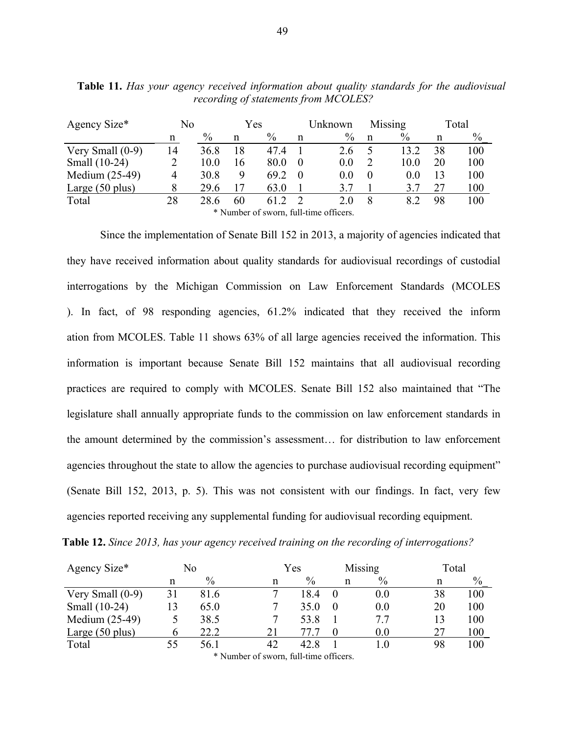| Agency Size*              | No | Yes  |    | Unknown |          |                                        | Missing  | Total |    |      |
|---------------------------|----|------|----|---------|----------|----------------------------------------|----------|-------|----|------|
|                           | n  | $\%$ | n  | $\%$    | n        | $\%$                                   | n        | $\%$  | n  | $\%$ |
| Very Small $(0-9)$        | 14 | 36.8 | 18 | 474     |          | 26                                     |          | 13.2  | 38 | 100  |
| Small (10-24)             |    | 10.0 | 16 | 80.0    | $\Omega$ | 0.0                                    |          | 10.0  | 20 | 100  |
| Medium (25-49)            | 4  | 30.8 | 9  | 69.2    | $\theta$ | 0.0                                    | $\theta$ | 0.0   | 13 | 100  |
| Large $(50 \text{ plus})$ |    | 29.6 | 17 | 63.0    |          | 37                                     |          | 3.7   | 27 | 100  |
| Total                     | 28 | 28.6 | 60 | 61 2    |          | 20                                     | 8        | 82    | 98 | 100  |
|                           |    |      |    |         |          | * Number of sworn, full-time officers. |          |       |    |      |

**Table 11.** *Has your agency received information about quality standards for the audiovisual recording of statements from MCOLES?*

Since the implementation of Senate Bill 152 in 2013, a majority of agencies indicated that they have received information about quality standards for audiovisual recordings of custodial interrogations by the Michigan Commission on Law Enforcement Standards (MCOLES ). In fact, of 98 responding agencies, 61.2% indicated that they received the inform ation from MCOLES. Table 11 shows 63% of all large agencies received the information. This information is important because Senate Bill 152 maintains that all audiovisual recording practices are required to comply with MCOLES. Senate Bill 152 also maintained that "The legislature shall annually appropriate funds to the commission on law enforcement standards in the amount determined by the commission's assessment… for distribution to law enforcement agencies throughout the state to allow the agencies to purchase audiovisual recording equipment" (Senate Bill 152, 2013, p. 5). This was not consistent with our findings. In fact, very few agencies reported receiving any supplemental funding for audiovisual recording equipment.

| Agency Size*       | No |               |    | Yes  |  |           | Missing<br>Total |      |
|--------------------|----|---------------|----|------|--|-----------|------------------|------|
|                    | n  | $\frac{0}{0}$ | n  | $\%$ |  | $\%$<br>n | n                | $\%$ |
| Very Small $(0-9)$ | 31 | 81.6          |    | 18.4 |  | 0.0       | 38               | 100  |
| Small (10-24)      | 13 | 65.0          |    | 35.0 |  | 0.0       | 20               | 100  |
| Medium (25-49)     |    | 38.5          |    | 53.8 |  | 7.7       | 13               | 100  |
| Large(50 plus)     |    | 22.2          | 21 |      |  | 0.0       | 27               | 100  |
| Total              | 55 | 56.1          | 42 | 42.8 |  | $1.0\,$   | 98               | 100  |

**Table 12.** *Since 2013, has your agency received training on the recording of interrogations?*

\* Number of sworn, full-time officers.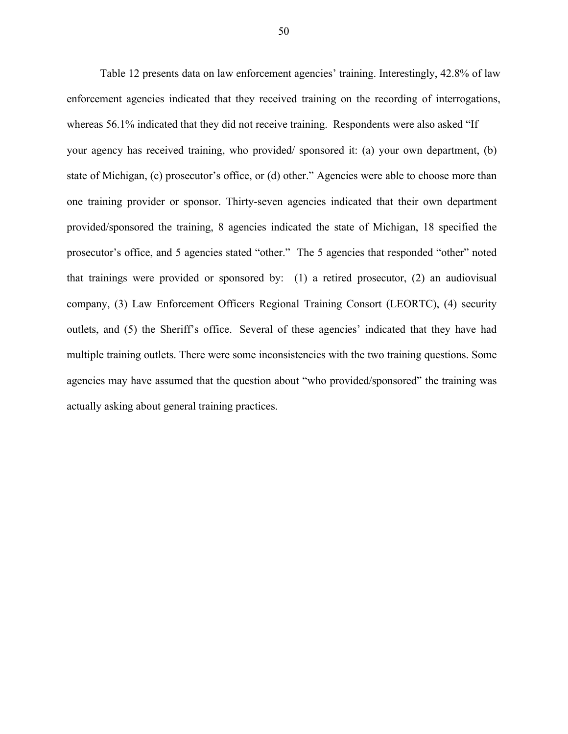Table 12 presents data on law enforcement agencies' training. Interestingly, 42.8% of law enforcement agencies indicated that they received training on the recording of interrogations, whereas 56.1% indicated that they did not receive training. Respondents were also asked "If your agency has received training, who provided/ sponsored it: (a) your own department, (b) state of Michigan, (c) prosecutor's office, or (d) other." Agencies were able to choose more than one training provider or sponsor. Thirty-seven agencies indicated that their own department provided/sponsored the training, 8 agencies indicated the state of Michigan, 18 specified the prosecutor's office, and 5 agencies stated "other." The 5 agencies that responded "other" noted that trainings were provided or sponsored by: (1) a retired prosecutor, (2) an audiovisual company, (3) Law Enforcement Officers Regional Training Consort (LEORTC), (4) security outlets, and (5) the Sheriff's office. Several of these agencies' indicated that they have had multiple training outlets. There were some inconsistencies with the two training questions. Some agencies may have assumed that the question about "who provided/sponsored" the training was actually asking about general training practices.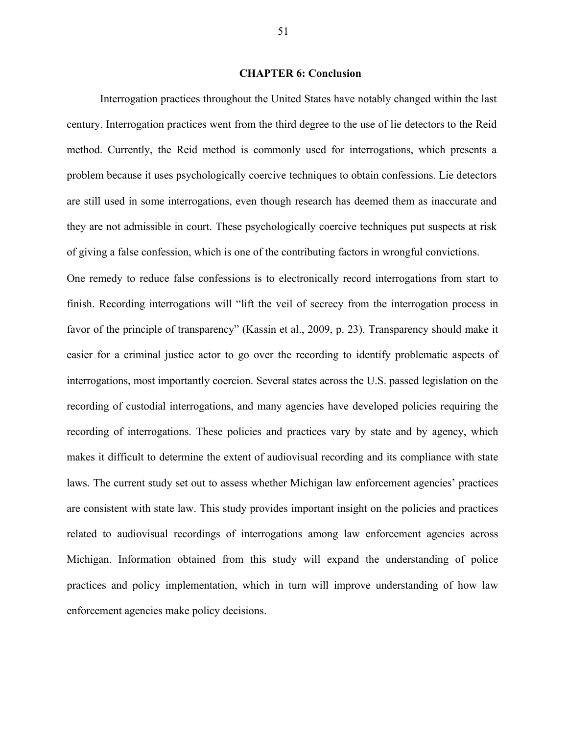## **CHAPTER 6: Conclusion**

Interrogation practices throughout the United States have notably changed within the last century. Interrogation practices went from the third degree to the use of lie detectors to the Reid method. Currently, the Reid method is commonly used for interrogations, which presents a problem because it uses psychologically coercive techniques to obtain confessions. Lie detectors are still used in some interrogations, even though research has deemed them as inaccurate and they are not admissible in court. These psychologically coercive techniques put suspects at risk of giving a false confession, which is one of the contributing factors in wrongful convictions. One remedy to reduce false confessions is to electronically record interrogations from start to finish. Recording interrogations will "lift the veil of secrecy from the interrogation process in favor of the principle of transparency" (Kassin et al., 2009, p. 23). Transparency should make it easier for a criminal justice actor to go over the recording to identify problematic aspects of interrogations, most importantly coercion. Several states across the U.S. passed legislation on the recording of custodial interrogations, and many agencies have developed policies requiring the recording of interrogations. These policies and practices vary by state and by agency, which makes it difficult to determine the extent of audiovisual recording and its compliance with state laws. The current study set out to assess whether Michigan law enforcement agencies' practices are consistent with state law. This study provides important insight on the policies and practices related to audiovisual recordings of interrogations among law enforcement agencies across Michigan. Information obtained from this study will expand the understanding of police practices and policy implementation, which in turn will improve understanding of how law enforcement agencies make policy decisions.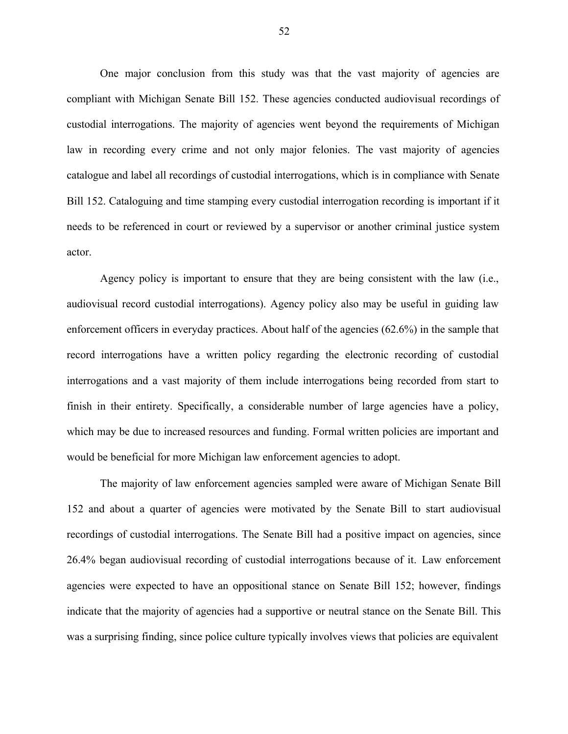One major conclusion from this study was that the vast majority of agencies are compliant with Michigan Senate Bill 152. These agencies conducted audiovisual recordings of custodial interrogations. The majority of agencies went beyond the requirements of Michigan law in recording every crime and not only major felonies. The vast majority of agencies catalogue and label all recordings of custodial interrogations, which is in compliance with Senate Bill 152. Cataloguing and time stamping every custodial interrogation recording is important if it needs to be referenced in court or reviewed by a supervisor or another criminal justice system actor.

Agency policy is important to ensure that they are being consistent with the law (i.e., audiovisual record custodial interrogations). Agency policy also may be useful in guiding law enforcement officers in everyday practices. About half of the agencies (62.6%) in the sample that record interrogations have a written policy regarding the electronic recording of custodial interrogations and a vast majority of them include interrogations being recorded from start to finish in their entirety. Specifically, a considerable number of large agencies have a policy, which may be due to increased resources and funding. Formal written policies are important and would be beneficial for more Michigan law enforcement agencies to adopt.

The majority of law enforcement agencies sampled were aware of Michigan Senate Bill 152 and about a quarter of agencies were motivated by the Senate Bill to start audiovisual recordings of custodial interrogations. The Senate Bill had a positive impact on agencies, since 26.4% began audiovisual recording of custodial interrogations because of it. Law enforcement agencies were expected to have an oppositional stance on Senate Bill 152; however, findings indicate that the majority of agencies had a supportive or neutral stance on the Senate Bill. This was a surprising finding, since police culture typically involves views that policies are equivalent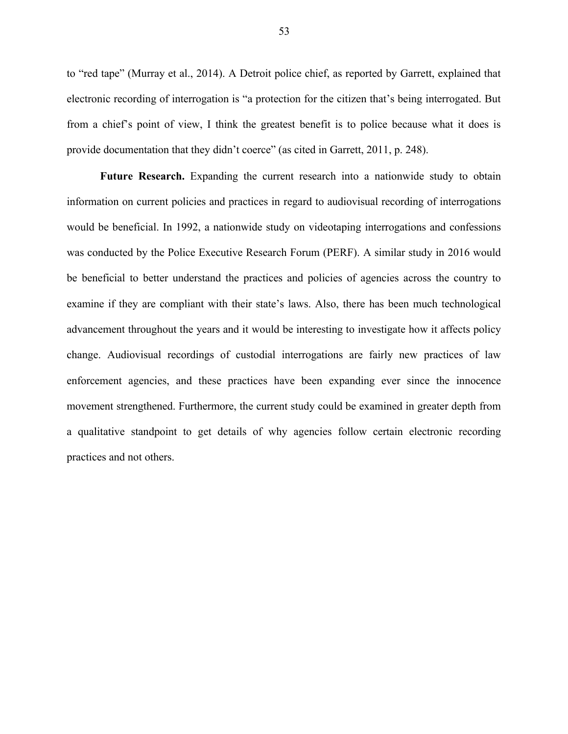to "red tape" (Murray et al., 2014). A Detroit police chief, as reported by Garrett, explained that electronic recording of interrogation is "a protection for the citizen that's being interrogated. But from a chief's point of view, I think the greatest benefit is to police because what it does is provide documentation that they didn't coerce" (as cited in Garrett, 2011, p. 248).

**Future Research.** Expanding the current research into a nationwide study to obtain information on current policies and practices in regard to audiovisual recording of interrogations would be beneficial. In 1992, a nationwide study on videotaping interrogations and confessions was conducted by the Police Executive Research Forum (PERF). A similar study in 2016 would be beneficial to better understand the practices and policies of agencies across the country to examine if they are compliant with their state's laws. Also, there has been much technological advancement throughout the years and it would be interesting to investigate how it affects policy change. Audiovisual recordings of custodial interrogations are fairly new practices of law enforcement agencies, and these practices have been expanding ever since the innocence movement strengthened. Furthermore, the current study could be examined in greater depth from a qualitative standpoint to get details of why agencies follow certain electronic recording practices and not others.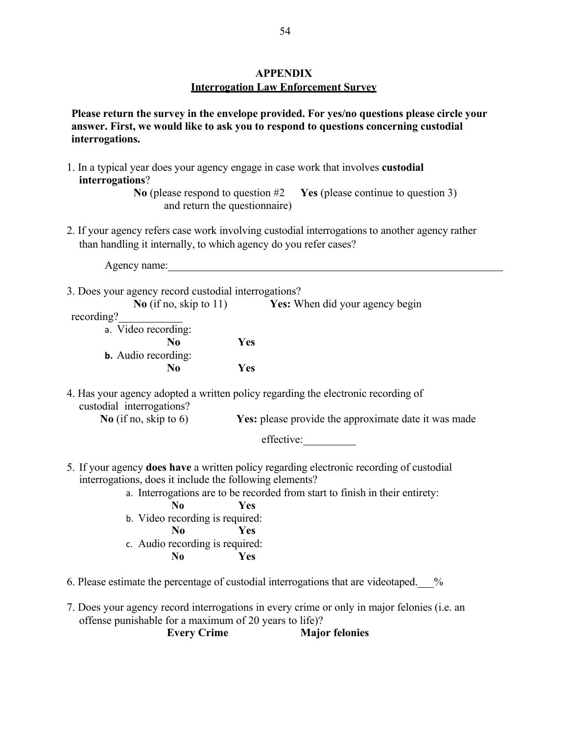# **APPENDIX Interrogation Law Enforcement Survey**

**Please return the survey in the envelope provided. For yes/no questions please circle your answer. First, we would like to ask you to respond to questions concerning custodial interrogations.**

- 1. In a typical year does your agency engage in case work that involves **custodial interrogations**? **No** (please respond to question #2 **Yes** (please continue to question 3) and return the questionnaire) 2. If your agency refers case work involving custodial interrogations to another agency rather than handling it internally, to which agency do you refer cases? Agency name: 3. Does your agency record custodial interrogations? **No** (if no, skip to 11) **Yes:** When did your agency begin recording? a. Video recording: **No Yes b.** Audio recording: **No Yes** 4. Has your agency adopted a written policy regarding the electronic recording of custodial interrogations? **No** (if no, skip to 6) **Yes:** please provide the approximate date it was made effective: 5. If your agency **does have** a written policy regarding electronic recording of custodial interrogations, does it include the following elements? a. Interrogations are to be recorded from start to finish in their entirety: **No Yes** b. Video recording is required: **No Yes** c. Audio recording is required: **No Yes** 6. Please estimate the percentage of custodial interrogations that are videotaped. %
- 7. Does your agency record interrogations in every crime or only in major felonies (i.e. an offense punishable for a maximum of 20 years to life)?

**Every Crime Major felonies**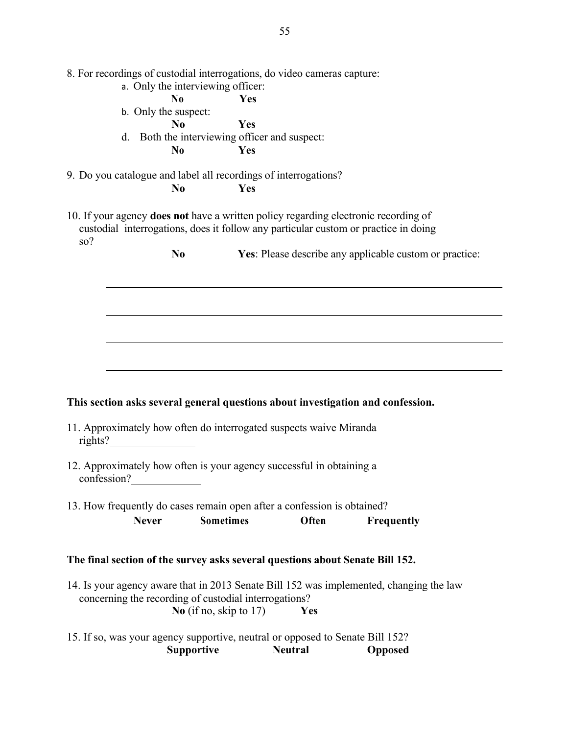|             |              | 8. For recordings of custodial interrogations, do video cameras capture:                                                                                                          |     |                                                         |                   |  |
|-------------|--------------|-----------------------------------------------------------------------------------------------------------------------------------------------------------------------------------|-----|---------------------------------------------------------|-------------------|--|
|             |              | a. Only the interviewing officer:                                                                                                                                                 |     |                                                         |                   |  |
|             |              | N <sub>0</sub>                                                                                                                                                                    | Yes |                                                         |                   |  |
|             |              | b. Only the suspect:                                                                                                                                                              |     |                                                         |                   |  |
|             |              | N <sub>0</sub>                                                                                                                                                                    | Yes |                                                         |                   |  |
|             | d.           | Both the interviewing officer and suspect:                                                                                                                                        |     |                                                         |                   |  |
|             |              | N <sub>0</sub>                                                                                                                                                                    | Yes |                                                         |                   |  |
|             |              |                                                                                                                                                                                   |     |                                                         |                   |  |
|             |              | 9. Do you catalogue and label all recordings of interrogations?                                                                                                                   |     |                                                         |                   |  |
|             |              | N <sub>0</sub>                                                                                                                                                                    | Yes |                                                         |                   |  |
| so?         |              | 10. If your agency <b>does not</b> have a written policy regarding electronic recording of<br>custodial interrogations, does it follow any particular custom or practice in doing |     |                                                         |                   |  |
|             |              | N <sub>0</sub>                                                                                                                                                                    |     | Yes: Please describe any applicable custom or practice: |                   |  |
|             |              |                                                                                                                                                                                   |     |                                                         |                   |  |
|             |              |                                                                                                                                                                                   |     |                                                         |                   |  |
|             |              |                                                                                                                                                                                   |     |                                                         |                   |  |
|             |              |                                                                                                                                                                                   |     |                                                         |                   |  |
|             |              |                                                                                                                                                                                   |     |                                                         |                   |  |
|             |              |                                                                                                                                                                                   |     |                                                         |                   |  |
|             |              |                                                                                                                                                                                   |     |                                                         |                   |  |
|             |              |                                                                                                                                                                                   |     |                                                         |                   |  |
|             |              |                                                                                                                                                                                   |     |                                                         |                   |  |
|             |              |                                                                                                                                                                                   |     |                                                         |                   |  |
|             |              | This section asks several general questions about investigation and confession.                                                                                                   |     |                                                         |                   |  |
|             |              |                                                                                                                                                                                   |     |                                                         |                   |  |
|             |              | 11. Approximately how often do interrogated suspects waive Miranda                                                                                                                |     |                                                         |                   |  |
| rights?     |              |                                                                                                                                                                                   |     |                                                         |                   |  |
|             |              |                                                                                                                                                                                   |     |                                                         |                   |  |
|             |              | 12. Approximately how often is your agency successful in obtaining a                                                                                                              |     |                                                         |                   |  |
| confession? |              |                                                                                                                                                                                   |     |                                                         |                   |  |
|             |              |                                                                                                                                                                                   |     |                                                         |                   |  |
|             |              | 13. How frequently do cases remain open after a confession is obtained?                                                                                                           |     |                                                         |                   |  |
|             | <b>Never</b> | <b>Sometimes</b>                                                                                                                                                                  |     | Often                                                   | <b>Frequently</b> |  |
|             |              |                                                                                                                                                                                   |     |                                                         |                   |  |
|             |              |                                                                                                                                                                                   |     |                                                         |                   |  |
|             |              | The final section of the survey asks several questions about Senate Bill 152.                                                                                                     |     |                                                         |                   |  |
|             |              | 14. Is your agency aware that in 2013 Senate Bill 152 was implemented, changing the law<br>concerning the recording of custodial interrogations?<br>No (if no, skip to $17$ )     |     | Yes                                                     |                   |  |
|             |              | 15. If so, was your agency supportive, neutral or opposed to Senate Bill 152?<br><b>Supportive</b>                                                                                |     | <b>Neutral</b>                                          | <b>Opposed</b>    |  |
|             |              |                                                                                                                                                                                   |     |                                                         |                   |  |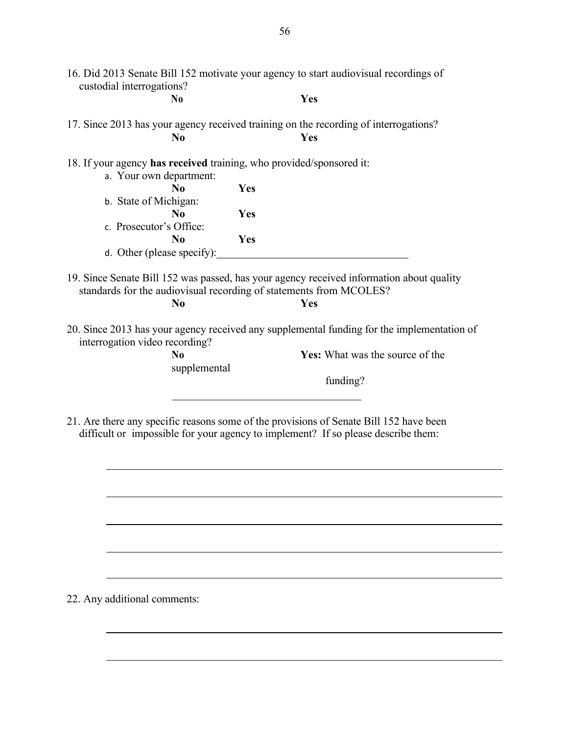| custodial interrogations?                                            |                            |     |                                                                                                                                                                       |
|----------------------------------------------------------------------|----------------------------|-----|-----------------------------------------------------------------------------------------------------------------------------------------------------------------------|
|                                                                      | No                         |     | Yes                                                                                                                                                                   |
|                                                                      |                            |     | 17. Since 2013 has your agency received training on the recording of interrogations?                                                                                  |
|                                                                      | N <sub>0</sub>             |     | Yes                                                                                                                                                                   |
| 18. If your agency has received training, who provided/sponsored it: |                            |     |                                                                                                                                                                       |
|                                                                      | a. Your own department:    |     |                                                                                                                                                                       |
|                                                                      | $\bf N_0$                  | Yes |                                                                                                                                                                       |
| b. State of Michigan:                                                |                            |     |                                                                                                                                                                       |
|                                                                      | N <sub>0</sub>             | Yes |                                                                                                                                                                       |
| c. Prosecutor's Office:                                              |                            |     |                                                                                                                                                                       |
|                                                                      |                            |     |                                                                                                                                                                       |
|                                                                      | $\bf No$                   | Yes |                                                                                                                                                                       |
|                                                                      | d. Other (please specify): |     |                                                                                                                                                                       |
|                                                                      | N <sub>0</sub>             |     | 19. Since Senate Bill 152 was passed, has your agency received information about quality<br>standards for the audiovisual recording of statements from MCOLES?<br>Yes |
|                                                                      |                            |     | 20. Since 2013 has your agency received any supplemental funding for the implementation of                                                                            |
| interrogation video recording?                                       | N <sub>0</sub>             |     | Yes: What was the source of the                                                                                                                                       |
|                                                                      | supplemental               |     |                                                                                                                                                                       |
|                                                                      |                            |     | funding?                                                                                                                                                              |
|                                                                      |                            |     |                                                                                                                                                                       |

,我们也不能在这里的时候,我们也不能在这里的时候,我们也不能会在这里的时候,我们也不能会在这里的时候,我们也不能会在这里的时候,我们也不能会在这里的时候,我们也

22. Any additional comments: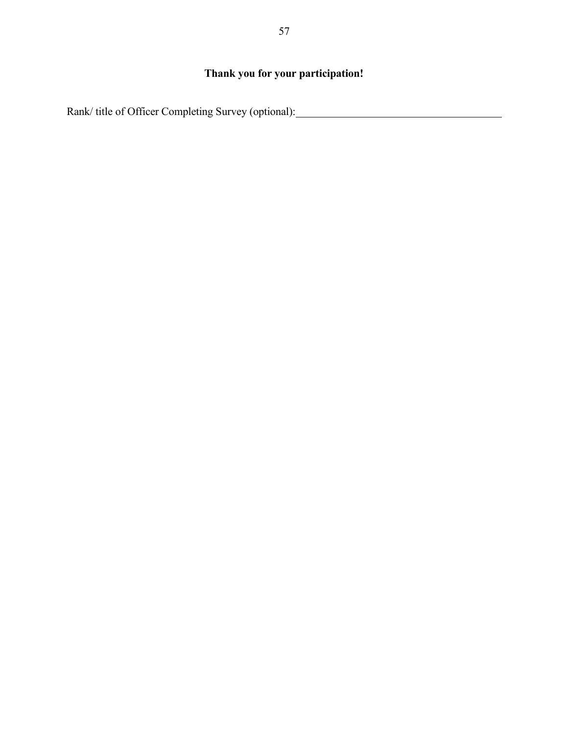# **Thank you for your participation!**

Rank/ title of Officer Completing Survey (optional):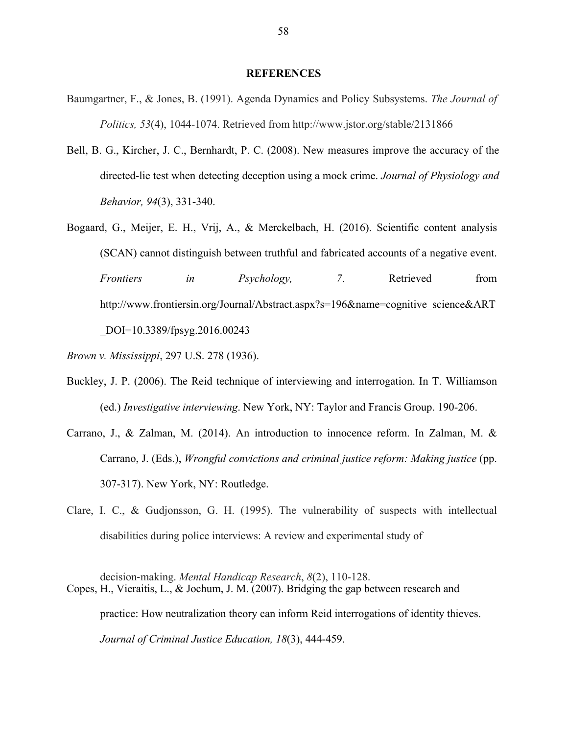#### **REFERENCES**

- Baumgartner, F., & Jones, B. (1991). Agenda Dynamics and Policy Subsystems. *The Journal of Politics, 53*(4), 1044-1074. Retrieved from http://www.jstor.org/stable/2131866
- Bell, B. G., Kircher, J. C., Bernhardt, P. C. (2008). New measures improve the accuracy of the directed-lie test when detecting deception using a mock crime. *Journal of Physiology and Behavior, 94*(3), 331-340.
- Bogaard, G., Meijer, E. H., Vrij, A., & Merckelbach, H. (2016). Scientific content analysis (SCAN) cannot distinguish between truthful and fabricated accounts of a negative event. *Frontiers in Psychology, 7*. Retrieved from http://www.frontiersin.org/Journal/Abstract.aspx?s=196&name=cognitive\_science&ART \_DOI=10.3389/fpsyg.2016.00243

*Brown v. Mississippi*, 297 U.S. 278 (1936).

- Buckley, J. P. (2006). The Reid technique of interviewing and interrogation. In T. Williamson (ed.) *Investigative interviewing*. New York, NY: Taylor and Francis Group. 190-206.
- Carrano, J., & Zalman, M. (2014). An introduction to innocence reform. In Zalman, M. & Carrano, J. (Eds.), *Wrongful convictions and criminal justice reform: Making justice* (pp. 307-317). New York, NY: Routledge.
- Clare, I. C., & Gudjonsson, G. H. (1995). The vulnerability of suspects with intellectual disabilities during police interviews: A review and experimental study of

decision-making. *Mental Handicap Research*, *8*(2), 110-128. Copes, H., Vieraitis, L., & Jochum, J. M. (2007). Bridging the gap between research and practice: How neutralization theory can inform Reid interrogations of identity thieves. *Journal of Criminal Justice Education, 18*(3), 444-459.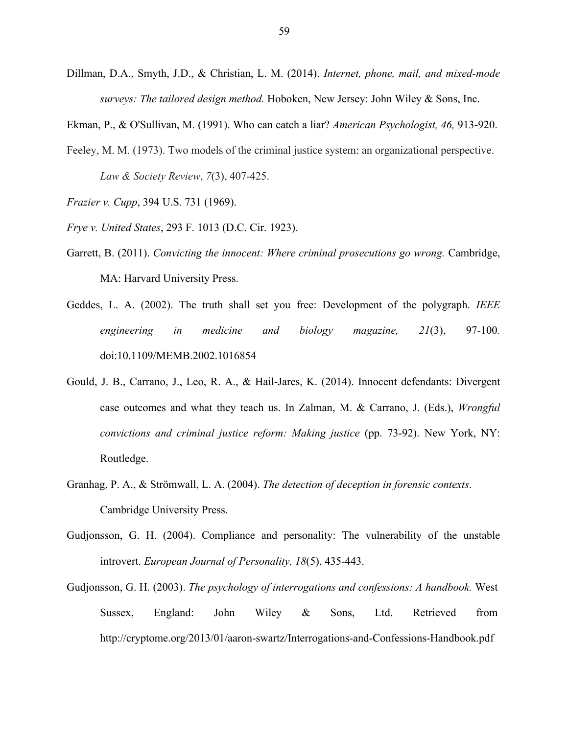- Dillman, D.A., Smyth, J.D., & Christian, L. M. (2014). *Internet, phone, mail, and mixed-mode surveys: The tailored design method.* Hoboken, New Jersey: John Wiley & Sons, Inc.
- Ekman, P., & O'Sullivan, M. (1991). Who can catch a liar? *American Psychologist, 46,* 913-920.
- Feeley, M. M. (1973). Two models of the criminal justice system: an organizational perspective. *Law & Society Review*, *7*(3), 407-425.
- *Frazier v. Cupp*, 394 U.S. 731 (1969).
- *Frye v. United States*, 293 F. 1013 (D.C. Cir. 1923).
- Garrett, B. (2011). *Convicting the innocent: Where criminal prosecutions go wrong.* Cambridge, MA: Harvard University Press.
- Geddes, L. A. (2002). The truth shall set you free: Development of the polygraph. *IEEE engineering in medicine and biology magazine, 21*(3), 97-100*.* doi:10.1109/MEMB.2002.1016854
- Gould, J. B., Carrano, J., Leo, R. A., & Hail-Jares, K. (2014). Innocent defendants: Divergent case outcomes and what they teach us. In Zalman, M. & Carrano, J. (Eds.), *Wrongful convictions and criminal justice reform: Making justice* (pp. 73-92). New York, NY: Routledge.
- Granhag, P. A., & Strömwall, L. A. (2004). *The detection of deception in forensic contexts*. Cambridge University Press.
- Gudjonsson, G. H. (2004). Compliance and personality: The vulnerability of the unstable introvert. *European Journal of Personality, 18*(5), 435-443.
- Gudjonsson, G. H. (2003). *The psychology of interrogations and confessions: A handbook.* West Sussex, England: John Wiley & Sons, Ltd. Retrieved from http://cryptome.org/2013/01/aaron-swartz/Interrogations-and-Confessions-Handbook.pdf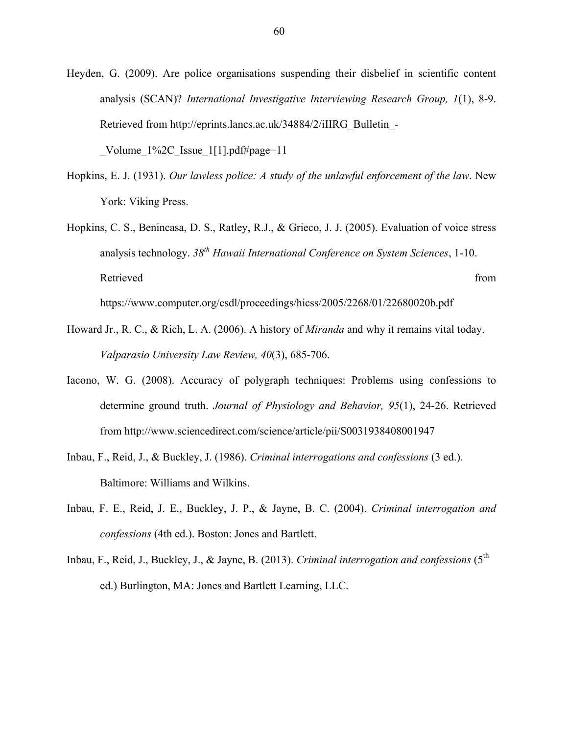Heyden, G. (2009). Are police organisations suspending their disbelief in scientific content analysis (SCAN)? *International Investigative Interviewing Research Group, 1*(1), 8-9. Retrieved from http://eprints.lancs.ac.uk/34884/2/iIIRG\_Bulletin\_-

Volume  $1\frac{3}{2}$ C Issue  $1\left[1\right]$ .pdf#page=11

Hopkins, E. J. (1931). *Our lawless police: A study of the unlawful enforcement of the law*. New York: Viking Press.

Hopkins, C. S., Benincasa, D. S., Ratley, R.J., & Grieco, J. J. (2005). Evaluation of voice stress analysis technology. *38th Hawaii International Conference on System Sciences*, 1-10. Retrieved from the state of the state of the state of the state of the state of the state of the state of the state of the state of the state of the state of the state of the state of the state of the state of the state of https://www.computer.org/csdl/proceedings/hicss/2005/2268/01/22680020b.pdf

- Howard Jr., R. C., & Rich, L. A. (2006). A history of *Miranda* and why it remains vital today. *Valparasio University Law Review, 40*(3), 685-706.
- Iacono, W. G. (2008). Accuracy of polygraph techniques: Problems using confessions to determine ground truth. *Journal of Physiology and Behavior, 95*(1), 24-26. Retrieved from http://www.sciencedirect.com/science/article/pii/S0031938408001947
- Inbau, F., Reid, J., & Buckley, J. (1986). *Criminal interrogations and confessions* (3 ed.). Baltimore: Williams and Wilkins.
- Inbau, F. E., Reid, J. E., Buckley, J. P., & Jayne, B. C. (2004). *Criminal interrogation and confessions* (4th ed.). Boston: Jones and Bartlett.
- Inbau, F., Reid, J., Buckley, J., & Jayne, B. (2013). *Criminal interrogation and confessions* (5<sup>th</sup>) ed.) Burlington, MA: Jones and Bartlett Learning, LLC.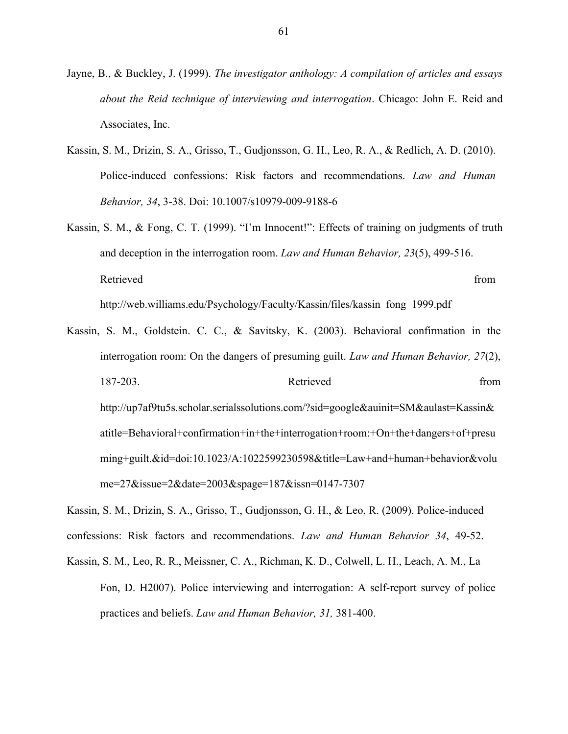- Jayne, B., & Buckley, J. (1999). *The investigator anthology: A compilation of articles and essays about the Reid technique of interviewing and interrogation*. Chicago: John E. Reid and Associates, Inc.
- Kassin, S. M., Drizin, S. A., Grisso, T., Gudjonsson, G. H., Leo, R. A., & Redlich, A. D. (2010). Police-induced confessions: Risk factors and recommendations. *Law and Human Behavior, 34*, 3-38. Doi: 10.1007/s10979-009-9188-6
- Kassin, S. M., & Fong, C. T. (1999). "I'm Innocent!": Effects of training on judgments of truth and deception in the interrogation room. *Law and Human Behavior, 23*(5), 499-516. Retrieved from the state of the state of the state of the state of the state of the state of the state of the state of the state of the state of the state of the state of the state of the state of the state of the state of

http://web.williams.edu/Psychology/Faculty/Kassin/files/kassin\_fong\_1999.pdf

Kassin, S. M., Goldstein. C. C., & Savitsky, K. (2003). Behavioral confirmation in the interrogation room: On the dangers of presuming guilt. *Law and Human Behavior, 27*(2), 187-203. Retrieved from http://up7af9tu5s.scholar.serialssolutions.com/?sid=google&auinit=SM&aulast=Kassin& atitle=Behavioral+confirmation+in+the+interrogation+room:+On+the+dangers+of+presu ming+guilt.&id=doi:10.1023/A:1022599230598&title=Law+and+human+behavior&volu me=27&issue=2&date=2003&spage=187&issn=0147-7307

Kassin, S. M., Drizin, S. A., Grisso, T., Gudjonsson, G. H., & Leo, R. (2009). Police-induced confessions: Risk factors and recommendations. *Law and Human Behavior 34*, 49-52.

Kassin, S. M., Leo, R. R., Meissner, C. A., Richman, K. D., Colwell, L. H., Leach, A. M., La Fon, D. H2007). Police interviewing and interrogation: A self-report survey of police practices and beliefs. *Law and Human Behavior, 31,* 381-400.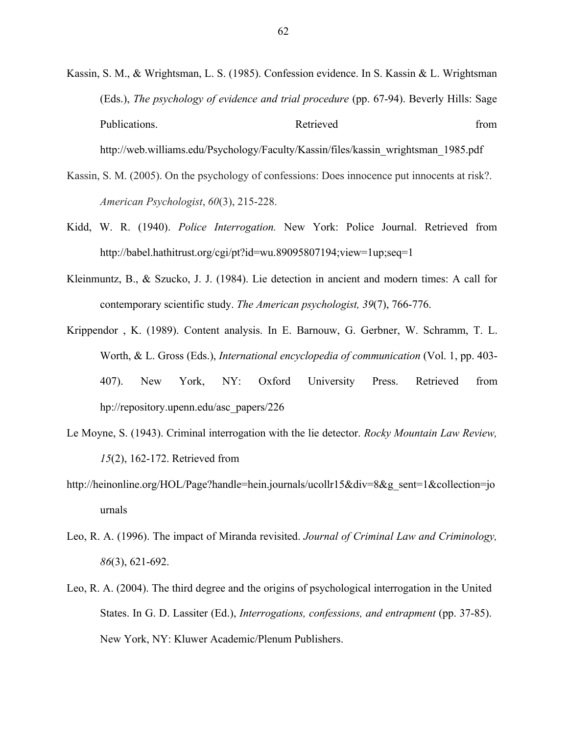Kassin, S. M., & Wrightsman, L. S. (1985). Confession evidence. In S. Kassin & L. Wrightsman (Eds.), *The psychology of evidence and trial procedure* (pp. 67-94). Beverly Hills: Sage Publications. The example of the extension of the Retrieved from the from the from the extension of the extension of the extension of the extension of the extension of the extension of the extension of the extension of the http://web.williams.edu/Psychology/Faculty/Kassin/files/kassin\_wrightsman\_1985.pdf

Kassin, S. M. (2005). On the psychology of confessions: Does innocence put innocents at risk?. *American Psychologist*, *60*(3), 215-228.

- Kidd, W. R. (1940). *Police Interrogation.* New York: Police Journal. Retrieved from http://babel.hathitrust.org/cgi/pt?id=wu.89095807194;view=1up;seq=1
- Kleinmuntz, B., & Szucko, J. J. (1984). Lie detection in ancient and modern times: A call for contemporary scientific study. *The American psychologist, 39*(7), 766-776.
- Krippendor , K. (1989). Content analysis. In E. Barnouw, G. Gerbner, W. Schramm, T. L. Worth, & L. Gross (Eds.), *International encyclopedia of communication* (Vol. 1, pp. 403- 407). New York, NY: Oxford University Press. Retrieved from hp://repository.upenn.edu/asc\_papers/226
- Le Moyne, S. (1943). Criminal interrogation with the lie detector. *Rocky Mountain Law Review, 15*(2), 162-172. Retrieved from
- http://heinonline.org/HOL/Page?handle=hein.journals/ucollr15&div=8&g\_sent=1&collection=jo urnals
- Leo, R. A. (1996). The impact of Miranda revisited. *Journal of Criminal Law and Criminology, 86*(3), 621-692.
- Leo, R. A. (2004). The third degree and the origins of psychological interrogation in the United States. In G. D. Lassiter (Ed.), *Interrogations, confessions, and entrapment* (pp. 37-85). New York, NY: Kluwer Academic/Plenum Publishers.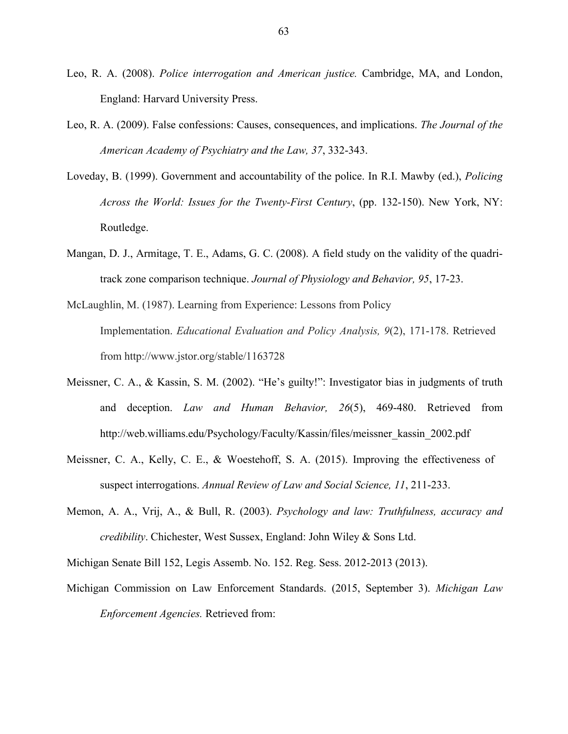- Leo, R. A. (2008). *Police interrogation and American justice.* Cambridge, MA, and London, England: Harvard University Press.
- Leo, R. A. (2009). False confessions: Causes, consequences, and implications. *The Journal of the American Academy of Psychiatry and the Law, 37*, 332-343.
- Loveday, B. (1999). Government and accountability of the police. In R.I. Mawby (ed.), *Policing Across the World: Issues for the Twenty-First Century*, (pp. 132-150). New York, NY: Routledge.
- Mangan, D. J., Armitage, T. E., Adams, G. C. (2008). A field study on the validity of the quadritrack zone comparison technique. *Journal of Physiology and Behavior, 95*, 17-23.
- McLaughlin, M. (1987). Learning from Experience: Lessons from Policy Implementation. *Educational Evaluation and Policy Analysis, 9*(2), 171-178. Retrieved from http://www.jstor.org/stable/1163728
- Meissner, C. A., & Kassin, S. M. (2002). "He's guilty!": Investigator bias in judgments of truth and deception. *Law and Human Behavior, 26*(5), 469-480. Retrieved from http://web.williams.edu/Psychology/Faculty/Kassin/files/meissner\_kassin\_2002.pdf
- Meissner, C. A., Kelly, C. E., & Woestehoff, S. A. (2015). Improving the effectiveness of suspect interrogations. *Annual Review of Law and Social Science, 11*, 211-233.
- Memon, A. A., Vrij, A., & Bull, R. (2003). *Psychology and law: Truthfulness, accuracy and credibility*. Chichester, West Sussex, England: John Wiley & Sons Ltd.
- Michigan Senate Bill 152, Legis Assemb. No. 152. Reg. Sess. 2012-2013 (2013).
- Michigan Commission on Law Enforcement Standards. (2015, September 3). *Michigan Law Enforcement Agencies.* Retrieved from: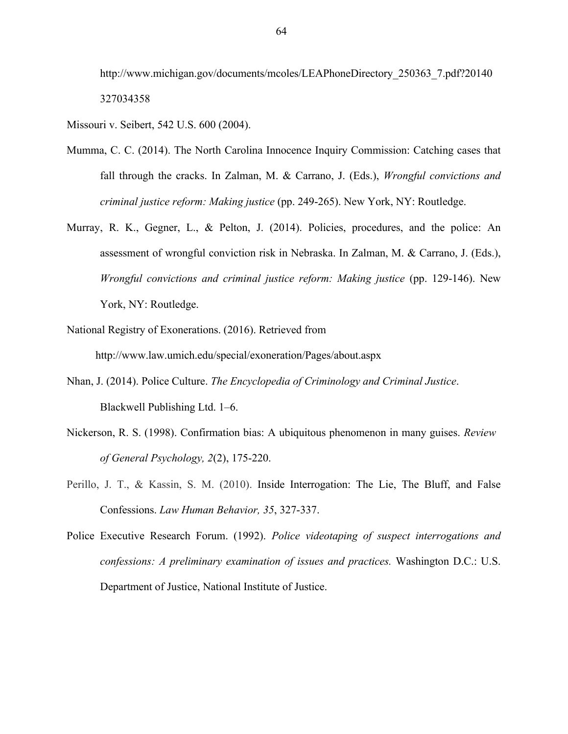http://www.michigan.gov/documents/mcoles/LEAPhoneDirectory\_250363\_7.pdf?20140 327034358

Missouri v. Seibert, 542 U.S. 600 (2004).

- Mumma, C. C. (2014). The North Carolina Innocence Inquiry Commission: Catching cases that fall through the cracks. In Zalman, M. & Carrano, J. (Eds.), *Wrongful convictions and criminal justice reform: Making justice* (pp. 249-265). New York, NY: Routledge.
- Murray, R. K., Gegner, L., & Pelton, J. (2014). Policies, procedures, and the police: An assessment of wrongful conviction risk in Nebraska. In Zalman, M. & Carrano, J. (Eds.), *Wrongful convictions and criminal justice reform: Making justice* (pp. 129-146). New York, NY: Routledge.
- National Registry of Exonerations. (2016). Retrieved from http://www.law.umich.edu/special/exoneration/Pages/about.aspx
- Nhan, J. (2014). Police Culture. *The Encyclopedia of Criminology and Criminal Justice*. Blackwell Publishing Ltd. 1–6.
- Nickerson, R. S. (1998). Confirmation bias: A ubiquitous phenomenon in many guises. *Review of General Psychology, 2*(2), 175-220.
- Perillo, J. T., & Kassin, S. M. (2010). Inside Interrogation: The Lie, The Bluff, and False Confessions. *Law Human Behavior, 35*, 327-337.
- Police Executive Research Forum. (1992). *Police videotaping of suspect interrogations and confessions: A preliminary examination of issues and practices.* Washington D.C.: U.S. Department of Justice, National Institute of Justice.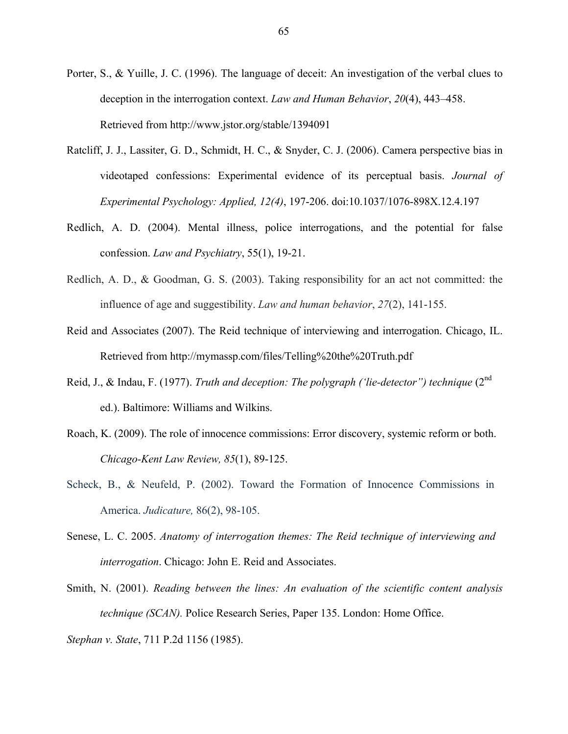- Porter, S., & Yuille, J. C. (1996). The language of deceit: An investigation of the verbal clues to deception in the interrogation context. *Law and Human Behavior*, *20*(4), 443–458. Retrieved from http://www.jstor.org/stable/1394091
- Ratcliff, J. J., Lassiter, G. D., Schmidt, H. C., & Snyder, C. J. (2006). Camera perspective bias in videotaped confessions: Experimental evidence of its perceptual basis. *Journal of Experimental Psychology: Applied, 12(4)*, 197-206. doi:10.1037/1076-898X.12.4.197
- Redlich, A. D. (2004). Mental illness, police interrogations, and the potential for false confession. *Law and Psychiatry*, 55(1), 19-21.
- Redlich, A. D., & Goodman, G. S. (2003). Taking responsibility for an act not committed: the influence of age and suggestibility. *Law and human behavior*, *27*(2), 141-155.
- Reid and Associates (2007). The Reid technique of interviewing and interrogation. Chicago, IL. Retrieved from http://mymassp.com/files/Telling%20the%20Truth.pdf
- Reid, J., & Indau, F. (1977). *Truth and deception: The polygraph ('lie-detector") technique* (2nd ed.). Baltimore: Williams and Wilkins.
- Roach, K. (2009). The role of innocence commissions: Error discovery, systemic reform or both. *Chicago-Kent Law Review, 85*(1), 89-125.
- Scheck, B., & Neufeld, P. (2002). Toward the Formation of Innocence Commissions in America. *Judicature,* 86(2), 98-105.
- Senese, L. C. 2005. *Anatomy of interrogation themes: The Reid technique of interviewing and interrogation*. Chicago: John E. Reid and Associates.
- Smith, N. (2001). *Reading between the lines: An evaluation of the scientific content analysis technique (SCAN).* Police Research Series, Paper 135. London: Home Office.

*Stephan v. State*, 711 P.2d 1156 (1985).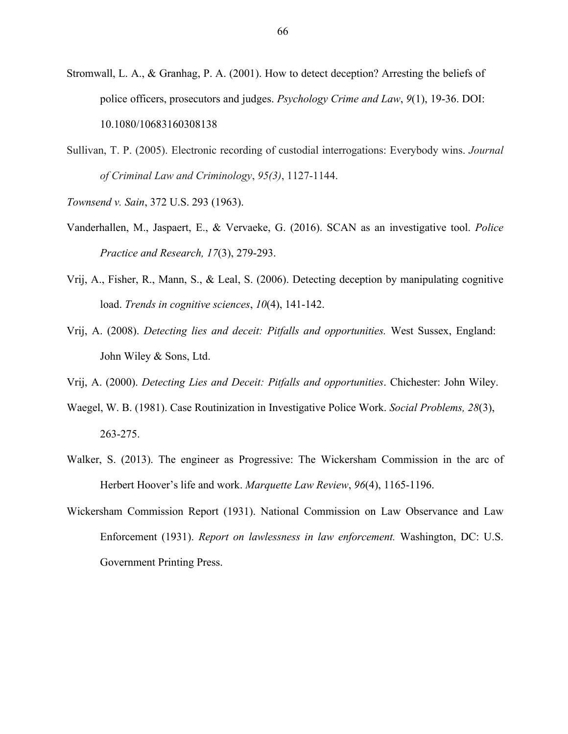- Stromwall, L. A., & Granhag, P. A. (2001). How to detect deception? Arresting the beliefs of police officers, prosecutors and judges. *Psychology Crime and Law*, *9*(1), 19-36. DOI: 10.1080/10683160308138
- Sullivan, T. P. (2005). Electronic recording of custodial interrogations: Everybody wins. *Journal of Criminal Law and Criminology*, *95(3)*, 1127-1144.
- *Townsend v. Sain*, 372 U.S. 293 (1963).
- Vanderhallen, M., Jaspaert, E., & Vervaeke, G. (2016). SCAN as an investigative tool. *Police Practice and Research, 17*(3), 279-293.
- Vrij, A., Fisher, R., Mann, S., & Leal, S. (2006). Detecting deception by manipulating cognitive load. *Trends in cognitive sciences*, *10*(4), 141-142.
- Vrij, A. (2008). *Detecting lies and deceit: Pitfalls and opportunities.* West Sussex, England: John Wiley & Sons, Ltd.
- Vrij, A. (2000). *Detecting Lies and Deceit: Pitfalls and opportunities*. Chichester: John Wiley.
- Waegel, W. B. (1981). Case Routinization in Investigative Police Work. *Social Problems, 28*(3), 263-275.
- Walker, S. (2013). The engineer as Progressive: The Wickersham Commission in the arc of Herbert Hoover's life and work. *Marquette Law Review*, *96*(4), 1165-1196.
- Wickersham Commission Report (1931). National Commission on Law Observance and Law Enforcement (1931). *Report on lawlessness in law enforcement.* Washington, DC: U.S. Government Printing Press.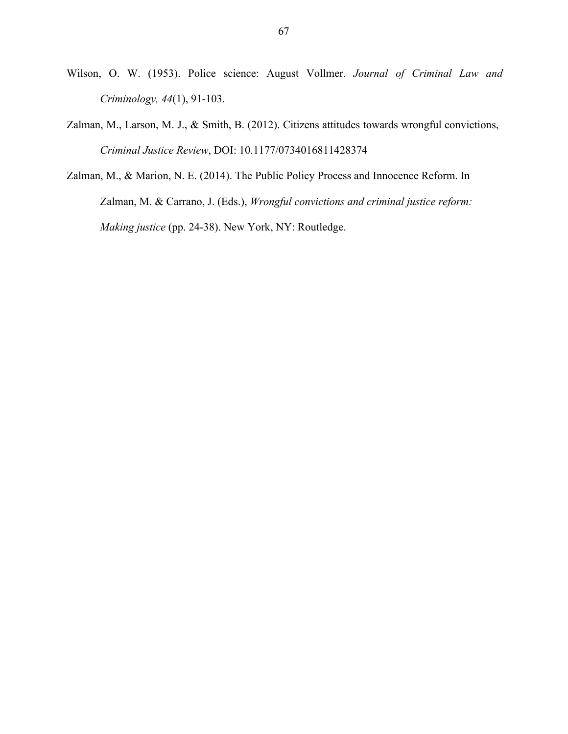- Wilson, O. W. (1953). Police science: August Vollmer. *Journal of Criminal Law and Criminology, 44*(1), 91-103.
- Zalman, M., Larson, M. J., & Smith, B. (2012). Citizens attitudes towards wrongful convictions, *Criminal Justice Review*, DOI: 10.1177/0734016811428374
- Zalman, M., & Marion, N. E. (2014). The Public Policy Process and Innocence Reform. In Zalman, M. & Carrano, J. (Eds.), *Wrongful convictions and criminal justice reform: Making justice* (pp. 24-38). New York, NY: Routledge.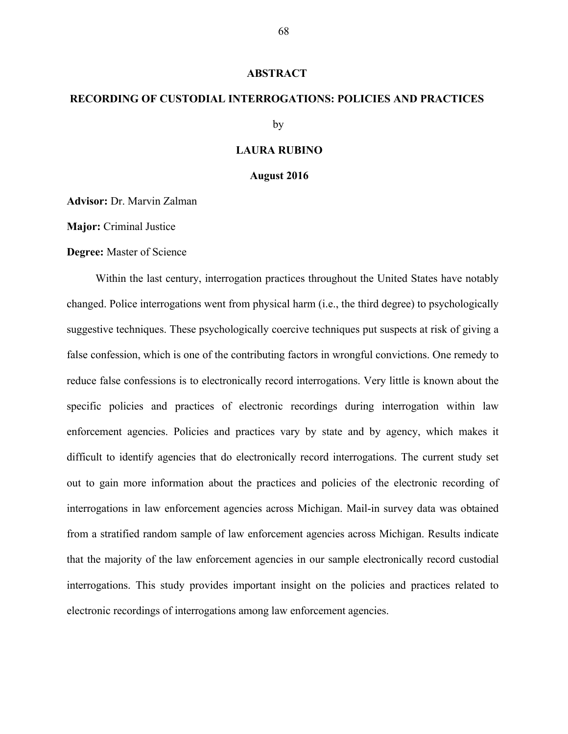#### **ABSTRACT**

# **RECORDING OF CUSTODIAL INTERROGATIONS: POLICIES AND PRACTICES**

by

### **LAURA RUBINO**

### **August 2016**

**Advisor:** Dr. Marvin Zalman

**Major:** Criminal Justice

**Degree:** Master of Science

Within the last century, interrogation practices throughout the United States have notably changed. Police interrogations went from physical harm (i.e., the third degree) to psychologically suggestive techniques. These psychologically coercive techniques put suspects at risk of giving a false confession, which is one of the contributing factors in wrongful convictions. One remedy to reduce false confessions is to electronically record interrogations. Very little is known about the specific policies and practices of electronic recordings during interrogation within law enforcement agencies. Policies and practices vary by state and by agency, which makes it difficult to identify agencies that do electronically record interrogations. The current study set out to gain more information about the practices and policies of the electronic recording of interrogations in law enforcement agencies across Michigan. Mail-in survey data was obtained from a stratified random sample of law enforcement agencies across Michigan. Results indicate that the majority of the law enforcement agencies in our sample electronically record custodial interrogations. This study provides important insight on the policies and practices related to electronic recordings of interrogations among law enforcement agencies.